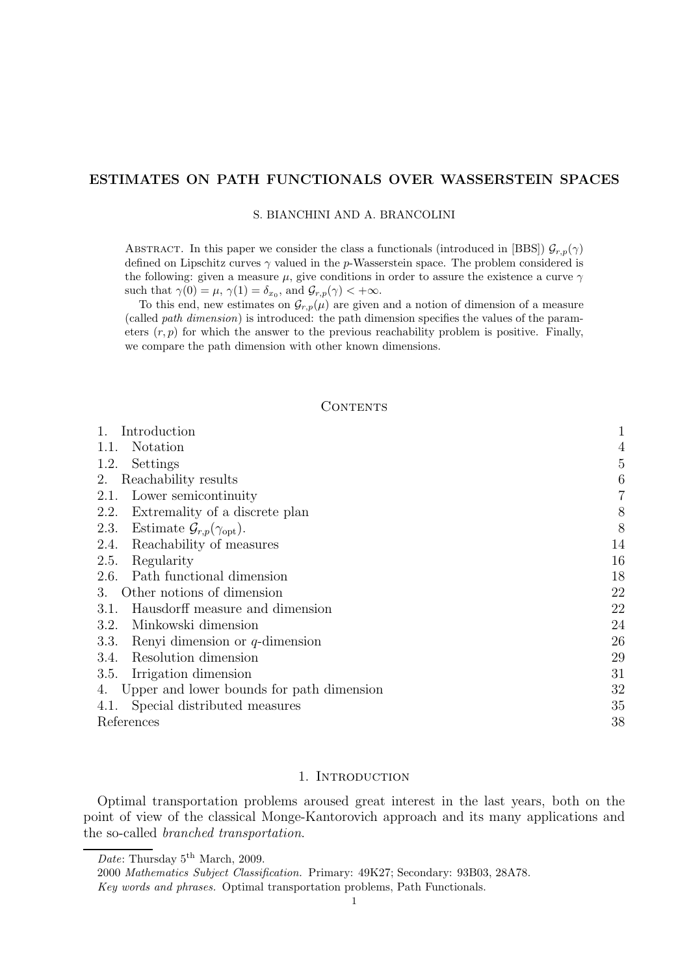# ESTIMATES ON PATH FUNCTIONALS OVER WASSERSTEIN SPACES

## S. BIANCHINI AND A. BRANCOLINI

ABSTRACT. In this paper we consider the class a functionals (introduced in [BBS])  $\mathcal{G}_{r,p}(\gamma)$ defined on Lipschitz curves  $\gamma$  valued in the p-Wasserstein space. The problem considered is the following: given a measure  $\mu$ , give conditions in order to assure the existence a curve  $\gamma$ such that  $\gamma(0) = \mu$ ,  $\gamma(1) = \delta_{x_0}$ , and  $\mathcal{G}_{r,p}(\gamma) < +\infty$ .

To this end, new estimates on  $\mathcal{G}_{r,p}(\mu)$  are given and a notion of dimension of a measure (called path dimension) is introduced: the path dimension specifies the values of the parameters  $(r, p)$  for which the answer to the previous reachability problem is positive. Finally, we compare the path dimension with other known dimensions.

## CONTENTS

| Introduction                                                | 1              |
|-------------------------------------------------------------|----------------|
| Notation<br>1.1.                                            | $\overline{4}$ |
| Settings<br>1.2.                                            | 5              |
| Reachability results<br>2.                                  | 6              |
| Lower semicontinuity<br>2.1.                                | 7              |
| 2.2.<br>Extremality of a discrete plan                      | 8              |
| Estimate $\mathcal{G}_{r,p}(\gamma_{\text{opt}})$ .<br>2.3. | 8              |
| Reachability of measures<br>2.4.                            | 14             |
| 2.5.<br>Regularity                                          | 16             |
| Path functional dimension<br>2.6.                           | 18             |
| Other notions of dimension<br>3.                            | 22             |
| Hausdorff measure and dimension<br>3.1.                     | 22             |
| Minkowski dimension<br>3.2.                                 | 24             |
| 3.3.<br>Renyi dimension or $q$ -dimension                   | 26             |
| Resolution dimension<br>3.4.                                | 29             |
| Irrigation dimension<br>3.5.                                | 31             |
| Upper and lower bounds for path dimension<br>4.             | 32             |
| Special distributed measures<br>4.1.                        | 35             |
| References                                                  | 38             |

#### 1. INTRODUCTION

Optimal transportation problems aroused great interest in the last years, both on the point of view of the classical Monge-Kantorovich approach and its many applications and the so-called branched transportation.

Date: Thursday  $5^{\text{th}}$  March, 2009.

<sup>2000</sup> Mathematics Subject Classification. Primary: 49K27; Secondary: 93B03, 28A78.

Key words and phrases. Optimal transportation problems, Path Functionals.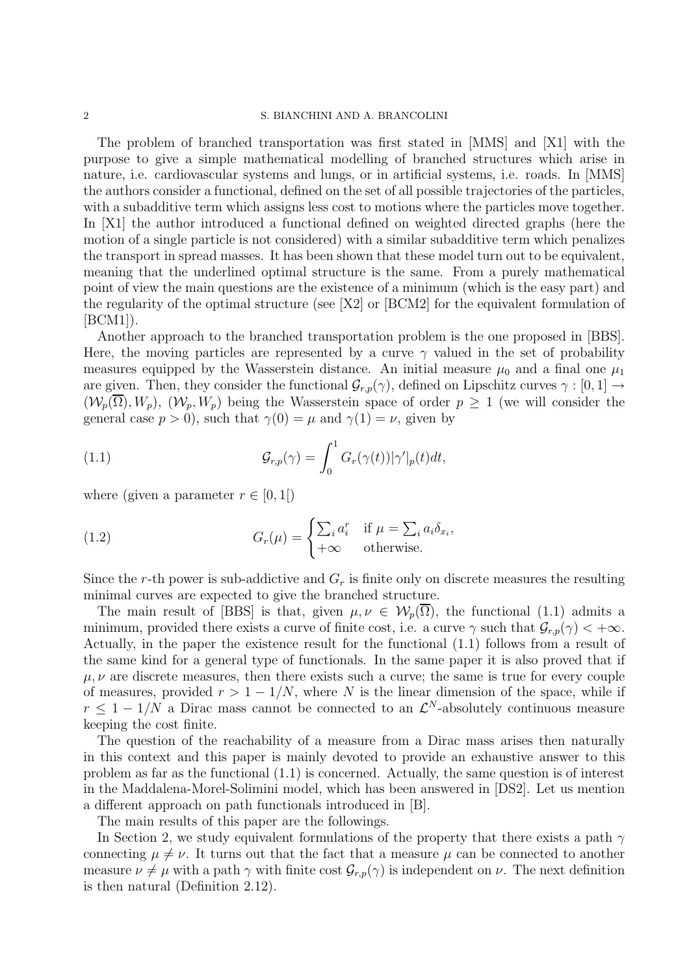#### 2 S. BIANCHINI AND A. BRANCOLINI

The problem of branched transportation was first stated in [MMS] and [X1] with the purpose to give a simple mathematical modelling of branched structures which arise in nature, i.e. cardiovascular systems and lungs, or in artificial systems, i.e. roads. In [MMS] the authors consider a functional, defined on the set of all possible trajectories of the particles, with a subadditive term which assigns less cost to motions where the particles move together. In [X1] the author introduced a functional defined on weighted directed graphs (here the motion of a single particle is not considered) with a similar subadditive term which penalizes the transport in spread masses. It has been shown that these model turn out to be equivalent, meaning that the underlined optimal structure is the same. From a purely mathematical point of view the main questions are the existence of a minimum (which is the easy part) and the regularity of the optimal structure (see [X2] or [BCM2] for the equivalent formulation of  $[BCM1]$ .

Another approach to the branched transportation problem is the one proposed in [BBS]. Here, the moving particles are represented by a curve  $\gamma$  valued in the set of probability measures equipped by the Wasserstein distance. An initial measure  $\mu_0$  and a final one  $\mu_1$ are given. Then, they consider the functional  $\mathcal{G}_{r,p}(\gamma)$ , defined on Lipschitz curves  $\gamma : [0,1] \to$  $(\mathcal{W}_p(\overline{\Omega}), W_p)$ ,  $(\mathcal{W}_p, W_p)$  being the Wasserstein space of order  $p \geq 1$  (we will consider the general case  $p > 0$ ), such that  $\gamma(0) = \mu$  and  $\gamma(1) = \nu$ , given by

(1.1) 
$$
\mathcal{G}_{r,p}(\gamma) = \int_0^1 G_r(\gamma(t)) |\gamma'|_p(t) dt,
$$

where (given a parameter  $r \in [0, 1]$ )

(1.2) 
$$
G_r(\mu) = \begin{cases} \sum_i a_i^r & \text{if } \mu = \sum_i a_i \delta_{x_i}, \\ +\infty & \text{otherwise.} \end{cases}
$$

Since the r-th power is sub-addictive and  $G_r$  is finite only on discrete measures the resulting minimal curves are expected to give the branched structure.

The main result of [BBS] is that, given  $\mu, \nu \in \mathcal{W}_p(\Omega)$ , the functional (1.1) admits a minimum, provided there exists a curve of finite cost, i.e. a curve  $\gamma$  such that  $\mathcal{G}_{r,p}(\gamma) < +\infty$ . Actually, in the paper the existence result for the functional (1.1) follows from a result of the same kind for a general type of functionals. In the same paper it is also proved that if  $\mu, \nu$  are discrete measures, then there exists such a curve; the same is true for every couple of measures, provided  $r > 1 - 1/N$ , where N is the linear dimension of the space, while if  $r \leq 1 - 1/N$  a Dirac mass cannot be connected to an  $\mathcal{L}^N$ -absolutely continuous measure keeping the cost finite.

The question of the reachability of a measure from a Dirac mass arises then naturally in this context and this paper is mainly devoted to provide an exhaustive answer to this problem as far as the functional (1.1) is concerned. Actually, the same question is of interest in the Maddalena-Morel-Solimini model, which has been answered in [DS2]. Let us mention a different approach on path functionals introduced in [B].

The main results of this paper are the followings.

In Section 2, we study equivalent formulations of the property that there exists a path  $\gamma$ connecting  $\mu \neq \nu$ . It turns out that the fact that a measure  $\mu$  can be connected to another measure  $\nu \neq \mu$  with a path  $\gamma$  with finite cost  $\mathcal{G}_{r,p}(\gamma)$  is independent on  $\nu$ . The next definition is then natural (Definition 2.12).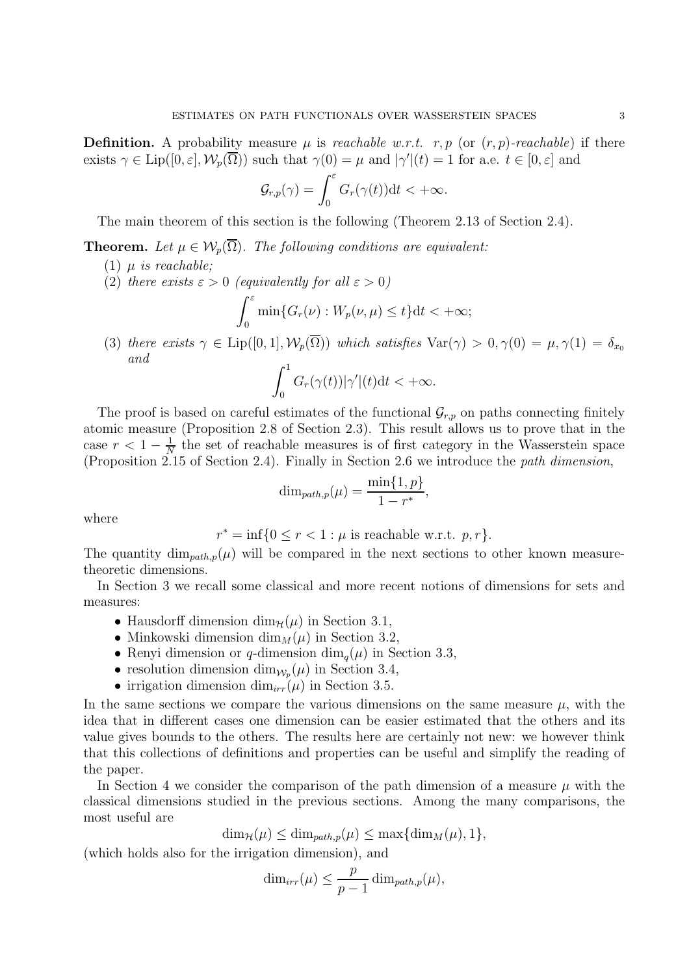**Definition.** A probability measure  $\mu$  is *reachable w.r.t.* r, p (or  $(r, p)$ -reachable) if there exists  $\gamma \in \text{Lip}([0, \varepsilon], \mathcal{W}_p(\overline{\Omega}))$  such that  $\gamma(0) = \mu$  and  $|\gamma'(t)| = 1$  for a.e.  $t \in [0, \varepsilon]$  and

$$
\mathcal{G}_{r,p}(\gamma)=\int_0^\varepsilon G_r(\gamma(t))\mathrm{d} t<+\infty.
$$

The main theorem of this section is the following (Theorem 2.13 of Section 2.4).

**Theorem.** Let  $\mu \in \mathcal{W}_n(\overline{\Omega})$ . The following conditions are equivalent:

(1) 
$$
\mu
$$
 is reachable;

(2) there exists  $\varepsilon > 0$  (equivalently for all  $\varepsilon > 0$ )

$$
\int_0^{\varepsilon} \min\{G_r(\nu) : W_p(\nu,\mu) \le t\} dt < +\infty;
$$

(3) there exists  $\gamma \in \text{Lip}([0,1], \mathcal{W}_p(\overline{\Omega}))$  which satisfies  $\text{Var}(\gamma) > 0, \gamma(0) = \mu, \gamma(1) = \delta_{x_0}$ and

$$
\int_0^1 G_r(\gamma(t))|\gamma'|(t)dt < +\infty.
$$

The proof is based on careful estimates of the functional  $\mathcal{G}_{r,p}$  on paths connecting finitely atomic measure (Proposition 2.8 of Section 2.3). This result allows us to prove that in the case  $r < 1 - \frac{1}{N}$  $\frac{1}{N}$  the set of reachable measures is of first category in the Wasserstein space (Proposition 2.15 of Section 2.4). Finally in Section 2.6 we introduce the path dimension,

$$
\dim_{path,p}(\mu) = \frac{\min\{1,p\}}{1-r^*},
$$

where

 $r^* = \inf\{0 \le r < 1 : \mu \text{ is reachable w.r.t. } p, r\}.$ 

The quantity  $\dim_{path,p}(\mu)$  will be compared in the next sections to other known measuretheoretic dimensions.

In Section 3 we recall some classical and more recent notions of dimensions for sets and measures:

- Hausdorff dimension  $\dim_{\mathcal{H}}(\mu)$  in Section 3.1,
- Minkowski dimension  $\dim_M(\mu)$  in Section 3.2,
- Renyi dimension or q-dimension  $\dim_a(\mu)$  in Section 3.3,
- resolution dimension  $\dim_{\mathcal{W}_p}(\mu)$  in Section 3.4,
- irrigation dimension dim<sub>irr</sub>( $\mu$ ) in Section 3.5.

In the same sections we compare the various dimensions on the same measure  $\mu$ , with the idea that in different cases one dimension can be easier estimated that the others and its value gives bounds to the others. The results here are certainly not new: we however think that this collections of definitions and properties can be useful and simplify the reading of the paper.

In Section 4 we consider the comparison of the path dimension of a measure  $\mu$  with the classical dimensions studied in the previous sections. Among the many comparisons, the most useful are

$$
\dim_{\mathcal{H}}(\mu) \le \dim_{path,p}(\mu) \le \max{\dim_{M}(\mu), 1},
$$

(which holds also for the irrigation dimension), and

$$
\dim_{irr}(\mu) \leq \frac{p}{p-1} \dim_{path,p}(\mu),
$$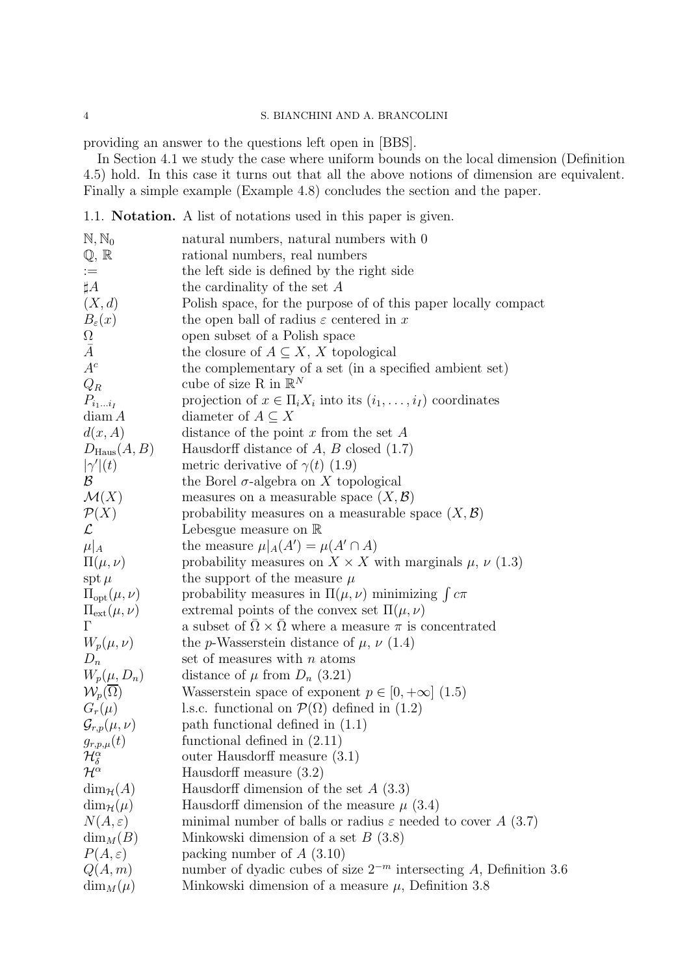# 4 S. BIANCHINI AND A. BRANCOLINI

providing an answer to the questions left open in [BBS].

In Section 4.1 we study the case where uniform bounds on the local dimension (Definition 4.5) hold. In this case it turns out that all the above notions of dimension are equivalent. Finally a simple example (Example 4.8) concludes the section and the paper.

1.1. Notation. A list of notations used in this paper is given.

| $\mathbb{N}, \mathbb{N}_0$                      | natural numbers, natural numbers with 0                                   |
|-------------------------------------------------|---------------------------------------------------------------------------|
| $\mathbb{Q}, \mathbb{R}$                        | rational numbers, real numbers                                            |
| $\;:=\;$                                        | the left side is defined by the right side                                |
| $\sharp A$                                      | the cardinality of the set $A$                                            |
| (X,d)                                           | Polish space, for the purpose of of this paper locally compact            |
| $B_{\varepsilon}(x)$                            | the open ball of radius $\varepsilon$ centered in x                       |
| $\Omega$                                        | open subset of a Polish space                                             |
| $\bar{A}$                                       | the closure of $A \subseteq X$ , X topological                            |
| $A^c$                                           | the complementary of a set (in a specified ambient set)                   |
| $Q_R$                                           | cube of size R in $\mathbb{R}^N$                                          |
| $P_{i_1i_I}$                                    | projection of $x \in \Pi_i X_i$ into its $(i_1, \ldots, i_I)$ coordinates |
| diam A                                          | diameter of $A \subseteq X$                                               |
| d(x, A)                                         | distance of the point $x$ from the set $A$                                |
| $D_{\text{Haus}}(A, B)$                         | Hausdorff distance of $A, B$ closed (1.7)                                 |
| $ \gamma'(t) $                                  | metric derivative of $\gamma(t)$ (1.9)                                    |
| $\mathcal{B}$                                   | the Borel $\sigma$ -algebra on X topological                              |
| $\mathcal{M}(X)$                                | measures on a measurable space $(X, \mathcal{B})$                         |
| $\mathcal{P}(X)$                                | probability measures on a measurable space $(X, \mathcal{B})$             |
| $\mathcal{L}% _{G}$                             | Lebesgue measure on $\mathbb R$                                           |
| $\mu _A$                                        | the measure $\mu _A(A') = \mu(A' \cap A)$                                 |
| $\Pi(\mu,\nu)$                                  | probability measures on $X \times X$ with marginals $\mu$ , $\nu$ (1.3)   |
| $\operatorname{spt} \mu$                        | the support of the measure $\mu$                                          |
| $\Pi_{\mathrm{opt}}(\mu,\nu)$                   | probability measures in $\Pi(\mu, \nu)$ minimizing $\int c\pi$            |
| $\Pi_{\rm ext}(\mu,\nu)$                        | extremal points of the convex set $\Pi(\mu, \nu)$                         |
| $\Gamma$                                        | a subset of $\Omega \times \Omega$ where a measure $\pi$ is concentrated  |
| $W_p(\mu,\nu)$                                  | the p-Wasserstein distance of $\mu$ , $\nu$ (1.4)                         |
| $D_n$                                           | set of measures with $n$ atoms                                            |
|                                                 | distance of $\mu$ from $D_n$ (3.21)                                       |
| $W_p(\mu,D_n) \mathcal{W}_p(\overline{\Omega})$ | Wasserstein space of exponent $p \in [0, +\infty]$ (1.5)                  |
| $G_r(\mu)$                                      | l.s.c. functional on $\mathcal{P}(\Omega)$ defined in (1.2)               |
| $\mathcal{G}_{r,p}(\mu,\nu)$                    | path functional defined in $(1.1)$                                        |
| $g_{r,p,\mu}(t)$                                | functional defined in $(2.11)$                                            |
| $\mathcal{H}^{\alpha}_{\delta}$                 | outer Hausdorff measure $(3.1)$                                           |
| $\mathcal{H}^{\alpha}$                          | Hausdorff measure $(3.2)$                                                 |
| $\dim_{\mathcal{H}}(A)$                         | Hausdorff dimension of the set $A(3.3)$                                   |
| $\dim_{\mathcal{H}}(\mu)$                       | Hausdorff dimension of the measure $\mu$ (3.4)                            |
| $N(A,\varepsilon)$                              | minimal number of balls or radius $\varepsilon$ needed to cover A (3.7)   |
| $\dim_M(B)$                                     | Minkowski dimension of a set $B(3.8)$                                     |
| $P(A,\varepsilon)$                              | packing number of $A(3.10)$                                               |
| Q(A,m)                                          | number of dyadic cubes of size $2^{-m}$ intersecting A, Definition 3.6    |
| $\dim_M(\mu)$                                   | Minkowski dimension of a measure $\mu$ , Definition 3.8                   |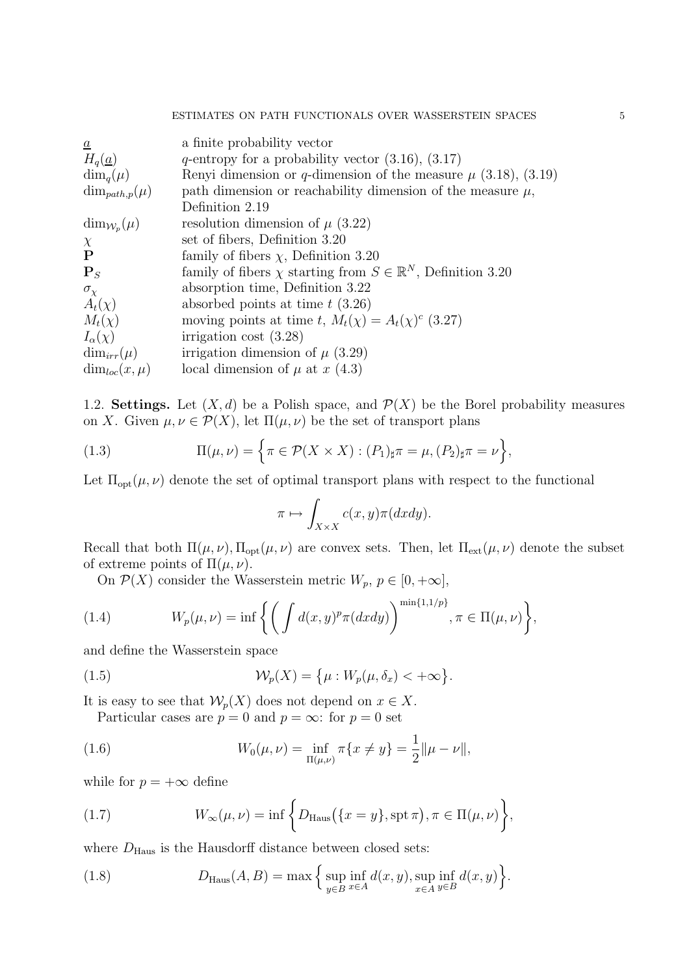| a finite probability vector                                                  |
|------------------------------------------------------------------------------|
| q-entropy for a probability vector $(3.16)$ , $(3.17)$                       |
| Renyi dimension or q-dimension of the measure $\mu$ (3.18), (3.19)           |
| path dimension or reachability dimension of the measure $\mu$ ,              |
| Definition 2.19                                                              |
| resolution dimension of $\mu$ (3.22)                                         |
| set of fibers, Definition 3.20                                               |
| family of fibers $\chi$ , Definition 3.20                                    |
| family of fibers $\chi$ starting from $S \in \mathbb{R}^N$ , Definition 3.20 |
| absorption time, Definition 3.22                                             |
| absorbed points at time $t(3.26)$                                            |
| moving points at time t, $M_t(\chi) = A_t(\chi)^c$ (3.27)                    |
| irrigation cost $(3.28)$                                                     |
| irrigation dimension of $\mu$ (3.29)                                         |
| local dimension of $\mu$ at x (4.3)                                          |
|                                                                              |

1.2. Settings. Let  $(X, d)$  be a Polish space, and  $\mathcal{P}(X)$  be the Borel probability measures on X. Given  $\mu, \nu \in \mathcal{P}(X)$ , let  $\Pi(\mu, \nu)$  be the set of transport plans

(1.3) 
$$
\Pi(\mu,\nu) = \left\{ \pi \in \mathcal{P}(X \times X) : (P_1)_{\sharp} \pi = \mu, (P_2)_{\sharp} \pi = \nu \right\},\
$$

Let  $\Pi_{\text{opt}}(\mu, \nu)$  denote the set of optimal transport plans with respect to the functional

$$
\pi \mapsto \int_{X \times X} c(x, y) \pi(dxdy).
$$

Recall that both  $\Pi(\mu, \nu)$ ,  $\Pi_{opt}(\mu, \nu)$  are convex sets. Then, let  $\Pi_{ext}(\mu, \nu)$  denote the subset of extreme points of  $\Pi(\mu, \nu)$ .

On  $\mathcal{P}(X)$  consider the Wasserstein metric  $W_p$ ,  $p \in [0, +\infty]$ ,

(1.4) 
$$
W_p(\mu,\nu) = \inf \left\{ \left( \int d(x,y)^p \pi(dxdy) \right)^{\min\{1,1/p\}}, \pi \in \Pi(\mu,\nu) \right\},
$$

and define the Wasserstein space

(1.5) 
$$
\mathcal{W}_p(X) = \{ \mu : W_p(\mu, \delta_x) < +\infty \}.
$$

It is easy to see that  $\mathcal{W}_p(X)$  does not depend on  $x \in X$ .

Particular cases are  $p = 0$  and  $p = \infty$ : for  $p = 0$  set

(1.6) 
$$
W_0(\mu,\nu) = \inf_{\Pi(\mu,\nu)} \pi\{x \neq y\} = \frac{1}{2} ||\mu - \nu||,
$$

while for  $p = +\infty$  define

(1.7) 
$$
W_{\infty}(\mu,\nu)=\inf\left\{D_{\text{Haus}}(\lbrace x=y\rbrace,\text{spt }\pi),\pi\in\Pi(\mu,\nu)\right\},\,
$$

where  $D_{\text{Haus}}$  is the Hausdorff distance between closed sets:

(1.8) 
$$
D_{\text{Haus}}(A, B) = \max \Big\{ \sup_{y \in B} \inf_{x \in A} d(x, y), \sup_{x \in A} \inf_{y \in B} d(x, y) \Big\}.
$$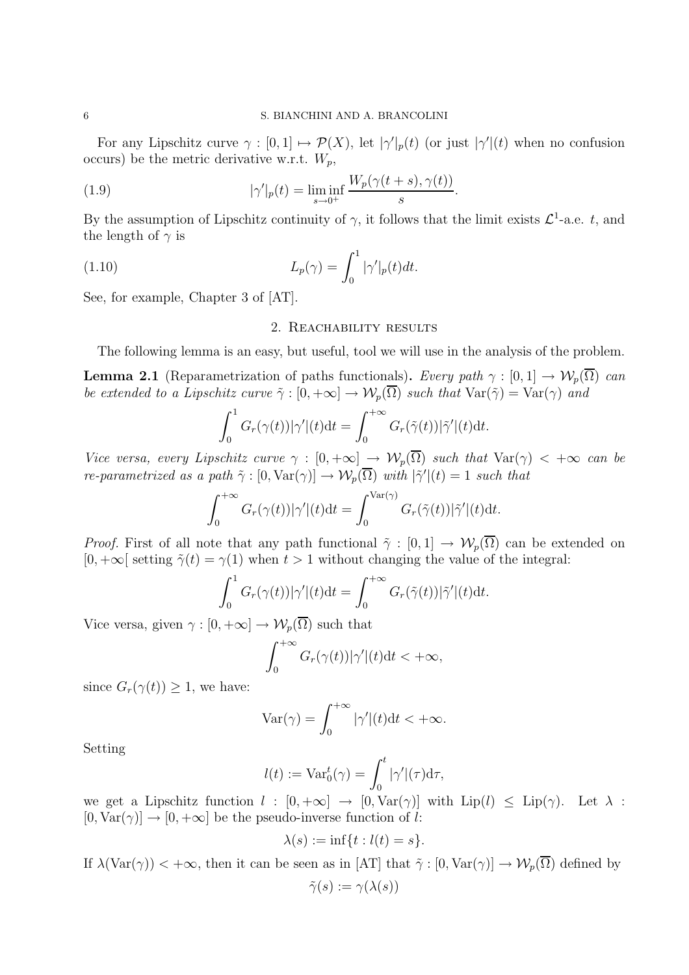For any Lipschitz curve  $\gamma : [0,1] \mapsto \mathcal{P}(X)$ , let  $|\gamma'|_p(t)$  (or just  $|\gamma'|(t)$  when no confusion occurs) be the metric derivative w.r.t.  $W_p$ ,

(1.9) 
$$
|\gamma'|_p(t) = \liminf_{s \to 0^+} \frac{W_p(\gamma(t+s), \gamma(t))}{s}.
$$

By the assumption of Lipschitz continuity of  $\gamma$ , it follows that the limit exists  $\mathcal{L}^1$ -a.e. t, and the length of  $\gamma$  is

(1.10) 
$$
L_p(\gamma) = \int_0^1 |\gamma'|_p(t) dt.
$$

See, for example, Chapter 3 of [AT].

## 2. Reachability results

The following lemma is an easy, but useful, tool we will use in the analysis of the problem.

**Lemma 2.1** (Reparametrization of paths functionals). Every path  $\gamma : [0,1] \to \mathcal{W}_p(\overline{\Omega})$  can be extended to a Lipschitz curve  $\tilde{\gamma}: [0, +\infty] \to \mathcal{W}_p(\overline{\Omega})$  such that  $\text{Var}(\tilde{\gamma}) = \text{Var}(\gamma)$  and

$$
\int_0^1 G_r(\gamma(t))|\gamma'|(t)dt = \int_0^{+\infty} G_r(\tilde{\gamma}(t))|\tilde{\gamma}'|(t)dt.
$$

Vice versa, every Lipschitz curve  $\gamma : [0, +\infty] \to \mathcal{W}_p(\overline{\Omega})$  such that  $\text{Var}(\gamma) < +\infty$  can be re-parametrized as a path  $\tilde{\gamma} : [0, \text{Var}(\gamma)] \to \mathcal{W}_p(\overline{\Omega})$  with  $|\tilde{\gamma}'|(t) = 1$  such that

$$
\int_0^{+\infty} G_r(\gamma(t)) |\gamma'|(t) dt = \int_0^{\text{Var}(\gamma)} G_r(\tilde{\gamma}(t)) |\tilde{\gamma}'|(t) dt.
$$

*Proof.* First of all note that any path functional  $\tilde{\gamma} : [0,1] \to \mathcal{W}_p(\overline{\Omega})$  can be extended on  $[0, +\infty]$  setting  $\tilde{\gamma}(t) = \gamma(1)$  when  $t > 1$  without changing the value of the integral:

$$
\int_0^1 G_r(\gamma(t))|\gamma'|(t)dt = \int_0^{+\infty} G_r(\tilde{\gamma}(t))|\tilde{\gamma}'|(t)dt.
$$

Vice versa, given  $\gamma : [0, +\infty] \to \mathcal{W}_p(\overline{\Omega})$  such that

$$
\int_0^{+\infty} G_r(\gamma(t)) |\gamma'|(t) dt < +\infty,
$$

since  $G_r(\gamma(t)) \geq 1$ , we have:

$$
\text{Var}(\gamma) = \int_0^{+\infty} |\gamma'|(t) dt < +\infty.
$$

Setting

$$
l(t) := \text{Var}_0^t(\gamma) = \int_0^t |\gamma'|(\tau) d\tau,
$$

we get a Lipschitz function  $l : [0, +\infty] \to [0, \text{Var}(\gamma)]$  with  $\text{Lip}(l) \leq \text{Lip}(\gamma)$ . Let  $\lambda$ :  $[0, \text{Var}(\gamma)] \rightarrow [0, +\infty]$  be the pseudo-inverse function of l:

$$
\lambda(s) := \inf\{t : l(t) = s\}.
$$

If  $\lambda(\text{Var}(\gamma)) < +\infty$ , then it can be seen as in [AT] that  $\tilde{\gamma}: [0, \text{Var}(\gamma)] \to \mathcal{W}_p(\overline{\Omega})$  defined by  $\tilde{\gamma}(s) := \gamma(\lambda(s))$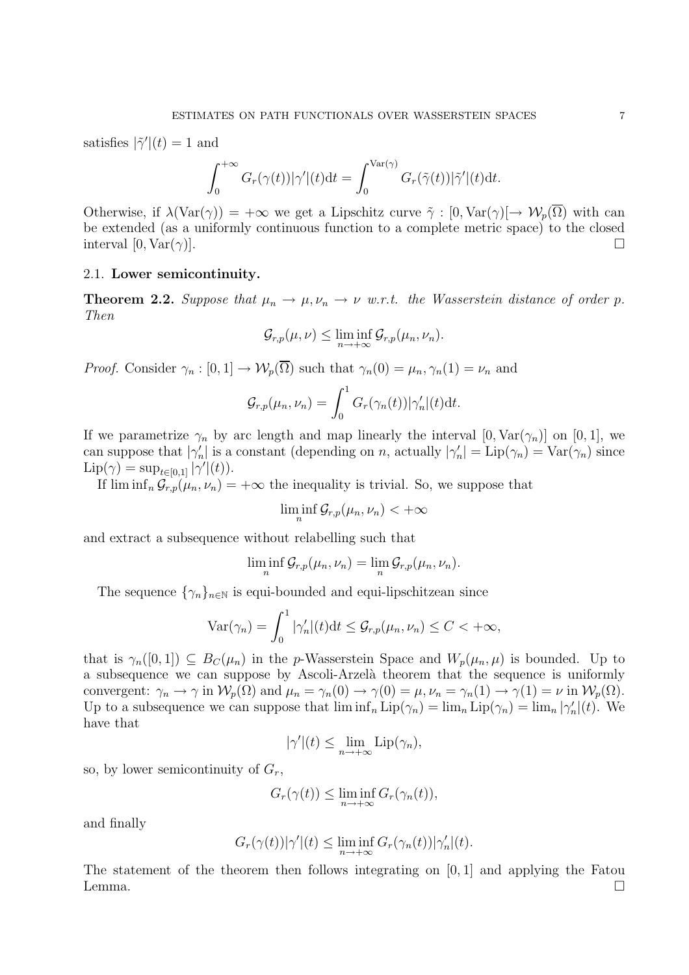satisfies  $|\tilde{\gamma}'|(t) = 1$  and

$$
\int_0^{+\infty} G_r(\gamma(t)) |\gamma'|(t) dt = \int_0^{\text{Var}(\gamma)} G_r(\tilde{\gamma}(t)) |\tilde{\gamma}'|(t) dt.
$$

Otherwise, if  $\lambda(\text{Var}(\gamma)) = +\infty$  we get a Lipschitz curve  $\tilde{\gamma} : [0, \text{Var}(\gamma)] \to \mathcal{W}_p(\overline{\Omega})$  with can be extended (as a uniformly continuous function to a complete metric space) to the closed interval  $[0, \text{Var}(\gamma)].$ 

## 2.1. Lower semicontinuity.

**Theorem 2.2.** Suppose that  $\mu_n \to \mu$ ,  $\nu_n \to \nu$  w.r.t. the Wasserstein distance of order p. Then

$$
\mathcal{G}_{r,p}(\mu,\nu)\leq \liminf_{n\to+\infty}\mathcal{G}_{r,p}(\mu_n,\nu_n).
$$

*Proof.* Consider  $\gamma_n : [0,1] \to \mathcal{W}_p(\overline{\Omega})$  such that  $\gamma_n(0) = \mu_n, \gamma_n(1) = \nu_n$  and

$$
\mathcal{G}_{r,p}(\mu_n,\nu_n)=\int_0^1 G_r(\gamma_n(t))|\gamma_n|(t)dt.
$$

If we parametrize  $\gamma_n$  by arc length and map linearly the interval  $[0, \text{Var}(\gamma_n)]$  on  $[0, 1]$ , we can suppose that  $|\gamma'_n|$  is a constant (depending on n, actually  $|\gamma'_n| = \text{Lip}(\gamma_n) = \text{Var}(\gamma_n)$  since  $\text{Lip}(\gamma) = \sup_{t \in [0,1]} |\gamma'|(t)).$ 

If  $\liminf_{n} \mathcal{G}_{r,p}(\mu_n, \nu_n) = +\infty$  the inequality is trivial. So, we suppose that

 $\liminf_{n} \mathcal{G}_{r,p}(\mu_n, \nu_n) < +\infty$ 

and extract a subsequence without relabelling such that

$$
\liminf_n \mathcal{G}_{r,p}(\mu_n,\nu_n) = \lim_n \mathcal{G}_{r,p}(\mu_n,\nu_n).
$$

The sequence  $\{\gamma_n\}_{n\in\mathbb{N}}$  is equi-bounded and equi-lipschitzean since

$$
\text{Var}(\gamma_n) = \int_0^1 |\gamma_n'|(t) dt \leq \mathcal{G}_{r,p}(\mu_n, \nu_n) \leq C < +\infty,
$$

that is  $\gamma_n([0,1]) \subseteq B_C(\mu_n)$  in the p-Wasserstein Space and  $W_p(\mu_n,\mu)$  is bounded. Up to a subsequence we can suppose by Ascoli-Arzelà theorem that the sequence is uniformly convergent:  $\gamma_n \to \gamma$  in  $\mathcal{W}_p(\Omega)$  and  $\mu_n = \gamma_n(0) \to \gamma(0) = \mu$ ,  $\nu_n = \gamma_n(1) \to \gamma(1) = \nu$  in  $\mathcal{W}_p(\Omega)$ . Up to a subsequence we can suppose that  $\liminf_n \text{Lip}(\gamma_n) = \lim_n \text{Lip}(\gamma_n) = \lim_n |\gamma_n'|(t)$ . We have that

$$
|\gamma'|(t) \le \lim_{n \to +\infty} \mathrm{Lip}(\gamma_n),
$$

so, by lower semicontinuity of  $G_r$ ,

$$
G_r(\gamma(t)) \le \liminf_{n \to +\infty} G_r(\gamma_n(t)),
$$

and finally

$$
G_r(\gamma(t))|\gamma'|(t) \le \liminf_{n \to +\infty} G_r(\gamma_n(t))|\gamma_n'|(t).
$$

The statement of the theorem then follows integrating on  $[0, 1]$  and applying the Fatou Lemma.  $\square$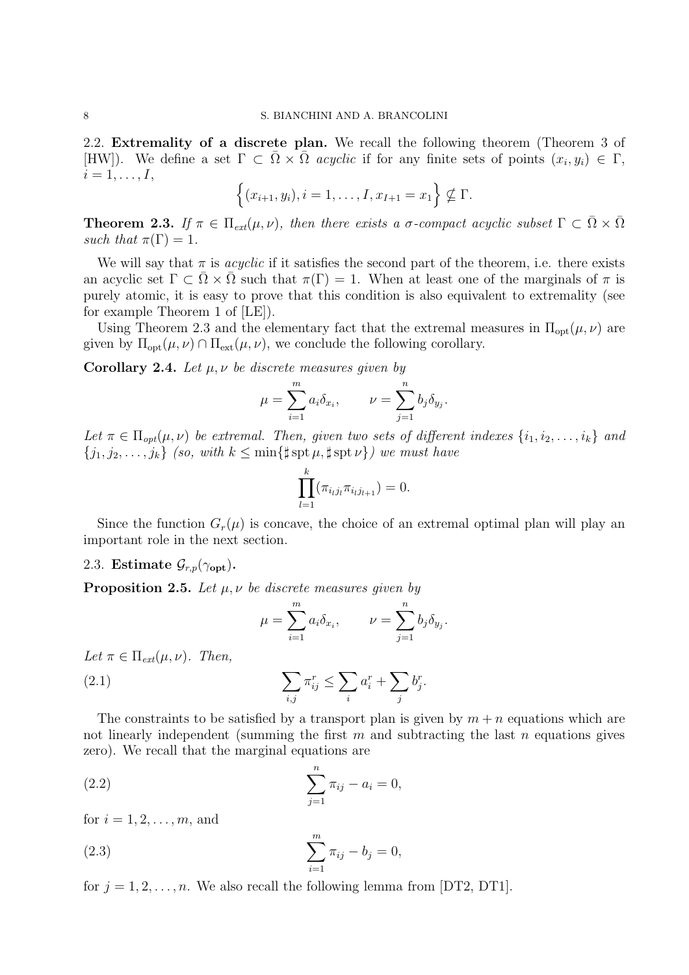2.2. Extremality of a discrete plan. We recall the following theorem (Theorem 3 of [HW]). We define a set  $\Gamma \subset \overline{\Omega} \times \overline{\Omega}$  acyclic if for any finite sets of points  $(x_i, y_i) \in \Gamma$ ,  $i = 1, \ldots, I$ ,

$$
\{(x_{i+1}, y_i), i = 1, \dots, I, x_{I+1} = x_1\} \nsubseteq \Gamma.
$$

**Theorem 2.3.** If  $\pi \in \Pi_{ext}(\mu, \nu)$ , then there exists a σ-compact acyclic subset  $\Gamma \subset \overline{\Omega} \times \overline{\Omega}$ such that  $\pi(\Gamma) = 1$ .

We will say that  $\pi$  is *acyclic* if it satisfies the second part of the theorem, i.e. there exists an acyclic set  $\Gamma \subset \Omega \times \Omega$  such that  $\pi(\Gamma) = 1$ . When at least one of the marginals of  $\pi$  is purely atomic, it is easy to prove that this condition is also equivalent to extremality (see for example Theorem 1 of [LE]).

Using Theorem 2.3 and the elementary fact that the extremal measures in  $\Pi_{opt}(\mu, \nu)$  are given by  $\Pi_{opt}(\mu, \nu) \cap \Pi_{ext}(\mu, \nu)$ , we conclude the following corollary.

Corollary 2.4. Let  $\mu, \nu$  be discrete measures given by

$$
\mu = \sum_{i=1}^m a_i \delta_{x_i}, \qquad \nu = \sum_{j=1}^n b_j \delta_{y_j}.
$$

Let  $\pi \in \Pi_{\text{opt}}(\mu, \nu)$  be extremal. Then, given two sets of different indexes  $\{i_1, i_2, \ldots, i_k\}$  and  $\{j_1, j_2, \ldots, j_k\}$  (so, with  $k \leq \min\{\sharp \operatorname{spt} \mu, \sharp \operatorname{spt} \nu\}$ ) we must have

$$
\prod_{l=1}^{k} (\pi_{i_l j_l} \pi_{i_l j_{l+1}}) = 0.
$$

Since the function  $G_r(\mu)$  is concave, the choice of an extremal optimal plan will play an important role in the next section.

## 2.3. Estimate  $\mathcal{G}_{r,p}(\gamma_{\text{opt}})$ .

**Proposition 2.5.** Let  $\mu$ ,  $\nu$  be discrete measures given by

$$
\mu = \sum_{i=1}^{m} a_i \delta_{x_i}, \qquad \nu = \sum_{j=1}^{n} b_j \delta_{y_j}.
$$

Let  $\pi \in \Pi_{ext}(\mu, \nu)$ . Then,  $(2.1)$   $\sum$ 

The constraints to be satisfied by a transport plan is given by  $m + n$  equations which are not linearly independent (summing the first  $m$  and subtracting the last  $n$  equations gives zero). We recall that the marginal equations are

i

 $a_i^r + \sum$ j

 $b_j^r$ .

 $\pi^r_{ij} \leq \sum$ 

(2.2) 
$$
\sum_{j=1}^{n} \pi_{ij} - a_i = 0,
$$

for  $i = 1, 2, \ldots, m$ , and

(2.3) 
$$
\sum_{i=1}^{m} \pi_{ij} - b_j = 0,
$$

for  $j = 1, 2, \ldots, n$ . We also recall the following lemma from [DT2, DT1].

 $_{i,j}$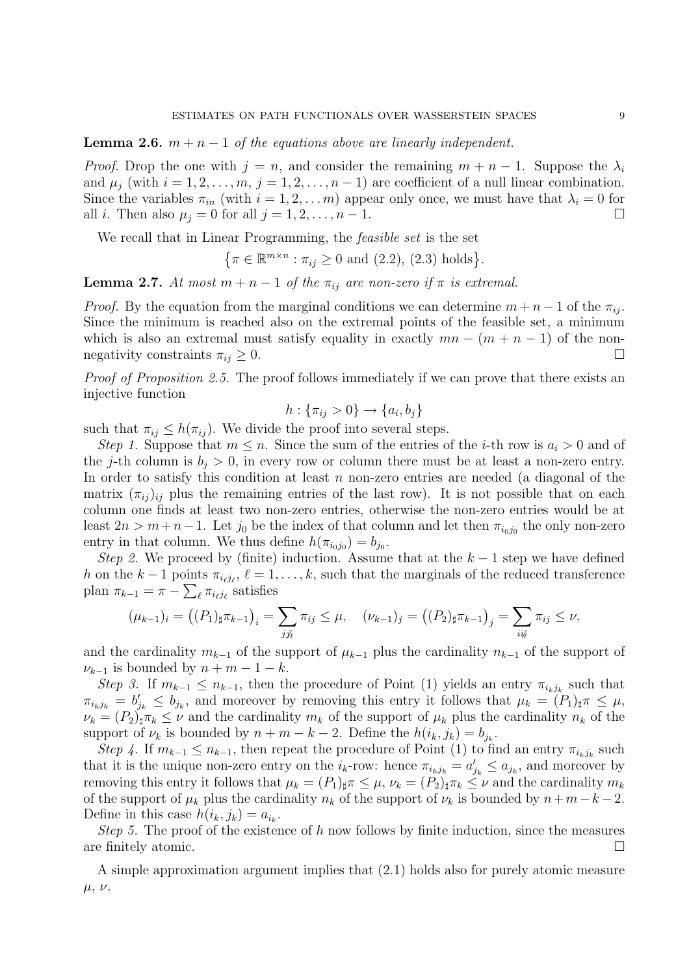**Lemma 2.6.**  $m + n - 1$  of the equations above are linearly independent.

*Proof.* Drop the one with  $j = n$ , and consider the remaining  $m + n - 1$ . Suppose the  $\lambda_i$ and  $\mu_i$  (with  $i = 1, 2, \ldots, m, j = 1, 2, \ldots, n - 1$ ) are coefficient of a null linear combination. Since the variables  $\pi_{in}$  (with  $i = 1, 2, \ldots m$ ) appear only once, we must have that  $\lambda_i = 0$  for all *i*. Then also  $\mu_j = 0$  for all  $j = 1, 2, \ldots, n - 1$ .

We recall that in Linear Programming, the *feasible set* is the set

$$
\{\pi \in \mathbb{R}^{m \times n} : \pi_{ij} \ge 0 \text{ and } (2.2), (2.3) \text{ holds}\}.
$$

**Lemma 2.7.** At most  $m + n - 1$  of the  $\pi_{ij}$  are non-zero if  $\pi$  is extremal.

*Proof.* By the equation from the marginal conditions we can determine  $m + n - 1$  of the  $\pi_{ij}$ . Since the minimum is reached also on the extremal points of the feasible set, a minimum which is also an extremal must satisfy equality in exactly  $mn - (m + n - 1)$  of the nonnegativity constraints  $\pi_{ij} \geq 0$ .

Proof of Proposition 2.5. The proof follows immediately if we can prove that there exists an injective function

$$
h: \{\pi_{ij} > 0\} \to \{a_i, b_j\}
$$

such that  $\pi_{ij} \leq h(\pi_{ij})$ . We divide the proof into several steps.

Step 1. Suppose that  $m \leq n$ . Since the sum of the entries of the *i*-th row is  $a_i > 0$  and of the j-th column is  $b_i > 0$ , in every row or column there must be at least a non-zero entry. In order to satisfy this condition at least  $n$  non-zero entries are needed (a diagonal of the matrix  $(\pi_{ij})_{ij}$  plus the remaining entries of the last row). It is not possible that on each column one finds at least two non-zero entries, otherwise the non-zero entries would be at least  $2n > m+n-1$ . Let  $j_0$  be the index of that column and let then  $\pi_{i_0j_0}$  the only non-zero entry in that column. We thus define  $h(\pi_{i_0j_0}) = b_{j_0}$ .

Step 2. We proceed by (finite) induction. Assume that at the  $k-1$  step we have defined h on the  $k-1$  points  $\pi_{i_{\ell}j_{\ell}}, \ell = 1, \ldots, k$ , such that the marginals of the reduced transference plan  $\pi_{k-1} = \pi - \sum_{\ell} \pi_{i_{\ell}j_{\ell}}$  satisfies

$$
(\mu_{k-1})_i = ((P_1)_{\sharp} \pi_{k-1})_i = \sum_{j \neq i} \pi_{ij} \leq \mu, \quad (\nu_{k-1})_j = ((P_2)_{\sharp} \pi_{k-1})_j = \sum_{i \neq i} \pi_{ij} \leq \nu,
$$

and the cardinality  $m_{k-1}$  of the support of  $\mu_{k-1}$  plus the cardinality  $n_{k-1}$  of the support of  $\nu_{k-1}$  is bounded by  $n + m - 1 - k$ .

Step 3. If  $m_{k-1} \leq n_{k-1}$ , then the procedure of Point (1) yields an entry  $\pi_{i_k j_k}$  such that  $\pi_{i_kj_k} = b'_{j_k} \le b_{j_k}$ , and moreover by removing this entry it follows that  $\mu_k = (P_1)_{\sharp} \pi \le \mu$ ,  $\nu_k = (P_2)_{\sharp} \pi_k \leq \nu$  and the cardinality  $m_k$  of the support of  $\mu_k$  plus the cardinality  $n_k$  of the support of  $\nu_k$  is bounded by  $n + m - k - 2$ . Define the  $h(i_k, j_k) = b_{j_k}$ .

Step 4. If  $m_{k-1} \leq n_{k-1}$ , then repeat the procedure of Point (1) to find an entry  $\pi_{i_k j_k}$  such that it is the unique non-zero entry on the  $i_k$ -row: hence  $\pi_{i_k j_k} = a'_{j_k} \le a_{j_k}$ , and moreover by removing this entry it follows that  $\mu_k = (P_1)_{\sharp} \pi \leq \mu$ ,  $\nu_k = (P_2)_{\sharp} \pi_k \leq \nu$  and the cardinality  $m_k$ of the support of  $\mu_k$  plus the cardinality  $n_k$  of the support of  $\nu_k$  is bounded by  $n+m-k-2$ . Define in this case  $h(i_k, j_k) = a_{i_k}$ .

Step 5. The proof of the existence of h now follows by finite induction, since the measures are finitely atomic.  $\hfill \square$ 

A simple approximation argument implies that (2.1) holds also for purely atomic measure  $\mu, \nu.$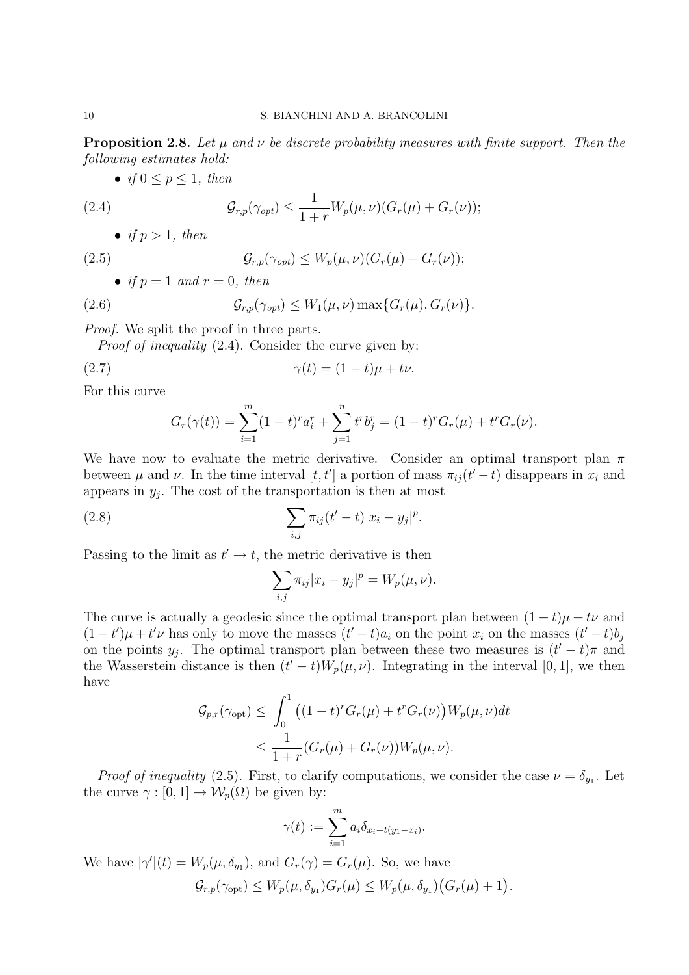**Proposition 2.8.** Let  $\mu$  and  $\nu$  be discrete probability measures with finite support. Then the following estimates hold:

• if  $0 \le p \le 1$ , then

(2.4) 
$$
\mathcal{G}_{r,p}(\gamma_{opt}) \leq \frac{1}{1+r} W_p(\mu,\nu) (G_r(\mu) + G_r(\nu));
$$

• if  $p > 1$ , then

(2.5) 
$$
\mathcal{G}_{r,p}(\gamma_{opt}) \leq W_p(\mu,\nu)(G_r(\mu) + G_r(\nu));
$$

• if 
$$
p = 1
$$
 and  $r = 0$ , then

(2.6) 
$$
\mathcal{G}_{r,p}(\gamma_{opt}) \leq W_1(\mu,\nu) \max\{G_r(\mu), G_r(\nu)\}.
$$

Proof. We split the proof in three parts.

Proof of inequality (2.4). Consider the curve given by:

$$
\gamma(t) = (1 - t)\mu + t\nu.
$$

For this curve

$$
G_r(\gamma(t)) = \sum_{i=1}^m (1-t)^r a_i^r + \sum_{j=1}^n t^r b_j^r = (1-t)^r G_r(\mu) + t^r G_r(\nu).
$$

We have now to evaluate the metric derivative. Consider an optimal transport plan  $\pi$ between  $\mu$  and  $\nu$ . In the time interval  $[t, t']$  a portion of mass  $\pi_{ij}(t'-t)$  disappears in  $x_i$  and appears in  $y_j$ . The cost of the transportation is then at most

(2.8) 
$$
\sum_{i,j} \pi_{ij}(t'-t) |x_i - y_j|^p.
$$

Passing to the limit as  $t' \rightarrow t$ , the metric derivative is then

$$
\sum_{i,j} \pi_{ij} |x_i - y_j|^p = W_p(\mu, \nu).
$$

The curve is actually a geodesic since the optimal transport plan between  $(1-t)\mu + t\nu$  and  $(1-t')\mu + t'\nu$  has only to move the masses  $(t'-t)a_i$  on the point  $x_i$  on the masses  $(t'-t)b_j$ on the points  $y_j$ . The optimal transport plan between these two measures is  $(t'-t)\pi$  and the Wasserstein distance is then  $(t'-t)W_p(\mu,\nu)$ . Integrating in the interval [0, 1], we then have

$$
\mathcal{G}_{p,r}(\gamma_{\text{opt}}) \leq \int_0^1 ((1-t)^r G_r(\mu) + t^r G_r(\nu)) W_p(\mu, \nu) dt
$$
  

$$
\leq \frac{1}{1+r} (G_r(\mu) + G_r(\nu)) W_p(\mu, \nu).
$$

*Proof of inequality* (2.5). First, to clarify computations, we consider the case  $\nu = \delta_{y_1}$ . Let the curve  $\gamma : [0, 1] \to \mathcal{W}_p(\Omega)$  be given by:

$$
\gamma(t) := \sum_{i=1}^m a_i \delta_{x_i + t(y_1 - x_i)}.
$$

We have  $|\gamma'(t) = W_p(\mu, \delta_{y_1})$ , and  $G_r(\gamma) = G_r(\mu)$ . So, we have  $\mathcal{G}_{r,p}(\gamma_{\text{opt}}) \leq W_p(\mu, \delta_{y_1}) G_r(\mu) \leq W_p(\mu, \delta_{y_1}) \big( G_r(\mu) + 1 \big).$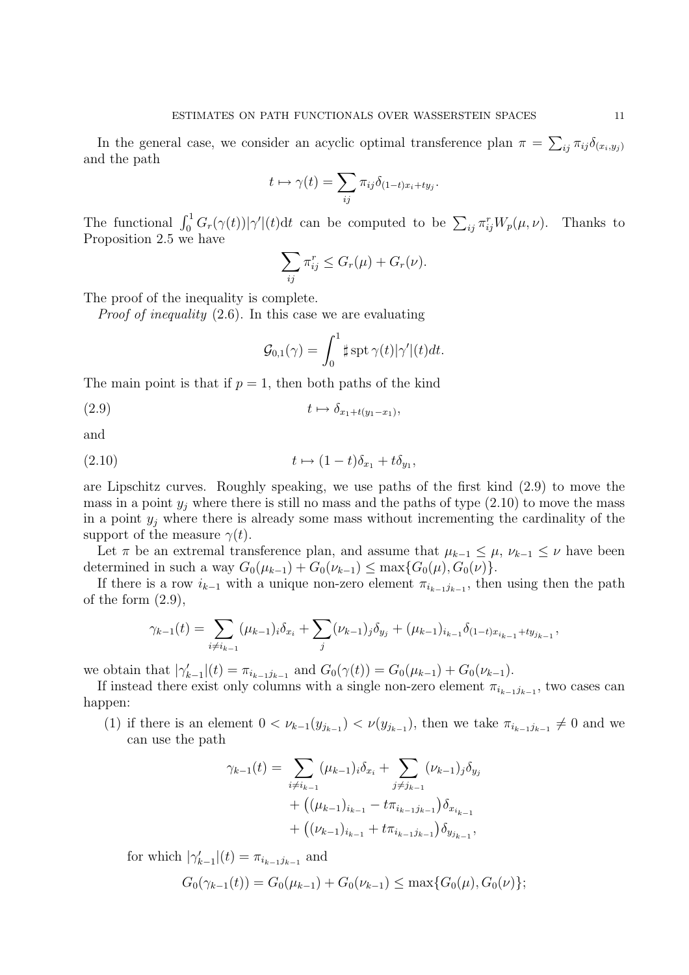In the general case, we consider an acyclic optimal transference plan  $\pi = \sum_{ij} \pi_{ij} \delta_{(x_i, y_j)}$ and the path

$$
t \mapsto \gamma(t) = \sum_{ij} \pi_{ij} \delta_{(1-t)x_i + ty_j}.
$$

The functional  $\int_0^1 G_r(\gamma(t)) |\gamma'| (t) dt$  can be computed to be  $\sum_{ij} \pi_{ij}^r W_p(\mu, \nu)$ . Thanks to Proposition 2.5 we have

$$
\sum_{ij} \pi_{ij}^r \leq G_r(\mu) + G_r(\nu).
$$

The proof of the inequality is complete.

Proof of inequality (2.6). In this case we are evaluating

$$
\mathcal{G}_{0,1}(\gamma) = \int_0^1 \sharp \operatorname{spt} \gamma(t) |\gamma'|(t) dt.
$$

The main point is that if  $p = 1$ , then both paths of the kind

(2.9)  $t \mapsto \delta_{x_1+t(y_1-x_1)}$ ,

and

$$
(2.10) \t t \mapsto (1-t)\delta_{x_1} + t\delta_{y_1},
$$

are Lipschitz curves. Roughly speaking, we use paths of the first kind (2.9) to move the mass in a point  $y_i$  where there is still no mass and the paths of type  $(2.10)$  to move the mass in a point  $y_j$  where there is already some mass without incrementing the cardinality of the support of the measure  $\gamma(t)$ .

Let  $\pi$  be an extremal transference plan, and assume that  $\mu_{k-1} \leq \mu$ ,  $\nu_{k-1} \leq \nu$  have been determined in such a way  $G_0(\mu_{k-1}) + G_0(\nu_{k-1}) \le \max\{G_0(\mu), G_0(\nu)\}.$ 

If there is a row  $i_{k-1}$  with a unique non-zero element  $\pi_{i_{k-1}j_{k-1}}$ , then using then the path of the form  $(2.9)$ ,

$$
\gamma_{k-1}(t) = \sum_{i \neq i_{k-1}} (\mu_{k-1})_i \delta_{x_i} + \sum_j (\nu_{k-1})_j \delta_{y_j} + (\mu_{k-1})_{i_{k-1}} \delta_{(1-t)x_{i_{k-1}} + ty_{j_{k-1}}},
$$

we obtain that  $|\gamma_{k-1}'|(t) = \pi_{i_{k-1}j_{k-1}}$  and  $G_0(\gamma(t)) = G_0(\mu_{k-1}) + G_0(\nu_{k-1})$ .

If instead there exist only columns with a single non-zero element  $\pi_{i_{k-1}j_{k-1}}$ , two cases can happen:

(1) if there is an element  $0 < \nu_{k-1}(y_{j_{k-1}}) < \nu(y_{j_{k-1}})$ , then we take  $\pi_{i_{k-1}j_{k-1}} \neq 0$  and we can use the path

$$
\gamma_{k-1}(t) = \sum_{i \neq i_{k-1}} (\mu_{k-1})_i \delta_{x_i} + \sum_{j \neq j_{k-1}} (\nu_{k-1})_j \delta_{y_j}
$$
  
+ 
$$
((\mu_{k-1})_{i_{k-1}} - t \pi_{i_{k-1}j_{k-1}}) \delta_{x_{i_{k-1}}}
$$
  
+ 
$$
((\nu_{k-1})_{i_{k-1}} + t \pi_{i_{k-1}j_{k-1}}) \delta_{y_{j_{k-1}}},
$$

for which  $|\gamma'_{k-1}|(t) = \pi_{i_{k-1}j_{k-1}}$  and

$$
G_0(\gamma_{k-1}(t)) = G_0(\mu_{k-1}) + G_0(\nu_{k-1}) \le \max\{G_0(\mu), G_0(\nu)\};
$$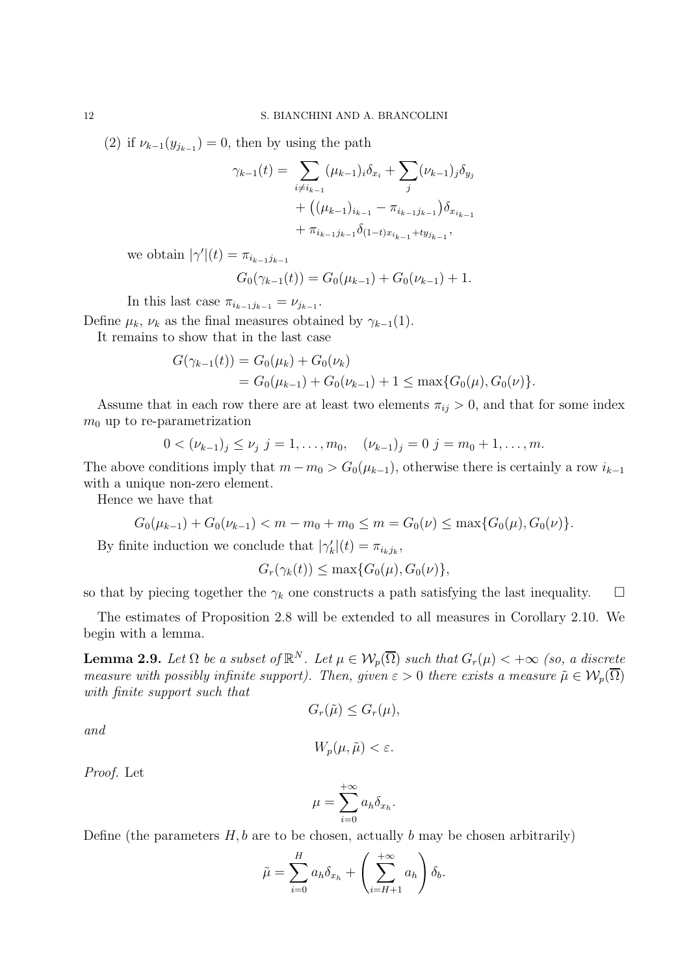(2) if  $\nu_{k-1}(y_{j_{k-1}}) = 0$ , then by using the path

$$
\gamma_{k-1}(t) = \sum_{i \neq i_{k-1}} (\mu_{k-1})_i \delta_{x_i} + \sum_j (\nu_{k-1})_j \delta_{y_j}
$$
  
+ 
$$
((\mu_{k-1})_{i_{k-1}} - \pi_{i_{k-1}j_{k-1}}) \delta_{x_{i_{k-1}}}
$$
  
+ 
$$
\pi_{i_{k-1}j_{k-1}} \delta_{(1-t)x_{i_{k-1}} + ty_{j_{k-1}}},
$$

we obtain  $|\gamma'(t) = \pi_{i_{k-1}j_{k-1}}$ 

$$
G_0(\gamma_{k-1}(t)) = G_0(\mu_{k-1}) + G_0(\nu_{k-1}) + 1.
$$

In this last case  $\pi_{i_{k-1}j_{k-1}} = \nu_{j_{k-1}}$ .

Define  $\mu_k$ ,  $\nu_k$  as the final measures obtained by  $\gamma_{k-1}(1)$ .

It remains to show that in the last case

$$
G(\gamma_{k-1}(t)) = G_0(\mu_k) + G_0(\nu_k)
$$
  
=  $G_0(\mu_{k-1}) + G_0(\nu_{k-1}) + 1 \le \max\{G_0(\mu), G_0(\nu)\}.$ 

Assume that in each row there are at least two elements  $\pi_{ij} > 0$ , and that for some index  $m_0$  up to re-parametrization

$$
0 < (\nu_{k-1})_j \leq \nu_j \ \ j = 1, \dots, m_0, \quad (\nu_{k-1})_j = 0 \ \ j = m_0 + 1, \dots, m.
$$

The above conditions imply that  $m - m_0 > G_0(\mu_{k-1})$ , otherwise there is certainly a row  $i_{k-1}$ with a unique non-zero element.

Hence we have that

$$
G_0(\mu_{k-1}) + G_0(\nu_{k-1}) < m - m_0 + m_0 \le m = G_0(\nu) \le \max\{G_0(\mu), G_0(\nu)\}.
$$

By finite induction we conclude that  $|\gamma_k'(t)| = \pi_{i_k j_k}$ ,

$$
G_r(\gamma_k(t)) \le \max\{G_0(\mu), G_0(\nu)\},\
$$

so that by piecing together the  $\gamma_k$  one constructs a path satisfying the last inequality.  $\Box$ 

The estimates of Proposition 2.8 will be extended to all measures in Corollary 2.10. We begin with a lemma.

**Lemma 2.9.** Let  $\Omega$  be a subset of  $\mathbb{R}^N$ . Let  $\mu \in \mathcal{W}_p(\overline{\Omega})$  such that  $G_r(\mu) < +\infty$  (so, a discrete measure with possibly infinite support). Then, given  $\varepsilon > 0$  there exists a measure  $\tilde{\mu} \in \mathcal{W}_p(\overline{\Omega})$ with finite support such that

$$
G_r(\tilde{\mu}) \le G_r(\mu),
$$

and

$$
W_p(\mu, \tilde{\mu}) < \varepsilon.
$$

Proof. Let

$$
\mu = \sum_{i=0}^{+\infty} a_h \delta_{x_h}.
$$

Define (the parameters  $H, b$  are to be chosen, actually b may be chosen arbitrarily)

$$
\tilde{\mu} = \sum_{i=0}^{H} a_h \delta_{x_h} + \left(\sum_{i=H+1}^{+\infty} a_h\right) \delta_b.
$$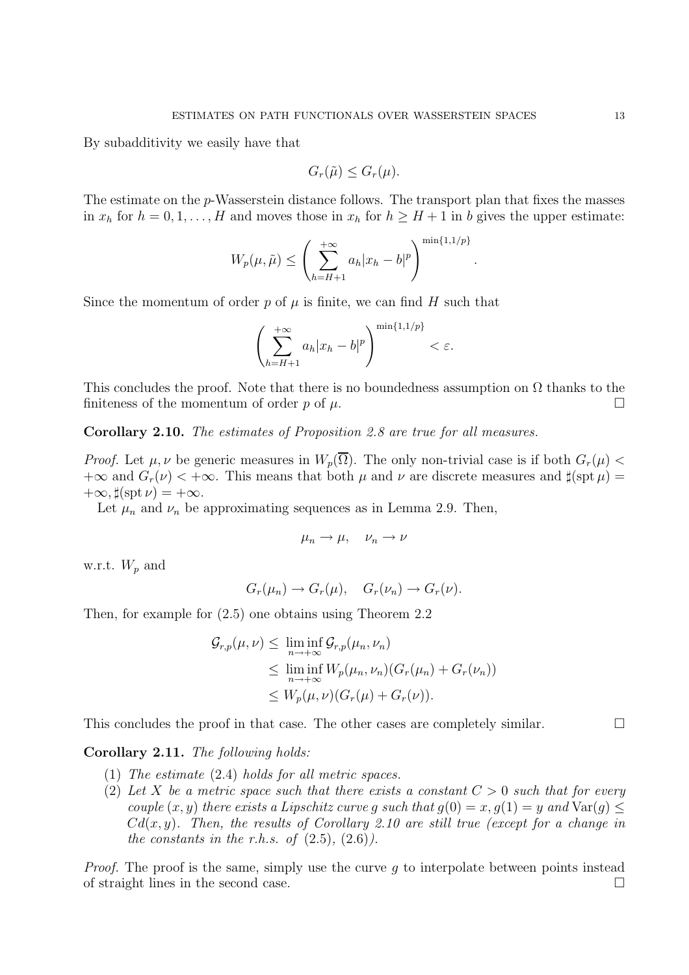By subadditivity we easily have that

$$
G_r(\tilde{\mu}) \le G_r(\mu).
$$

The estimate on the p-Wasserstein distance follows. The transport plan that fixes the masses in  $x_h$  for  $h = 0, 1, \ldots, H$  and moves those in  $x_h$  for  $h \geq H + 1$  in b gives the upper estimate:

$$
W_p(\mu, \tilde{\mu}) \le \left(\sum_{h=H+1}^{+\infty} a_h |x_h - b|^p\right)^{\min\{1, 1/p\}}
$$

.

Since the momentum of order  $p$  of  $\mu$  is finite, we can find H such that

$$
\left(\sum_{h=H+1}^{+\infty} a_h |x_h - b|^p\right)^{\min\{1,1/p\}} < \varepsilon.
$$

This concludes the proof. Note that there is no boundedness assumption on  $\Omega$  thanks to the finiteness of the momentum of order p of  $\mu$ .

Corollary 2.10. The estimates of Proposition 2.8 are true for all measures.

*Proof.* Let  $\mu, \nu$  be generic measures in  $W_p(\overline{\Omega})$ . The only non-trivial case is if both  $G_r(\mu)$  <  $+\infty$  and  $G_r(\nu) < +\infty$ . This means that both  $\mu$  and  $\nu$  are discrete measures and  $\sharp(\operatorname{spt} \mu) =$  $+\infty$ ,  $\sharp(\operatorname{spt} \nu) = +\infty$ .

Let  $\mu_n$  and  $\nu_n$  be approximating sequences as in Lemma 2.9. Then,

$$
\mu_n \to \mu, \quad \nu_n \to \nu
$$

w.r.t.  $W_p$  and

 $G_r(\mu_n) \to G_r(\mu)$ ,  $G_r(\nu_n) \to G_r(\nu)$ .

Then, for example for (2.5) one obtains using Theorem 2.2

$$
G_{r,p}(\mu,\nu) \leq \liminf_{n \to +\infty} G_{r,p}(\mu_n,\nu_n)
$$
  
\n
$$
\leq \liminf_{n \to +\infty} W_p(\mu_n,\nu_n) (G_r(\mu_n) + G_r(\nu_n))
$$
  
\n
$$
\leq W_p(\mu,\nu) (G_r(\mu) + G_r(\nu)).
$$

This concludes the proof in that case. The other cases are completely similar.

## Corollary 2.11. The following holds:

- (1) The estimate (2.4) holds for all metric spaces.
- (2) Let X be a metric space such that there exists a constant  $C > 0$  such that for every couple  $(x, y)$  there exists a Lipschitz curve q such that  $q(0) = x, q(1) = y$  and  $\text{Var}(q) \leq$  $Cd(x, y)$ . Then, the results of Corollary 2.10 are still true (except for a change in the constants in the r.h.s. of  $(2.5)$ ,  $(2.6)$ ).

*Proof.* The proof is the same, simply use the curve q to interpolate between points instead of straight lines in the second case.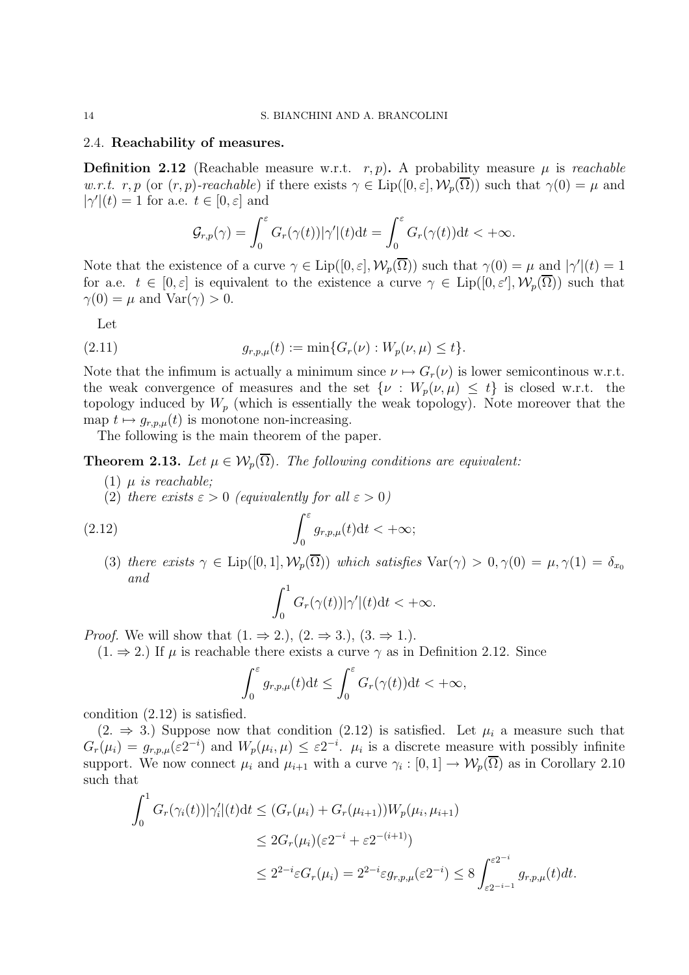#### 2.4. Reachability of measures.

**Definition 2.12** (Reachable measure w.r.t. r, p). A probability measure  $\mu$  is reachable w.r.t. r, p (or  $(r, p)$ -reachable) if there exists  $\gamma \in \text{Lip}([0, \varepsilon], \mathcal{W}_p(\overline{\Omega}))$  such that  $\gamma(0) = \mu$  and  $|\gamma'(t) = 1$  for a.e.  $t \in [0, \varepsilon]$  and

$$
\mathcal{G}_{r,p}(\gamma) = \int_0^\varepsilon G_r(\gamma(t)) |\gamma'|(t) dt = \int_0^\varepsilon G_r(\gamma(t)) dt < +\infty.
$$

Note that the existence of a curve  $\gamma \in \text{Lip}([0, \varepsilon], \mathcal{W}_p(\overline{\Omega}))$  such that  $\gamma(0) = \mu$  and  $|\gamma'(t)| = 1$ for a.e.  $t \in [0, \varepsilon]$  is equivalent to the existence a curve  $\gamma \in \text{Lip}([0, \varepsilon'], \mathcal{W}_p(\overline{\Omega}))$  such that  $\gamma(0) = \mu$  and  $\text{Var}(\gamma) > 0$ .

Let

(2.11) 
$$
g_{r,p,\mu}(t) := \min\{G_r(\nu) : W_p(\nu,\mu) \le t\}.
$$

Note that the infimum is actually a minimum since  $\nu \mapsto G_r(\nu)$  is lower semicontinous w.r.t. the weak convergence of measures and the set  $\{\nu : W_p(\nu,\mu) \leq t\}$  is closed w.r.t. the topology induced by  $W_p$  (which is essentially the weak topology). Note moreover that the map  $t \mapsto g_{r,p,\mu}(t)$  is monotone non-increasing.

The following is the main theorem of the paper.

**Theorem 2.13.** Let  $\mu \in \mathcal{W}_p(\overline{\Omega})$ . The following conditions are equivalent:

- (1)  $\mu$  is reachable:
- (2) there exists  $\varepsilon > 0$  (equivalently for all  $\varepsilon > 0$ )

(2.12) 
$$
\int_0^\varepsilon g_{r,p,\mu}(t) \mathrm{d}t < +\infty;
$$

(3) there exists  $\gamma \in \text{Lip}([0,1], \mathcal{W}_p(\overline{\Omega}))$  which satisfies  $\text{Var}(\gamma) > 0, \gamma(0) = \mu, \gamma(1) = \delta_{x_0}$ and

$$
\int_0^1 G_r(\gamma(t))|\gamma'|(t)dt < +\infty.
$$

*Proof.* We will show that  $(1. \Rightarrow 2.), (2. \Rightarrow 3.), (3. \Rightarrow 1.).$ 

 $(1. \Rightarrow 2.)$  If  $\mu$  is reachable there exists a curve  $\gamma$  as in Definition 2.12. Since

$$
\int_0^{\varepsilon} g_{r,p,\mu}(t)dt \le \int_0^{\varepsilon} G_r(\gamma(t))dt < +\infty,
$$

condition (2.12) is satisfied.

 $(2. \Rightarrow 3.)$  Suppose now that condition  $(2.12)$  is satisfied. Let  $\mu_i$  a measure such that  $G_r(\mu_i) = g_{r,p,\mu}(\varepsilon 2^{-i})$  and  $W_p(\mu_i,\mu) \leq \varepsilon 2^{-i}$ .  $\mu_i$  is a discrete measure with possibly infinite support. We now connect  $\mu_i$  and  $\mu_{i+1}$  with a curve  $\gamma_i : [0,1] \to \mathcal{W}_p(\Omega)$  as in Corollary 2.10 such that

$$
\int_0^1 G_r(\gamma_i(t)) |\gamma'_i|(t) dt \le (G_r(\mu_i) + G_r(\mu_{i+1})) W_p(\mu_i, \mu_{i+1})
$$
  
\n
$$
\le 2G_r(\mu_i) (\varepsilon 2^{-i} + \varepsilon 2^{-(i+1)})
$$
  
\n
$$
\le 2^{2^{-i}} \varepsilon G_r(\mu_i) = 2^{2^{-i}} \varepsilon g_{r,p,\mu}(\varepsilon 2^{-i}) \le 8 \int_{\varepsilon 2^{-i-1}}^{\varepsilon 2^{-i}} g_{r,p,\mu}(t) dt.
$$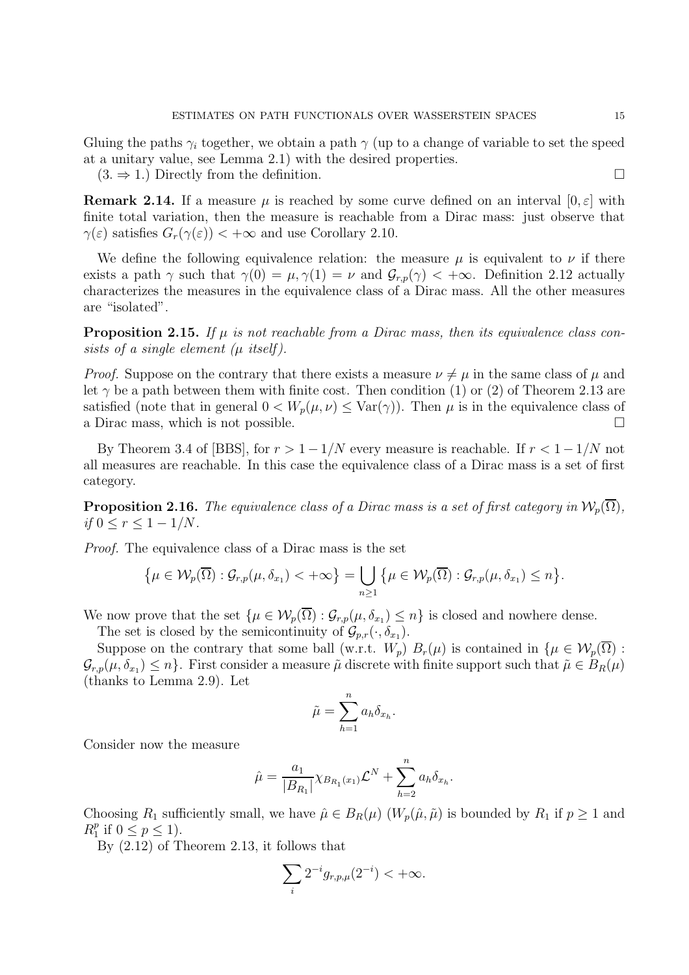Gluing the paths  $\gamma_i$  together, we obtain a path  $\gamma$  (up to a change of variable to set the speed at a unitary value, see Lemma 2.1) with the desired properties.

 $(3. \Rightarrow 1.)$  Directly from the definition.

**Remark 2.14.** If a measure  $\mu$  is reached by some curve defined on an interval  $[0, \varepsilon]$  with finite total variation, then the measure is reachable from a Dirac mass: just observe that  $\gamma(\varepsilon)$  satisfies  $G_r(\gamma(\varepsilon)) < +\infty$  and use Corollary 2.10.

We define the following equivalence relation: the measure  $\mu$  is equivalent to  $\nu$  if there exists a path  $\gamma$  such that  $\gamma(0) = \mu, \gamma(1) = \nu$  and  $\mathcal{G}_{r,p}(\gamma) < +\infty$ . Definition 2.12 actually characterizes the measures in the equivalence class of a Dirac mass. All the other measures are "isolated".

**Proposition 2.15.** If  $\mu$  is not reachable from a Dirac mass, then its equivalence class consists of a single element  $(\mu$  itself).

*Proof.* Suppose on the contrary that there exists a measure  $\nu \neq \mu$  in the same class of  $\mu$  and let  $\gamma$  be a path between them with finite cost. Then condition (1) or (2) of Theorem 2.13 are satisfied (note that in general  $0 < W_p(\mu, \nu) \leq \text{Var}(\gamma)$ ). Then  $\mu$  is in the equivalence class of a Dirac mass, which is not possible.

By Theorem 3.4 of [BBS], for  $r > 1 - 1/N$  every measure is reachable. If  $r < 1 - 1/N$  not all measures are reachable. In this case the equivalence class of a Dirac mass is a set of first category.

**Proposition 2.16.** The equivalence class of a Dirac mass is a set of first category in  $\mathcal{W}_p(\overline{\Omega})$ , *if*  $0 \le r \le 1 - 1/N$ .

Proof. The equivalence class of a Dirac mass is the set

$$
\{\mu\in\mathcal{W}_p(\overline{\Omega}): \mathcal{G}_{r,p}(\mu,\delta_{x_1})<+\infty\}=\bigcup_{n\geq 1}\{\mu\in\mathcal{W}_p(\overline{\Omega}): \mathcal{G}_{r,p}(\mu,\delta_{x_1})\leq n\}.
$$

We now prove that the set  $\{\mu \in \mathcal{W}_p(\Omega) : \mathcal{G}_{r,p}(\mu, \delta_{x_1}) \leq n\}$  is closed and nowhere dense.

The set is closed by the semicontinuity of  $\mathcal{G}_{p,r}(\cdot,\delta_{x_1})$ .

Suppose on the contrary that some ball (w.r.t.  $W_p$ )  $B_r(\mu)$  is contained in  $\{\mu \in \mathcal{W}_p(\overline{\Omega})\}$ :  $\mathcal{G}_{r,p}(\mu,\delta_{x_1})\leq n\}$ . First consider a measure  $\tilde{\mu}$  discrete with finite support such that  $\tilde{\mu}\in B_R(\mu)$ (thanks to Lemma 2.9). Let

$$
\tilde{\mu} = \sum_{h=1}^{n} a_h \delta_{x_h}.
$$

Consider now the measure

$$
\hat{\mu} = \frac{a_1}{|B_{R_1}|} \chi_{B_{R_1}(x_1)} \mathcal{L}^N + \sum_{h=2}^n a_h \delta_{x_h}.
$$

Choosing  $R_1$  sufficiently small, we have  $\hat{\mu} \in B_R(\mu)$   $(W_p(\hat{\mu}, \tilde{\mu})$  is bounded by  $R_1$  if  $p \ge 1$  and  $R_1^p$  $_{1}^{p}$  if  $0 \leq p \leq 1$ ).

By (2.12) of Theorem 2.13, it follows that

$$
\sum_i 2^{-i} g_{r,p,\mu}(2^{-i}) < +\infty.
$$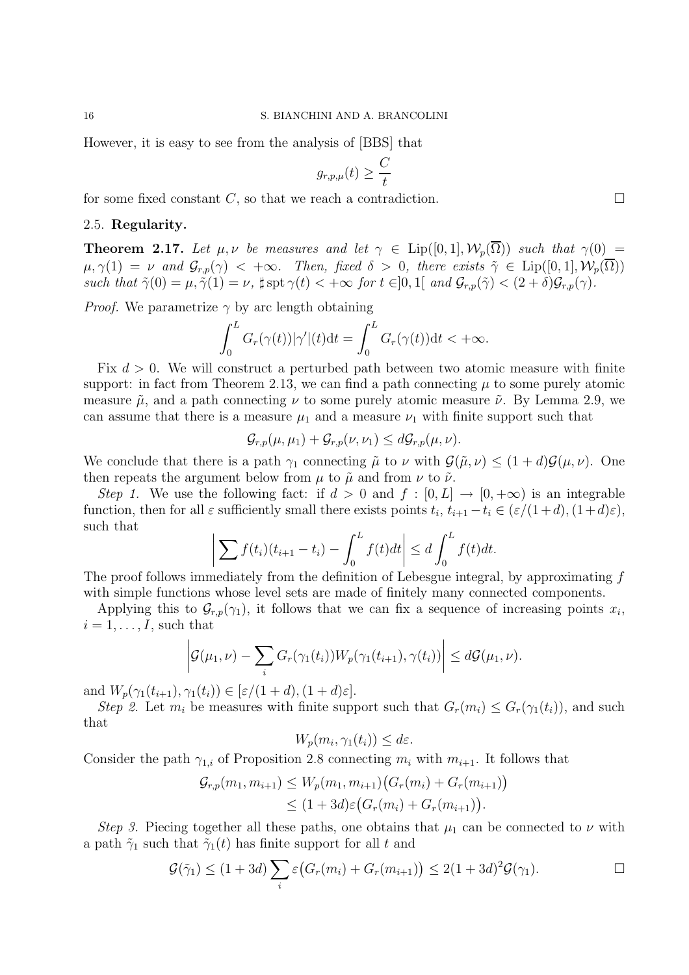16 S. BIANCHINI AND A. BRANCOLINI

However, it is easy to see from the analysis of [BBS] that

$$
g_{r,p,\mu}(t) \geq \frac{C}{t}
$$

for some fixed constant C, so that we reach a contradiction.  $\Box$ 

## 2.5. Regularity.

**Theorem 2.17.** Let  $\mu, \nu$  be measures and let  $\gamma \in \text{Lip}([0,1], \mathcal{W}_p(\overline{\Omega}))$  such that  $\gamma(0)$  =  $\mu, \gamma(1) = \nu$  and  $\mathcal{G}_{r,p}(\gamma) < +\infty$ . Then, fixed  $\delta > 0$ , there exists  $\tilde{\gamma} \in \text{Lip}([0,1], \mathcal{W}_p(\overline{\Omega}))$ such that  $\tilde{\gamma}(0) = \mu, \tilde{\gamma}(1) = \nu$ ,  $\sharp \operatorname{spt} \gamma(t) < +\infty$  for  $t \in ]0,1[$  and  $\mathcal{G}_{r,p}(\tilde{\gamma}) < (2+\delta)\mathcal{G}_{r,p}(\gamma)$ .

*Proof.* We parametrize  $\gamma$  by arc length obtaining

$$
\int_0^L G_r(\gamma(t))|\gamma'|(t)dt = \int_0^L G_r(\gamma(t))dt < +\infty.
$$

Fix  $d > 0$ . We will construct a perturbed path between two atomic measure with finite support: in fact from Theorem 2.13, we can find a path connecting  $\mu$  to some purely atomic measure  $\tilde{\mu}$ , and a path connecting  $\nu$  to some purely atomic measure  $\tilde{\nu}$ . By Lemma 2.9, we can assume that there is a measure  $\mu_1$  and a measure  $\nu_1$  with finite support such that

$$
\mathcal{G}_{r,p}(\mu,\mu_1)+\mathcal{G}_{r,p}(\nu,\nu_1)\leq d\mathcal{G}_{r,p}(\mu,\nu).
$$

We conclude that there is a path  $\gamma_1$  connecting  $\tilde{\mu}$  to  $\nu$  with  $\mathcal{G}(\tilde{\mu}, \nu) \leq (1+d)\mathcal{G}(\mu, \nu)$ . One then repeats the argument below from  $\mu$  to  $\tilde{\mu}$  and from  $\nu$  to  $\tilde{\nu}$ .

Step 1. We use the following fact: if  $d > 0$  and  $f : [0, L] \rightarrow [0, +\infty)$  is an integrable function, then for all  $\varepsilon$  sufficiently small there exists points  $t_i$ ,  $t_{i+1} - t_i \in (\varepsilon/(1+d), (1+d)\varepsilon)$ , such that

$$
\left| \sum f(t_i)(t_{i+1} - t_i) - \int_0^L f(t)dt \right| \le d \int_0^L f(t)dt.
$$

The proof follows immediately from the definition of Lebesgue integral, by approximating f with simple functions whose level sets are made of finitely many connected components.

Applying this to  $\mathcal{G}_{r,p}(\gamma_1)$ , it follows that we can fix a sequence of increasing points  $x_i$ ,  $i = 1, \ldots, I$ , such that

$$
\left| \mathcal{G}(\mu_1, \nu) - \sum_i G_r(\gamma_1(t_i)) W_p(\gamma_1(t_{i+1}), \gamma(t_i)) \right| \leq d \mathcal{G}(\mu_1, \nu).
$$

and  $W_p(\gamma_1(t_{i+1}), \gamma_1(t_i)) \in [\varepsilon/(1+d), (1+d)\varepsilon].$ 

Step 2. Let  $m_i$  be measures with finite support such that  $G_r(m_i) \leq G_r(\gamma_1(t_i))$ , and such that

$$
W_p(m_i, \gamma_1(t_i)) \leq d\varepsilon.
$$

Consider the path  $\gamma_{1,i}$  of Proposition 2.8 connecting  $m_i$  with  $m_{i+1}$ . It follows that

$$
\mathcal{G}_{r,p}(m_1, m_{i+1}) \leq W_p(m_1, m_{i+1}) \big( G_r(m_i) + G_r(m_{i+1}) \big) \leq (1 + 3d) \varepsilon \big( G_r(m_i) + G_r(m_{i+1}) \big).
$$

Step 3. Piecing together all these paths, one obtains that  $\mu_1$  can be connected to  $\nu$  with a path  $\tilde{\gamma}_1$  such that  $\tilde{\gamma}_1(t)$  has finite support for all t and

$$
\mathcal{G}(\tilde{\gamma}_1) \le (1+3d) \sum_i \varepsilon \big( G_r(m_i) + G_r(m_{i+1}) \big) \le 2(1+3d)^2 \mathcal{G}(\gamma_1).
$$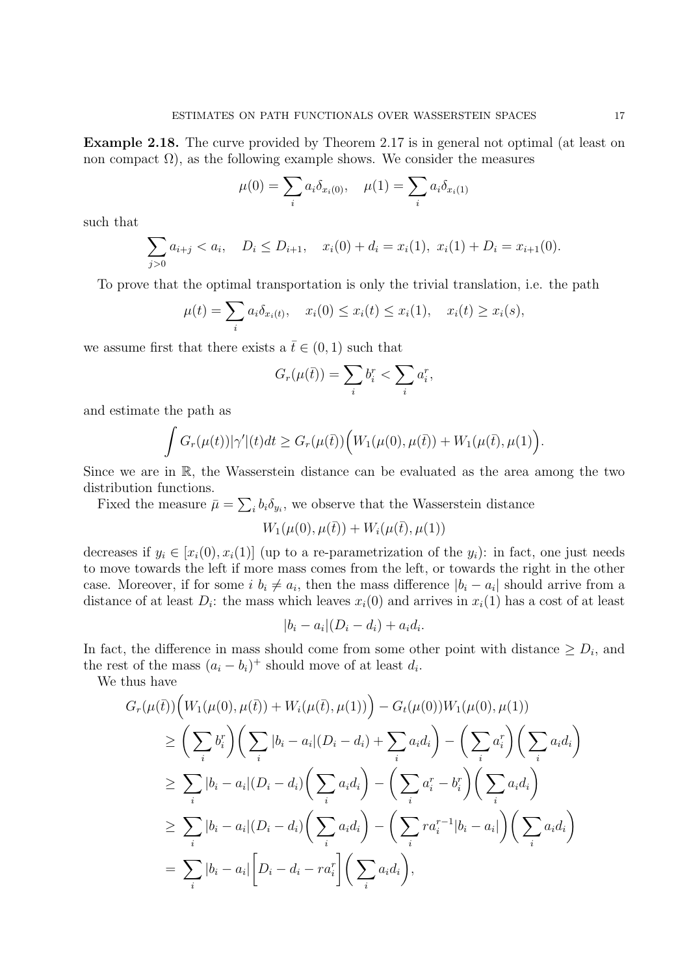Example 2.18. The curve provided by Theorem 2.17 is in general not optimal (at least on non compact  $\Omega$ ), as the following example shows. We consider the measures

$$
\mu(0) = \sum_{i} a_i \delta_{x_i(0)}, \quad \mu(1) = \sum_{i} a_i \delta_{x_i(1)}
$$

such that

$$
\sum_{j>0} a_{i+j} < a_i, \quad D_i \le D_{i+1}, \quad x_i(0) + d_i = x_i(1), \ x_i(1) + D_i = x_{i+1}(0).
$$

To prove that the optimal transportation is only the trivial translation, i.e. the path

$$
\mu(t) = \sum_i a_i \delta_{x_i(t)}, \quad x_i(0) \le x_i(t) \le x_i(1), \quad x_i(t) \ge x_i(s),
$$

we assume first that there exists a  $\bar{t} \in (0, 1)$  such that

$$
G_r(\mu(\bar{t})) = \sum_i b_i^r < \sum_i a_i^r,
$$

and estimate the path as

$$
\int G_r(\mu(t))|\gamma'|(t)dt \geq G_r(\mu(\bar{t}))\Big(W_1(\mu(0),\mu(\bar{t}))+W_1(\mu(\bar{t}),\mu(1)\Big).
$$

Since we are in R, the Wasserstein distance can be evaluated as the area among the two distribution functions.

Fixed the measure  $\bar{\mu} = \sum_i b_i \delta_{y_i}$ , we observe that the Wasserstein distance

$$
W_1(\mu(0), \mu(\bar{t})) + W_i(\mu(\bar{t}), \mu(1))
$$

decreases if  $y_i \in [x_i(0), x_i(1)]$  (up to a re-parametrization of the  $y_i$ ): in fact, one just needs to move towards the left if more mass comes from the left, or towards the right in the other case. Moreover, if for some  $i, b_i \neq a_i$ , then the mass difference  $|b_i - a_i|$  should arrive from a distance of at least  $D_i$ : the mass which leaves  $x_i(0)$  and arrives in  $x_i(1)$  has a cost of at least

$$
|b_i - a_i|(D_i - d_i) + a_i d_i.
$$

In fact, the difference in mass should come from some other point with distance  $\geq D_i$ , and the rest of the mass  $(a_i - b_i)^+$  should move of at least  $d_i$ .

We thus have

$$
G_r(\mu(\bar{t}))\Big(W_1(\mu(0), \mu(\bar{t})) + W_i(\mu(\bar{t}), \mu(1))\Big) - G_t(\mu(0))W_1(\mu(0), \mu(1))
$$
  
\n
$$
\geq \left(\sum_i b_i^r\right)\left(\sum_i |b_i - a_i|(D_i - d_i) + \sum_i a_i d_i\right) - \left(\sum_i a_i^r\right)\left(\sum_i a_i d_i\right)
$$
  
\n
$$
\geq \sum_i |b_i - a_i|(D_i - d_i)\left(\sum_i a_i d_i\right) - \left(\sum_i a_i^r - b_i^r\right)\left(\sum_i a_i d_i\right)
$$
  
\n
$$
\geq \sum_i |b_i - a_i|(D_i - d_i)\left(\sum_i a_i d_i\right) - \left(\sum_i r a_i^{r-1}|b_i - a_i|\right)\left(\sum_i a_i d_i\right)
$$
  
\n
$$
= \sum_i |b_i - a_i|\Big[D_i - d_i - r a_i^r\Big]\Big(\sum_i a_i d_i\Big),
$$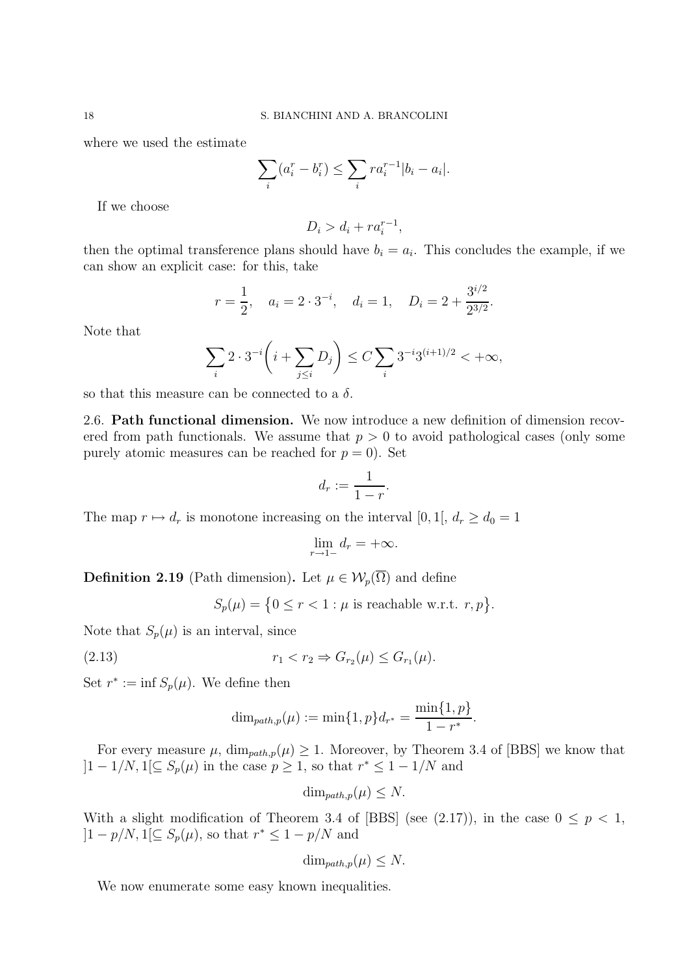where we used the estimate

$$
\sum_{i} (a_i^r - b_i^r) \le \sum_{i} r a_i^{r-1} |b_i - a_i|.
$$

If we choose

$$
D_i > d_i + ra_i^{r-1},
$$

then the optimal transference plans should have  $b_i = a_i$ . This concludes the example, if we can show an explicit case: for this, take

$$
r = \frac{1}{2}
$$
,  $a_i = 2 \cdot 3^{-i}$ ,  $d_i = 1$ ,  $D_i = 2 + \frac{3^{i/2}}{2^{3/2}}$ .

Note that

$$
\sum_{i} 2 \cdot 3^{-i} \left( i + \sum_{j \le i} D_j \right) \le C \sum_{i} 3^{-i} 3^{(i+1)/2} < +\infty,
$$

so that this measure can be connected to a  $\delta$ .

2.6. Path functional dimension. We now introduce a new definition of dimension recovered from path functionals. We assume that  $p > 0$  to avoid pathological cases (only some purely atomic measures can be reached for  $p = 0$ ). Set

$$
d_r := \frac{1}{1-r}.
$$

The map  $r \mapsto d_r$  is monotone increasing on the interval [0, 1[,  $d_r \geq d_0 = 1$ 

$$
\lim_{r \to 1-} d_r = +\infty.
$$

**Definition 2.19** (Path dimension). Let  $\mu \in \mathcal{W}_p(\overline{\Omega})$  and define

 $S_p(\mu) = \{0 \le r < 1 : \mu \text{ is reachable w.r.t. } r, p\}.$ 

Note that  $S_p(\mu)$  is an interval, since

(2.13) 
$$
r_1 < r_2 \Rightarrow G_{r_2}(\mu) \le G_{r_1}(\mu).
$$

Set  $r^* := \inf S_p(\mu)$ . We define then

$$
\dim_{path,p}(\mu) := \min\{1, p\} d_{r^*} = \frac{\min\{1, p\}}{1 - r^*}.
$$

For every measure  $\mu$ ,  $\dim_{path,p}(\mu) \geq 1$ . Moreover, by Theorem 3.4 of [BBS] we know that  $]1-1/N, 1[\subseteq S_p(\mu)]$  in the case  $p \geq 1$ , so that  $r^* \leq 1-1/N$  and

$$
\dim_{path,p}(\mu) \leq N.
$$

With a slight modification of Theorem 3.4 of [BBS] (see (2.17)), in the case  $0 \leq p < 1$ ,  $]1 - p/N, 1[\subseteq S_p(\mu), \text{ so that } r^* \leq 1 - p/N \text{ and }$ 

$$
\dim_{path,p}(\mu) \leq N.
$$

We now enumerate some easy known inequalities.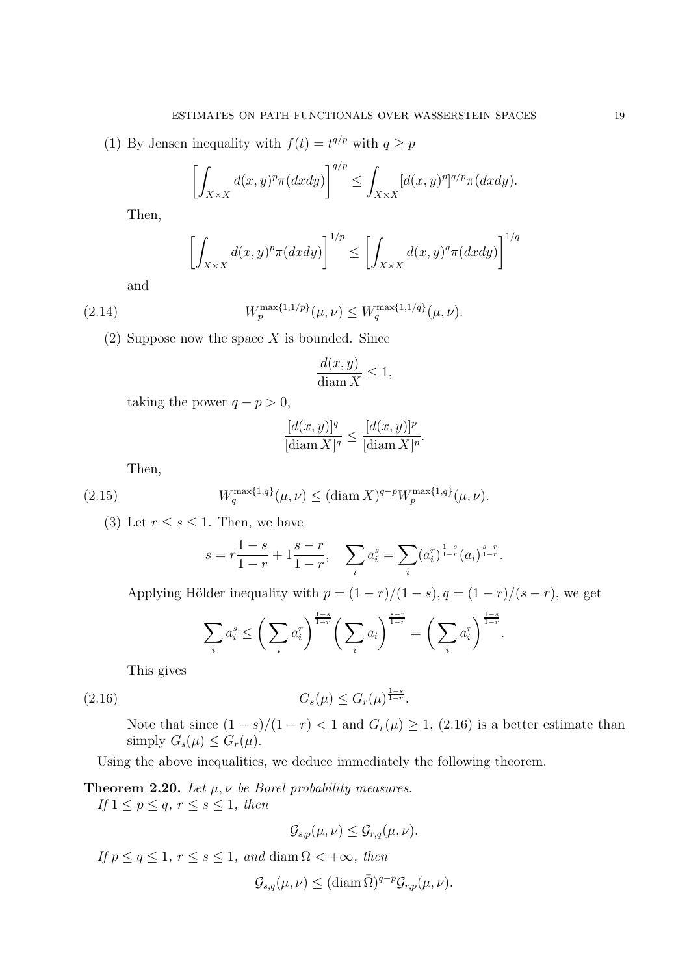(1) By Jensen inequality with  $f(t) = t^{q/p}$  with  $q \geq p$ 

$$
\left[\int_{X\times X}d(x,y)^p\pi(dxdy)\right]^{q/p}\leq \int_{X\times X}[d(x,y)^p]^{q/p}\pi(dxdy).
$$

Then,

$$
\left[\int_{X\times X} d(x,y)^p \pi(dxdy)\right]^{1/p} \le \left[\int_{X\times X} d(x,y)^q \pi(dxdy)\right]^{1/q}
$$

and

(2.14) 
$$
W_p^{\max\{1,1/p\}}(\mu,\nu) \le W_q^{\max\{1,1/q\}}(\mu,\nu).
$$

 $(2)$  Suppose now the space X is bounded. Since

$$
\frac{d(x,y)}{\text{diam}\, X} \le 1,
$$

taking the power  $q - p > 0$ ,

$$
\frac{[d(x,y)]^q}{[\text{diam}\, X]^q} \le \frac{[d(x,y)]^p}{[\text{diam}\, X]^p}.
$$

Then,

(2.15) 
$$
W_q^{\max\{1,q\}}(\mu,\nu) \leq (\text{diam } X)^{q-p} W_p^{\max\{1,q\}}(\mu,\nu).
$$

(3) Let  $r \leq s \leq 1$ . Then, we have

$$
s = r\frac{1-s}{1-r} + 1\frac{s-r}{1-r}, \quad \sum_{i} a_i^s = \sum_{i} (a_i^r)^{\frac{1-s}{1-r}} (a_i)^{\frac{s-r}{1-r}}.
$$

Applying Hölder inequality with  $p = (1 - r)/(1 - s)$ ,  $q = (1 - r)/(s - r)$ , we get

$$
\sum_{i} a_i^s \le \left(\sum_{i} a_i^r\right)^{\frac{1-s}{1-r}} \left(\sum_{i} a_i\right)^{\frac{s-r}{1-r}} = \left(\sum_{i} a_i^r\right)^{\frac{1-s}{1-r}}.
$$

This gives

(2.16) 
$$
G_s(\mu) \le G_r(\mu)^{\frac{1-s}{1-r}}.
$$

Note that since  $(1 - s)/(1 - r) < 1$  and  $G_r(\mu) \geq 1$ ,  $(2.16)$  is a better estimate than simply  $G_s(\mu) \leq G_r(\mu)$ .

Using the above inequalities, we deduce immediately the following theorem.

**Theorem 2.20.** Let  $\mu$ ,  $\nu$  be Borel probability measures.

If  $1 \leq p \leq q, r \leq s \leq 1$ , then

$$
\mathcal{G}_{s,p}(\mu,\nu)\leq \mathcal{G}_{r,q}(\mu,\nu).
$$

If  $p \le q \le 1$ ,  $r \le s \le 1$ , and diam  $\Omega < +\infty$ , then

 $\mathcal{G}_{s,q}(\mu, \nu) \leq (\text{diam}\,\overline{\Omega})^{q-p} \mathcal{G}_{r,p}(\mu, \nu).$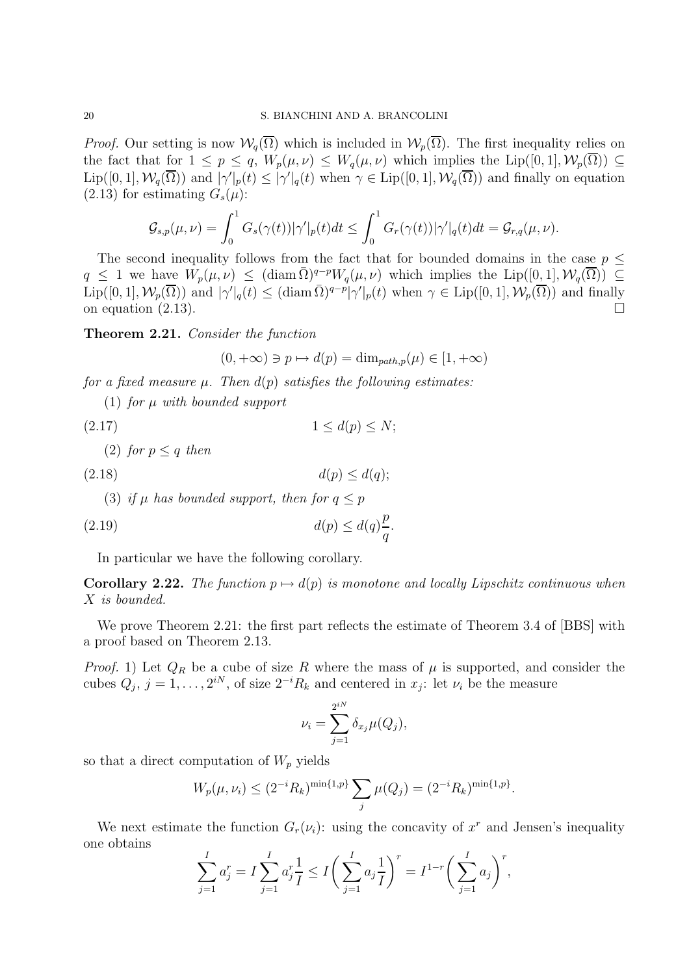*Proof.* Our setting is now  $W_q(\overline{\Omega})$  which is included in  $W_p(\overline{\Omega})$ . The first inequality relies on the fact that for  $1 \le p \le q$ ,  $W_p(\mu, \nu) \le W_q(\mu, \nu)$  which implies the Lip([0, 1],  $\mathcal{W}_p(\overline{\Omega}) \subseteq$  $\text{Lip}([0,1], \mathcal{W}_q(\overline{\Omega}))$  and  $|\gamma'|_p(t) \leq |\gamma'|_q(t)$  when  $\gamma \in \text{Lip}([0,1], \mathcal{W}_q(\overline{\Omega}))$  and finally on equation  $(2.13)$  for estimating  $G_s(\mu)$ :

$$
\mathcal{G}_{s,p}(\mu,\nu)=\int_0^1 G_s(\gamma(t))|\gamma'|_p(t)dt\leq \int_0^1 G_r(\gamma(t))|\gamma'|_q(t)dt=\mathcal{G}_{r,q}(\mu,\nu).
$$

The second inequality follows from the fact that for bounded domains in the case  $p \leq$  $q \leq 1$  we have  $W_p(\mu, \nu) \leq (\text{diam}\,\overline{\Omega})^{q-p}W_q(\mu, \nu)$  which implies the Lip $([0, 1], \mathcal{W}_q(\overline{\Omega})) \subseteq$  $\text{Lip}([0,1], \mathcal{W}_p(\overline{\Omega}))$  and  $|\gamma'|_q(t) \leq (\text{diam }\overline{\Omega})^{q-p} |\gamma'|_p(t)$  when  $\gamma \in \text{Lip}([0,1], \mathcal{W}_p(\overline{\Omega}))$  and finally on equation  $(2.13)$ .

Theorem 2.21. Consider the function

$$
(0, +\infty) \ni p \mapsto d(p) = \dim_{path, p}(\mu) \in [1, +\infty)
$$

for a fixed measure  $\mu$ . Then  $d(p)$  satisfies the following estimates:

(1) for  $\mu$  with bounded support

$$
(2.17) \t\t\t 1 \le d(p) \le N;
$$

(2) for  $p < q$  then

$$
d(p) \le d(q);
$$

(3) if  $\mu$  has bounded support, then for  $q \leq p$ 

$$
(2.19) \t d(p) \le d(q)\frac{p}{q}.
$$

In particular we have the following corollary.

Corollary 2.22. The function  $p \mapsto d(p)$  is monotone and locally Lipschitz continuous when X is bounded.

We prove Theorem 2.21: the first part reflects the estimate of Theorem 3.4 of [BBS] with a proof based on Theorem 2.13.

*Proof.* 1) Let  $Q_R$  be a cube of size R where the mass of  $\mu$  is supported, and consider the cubes  $Q_j$ ,  $j = 1, \ldots, 2^{iN}$ , of size  $2^{-i}R_k$  and centered in  $x_j$ : let  $\nu_i$  be the measure

$$
\nu_i = \sum_{j=1}^{2^{iN}} \delta_{x_j} \mu(Q_j),
$$

so that a direct computation of  $W_p$  yields

$$
W_p(\mu, \nu_i) \le (2^{-i} R_k)^{\min\{1, p\}} \sum_j \mu(Q_j) = (2^{-i} R_k)^{\min\{1, p\}}.
$$

We next estimate the function  $G_r(\nu_i)$ : using the concavity of  $x^r$  and Jensen's inequality one obtains

$$
\sum_{j=1}^{I} a_j^r = I \sum_{j=1}^{I} a_j^r \frac{1}{I} \le I \bigg( \sum_{j=1}^{I} a_j \frac{1}{I} \bigg)^r = I^{1-r} \bigg( \sum_{j=1}^{I} a_j \bigg)^r,
$$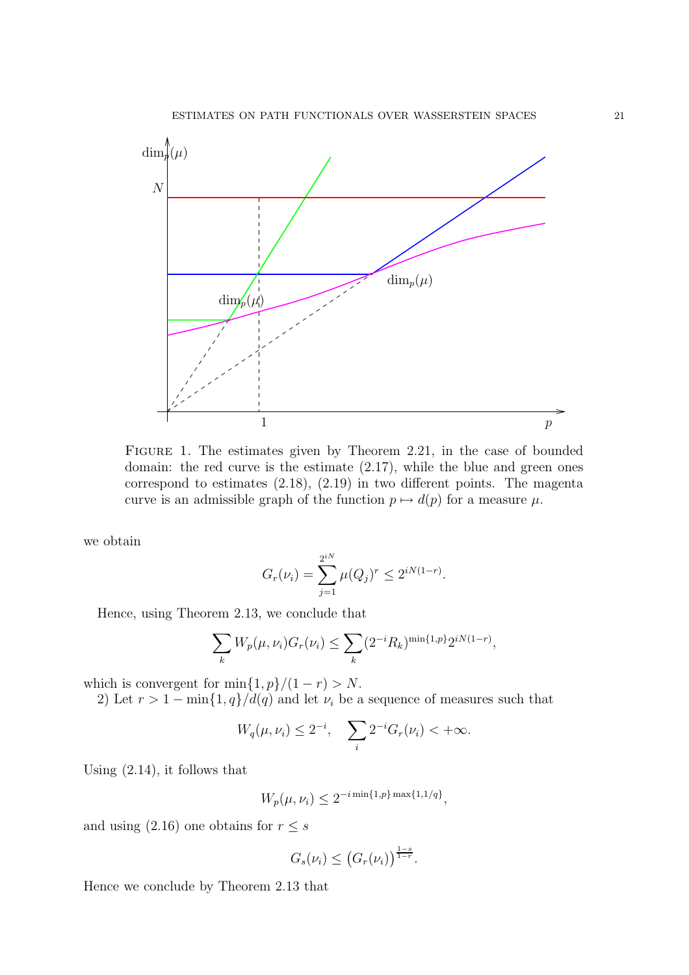

FIGURE 1. The estimates given by Theorem 2.21, in the case of bounded domain: the red curve is the estimate (2.17), while the blue and green ones correspond to estimates (2.18), (2.19) in two different points. The magenta curve is an admissible graph of the function  $p \mapsto d(p)$  for a measure  $\mu$ .

we obtain

$$
G_r(\nu_i) = \sum_{j=1}^{2^{iN}} \mu(Q_j)^r \le 2^{iN(1-r)}.
$$

Hence, using Theorem 2.13, we conclude that

$$
\sum_{k} W_p(\mu, \nu_i) G_r(\nu_i) \le \sum_{k} (2^{-i} R_k)^{\min\{1, p\}} 2^{iN(1-r)},
$$

which is convergent for  $\min\{1, p\}/(1 - r) > N$ .

2) Let  $r > 1 - \min\{1, q\}/d(q)$  and let  $\nu_i$  be a sequence of measures such that

$$
W_q(\mu, \nu_i) \le 2^{-i}, \quad \sum_i 2^{-i} G_r(\nu_i) < +\infty.
$$

Using (2.14), it follows that

$$
W_p(\mu, \nu_i) \le 2^{-i \min\{1, p\} \max\{1, 1/q\}},
$$

and using (2.16) one obtains for  $r \leq s$ 

$$
G_s(\nu_i) \leq \big(G_r(\nu_i)\big)^{\frac{1-s}{1-r}}.
$$

Hence we conclude by Theorem 2.13 that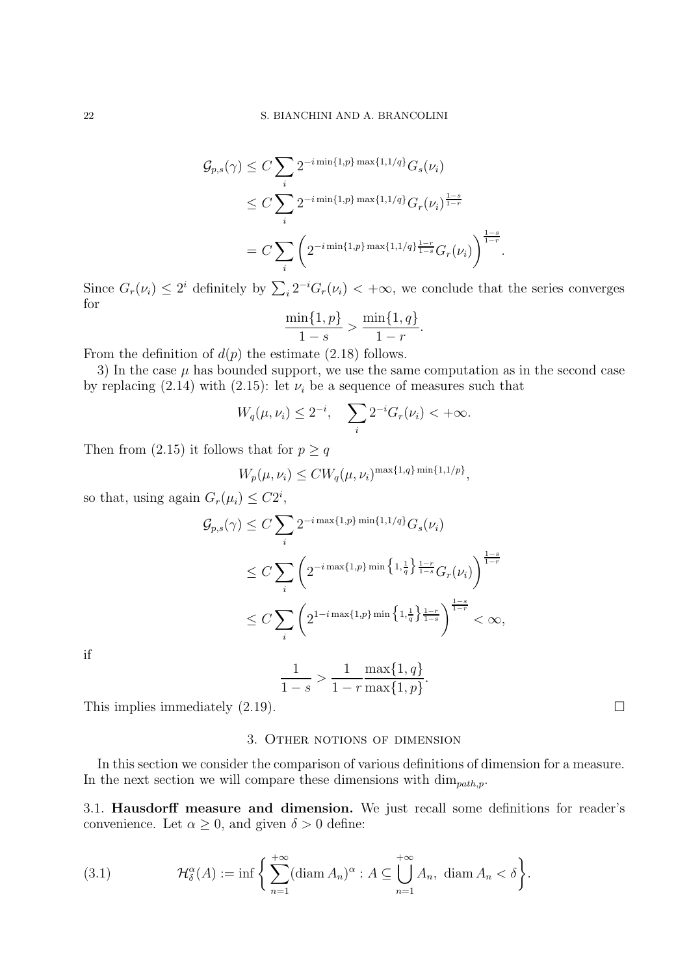$$
G_{p,s}(\gamma) \leq C \sum_{i} 2^{-i \min\{1,p\} \max\{1,1/q\}} G_s(\nu_i)
$$
  
\n
$$
\leq C \sum_{i} 2^{-i \min\{1,p\} \max\{1,1/q\}} G_r(\nu_i)^{\frac{1-s}{1-r}}
$$
  
\n
$$
= C \sum_{i} \left( 2^{-i \min\{1,p\} \max\{1,1/q\} \frac{1-r}{1-s} G_r(\nu_i) \right)^{\frac{1-s}{1-r}}.
$$

Since  $G_r(\nu_i) \leq 2^i$  definitely by  $\sum_i 2^{-i} G_r(\nu_i) < +\infty$ , we conclude that the series converges for

$$
\frac{\min\{1, p\}}{1 - s} > \frac{\min\{1, q\}}{1 - r}
$$

.

From the definition of  $d(p)$  the estimate (2.18) follows.

3) In the case  $\mu$  has bounded support, we use the same computation as in the second case by replacing (2.14) with (2.15): let  $\nu_i$  be a sequence of measures such that

$$
W_q(\mu, \nu_i) \le 2^{-i}, \quad \sum_i 2^{-i} G_r(\nu_i) < +\infty.
$$

Then from (2.15) it follows that for  $p \geq q$ 

$$
W_p(\mu, \nu_i) \leq C W_q(\mu, \nu_i)^{\max\{1, q\} \min\{1, 1/p\}},
$$

so that, using again  $G_r(\mu_i) \leq C2^i$ ,

$$
G_{p,s}(\gamma) \leq C \sum_{i} 2^{-i \max\{1,p\} \min\{1,1/q\}} G_s(\nu_i)
$$
  

$$
\leq C \sum_{i} \left( 2^{-i \max\{1,p\} \min\left\{1,\frac{1}{q}\right\} \frac{1-r}{1-s} G_r(\nu_i)} \right)^{\frac{1-s}{1-r}}
$$
  

$$
\leq C \sum_{i} \left( 2^{1-i \max\{1,p\} \min\left\{1,\frac{1}{q}\right\} \frac{1-r}{1-s}} \right)^{\frac{1-s}{1-r}} < \infty,
$$

if

1  $1-s$  $>$ 1  $1 - r$  $\max\{1,q\}$  $\max\{1,p\}$ .

This implies immediately  $(2.19)$ .

# 3. Other notions of dimension

In this section we consider the comparison of various definitions of dimension for a measure. In the next section we will compare these dimensions with  $\dim_{path,p}$ .

3.1. Hausdorff measure and dimension. We just recall some definitions for reader's convenience. Let  $\alpha \geq 0$ , and given  $\delta > 0$  define:

(3.1) 
$$
\mathcal{H}_{\delta}^{\alpha}(A) := \inf \left\{ \sum_{n=1}^{+\infty} (\text{diam } A_n)^{\alpha} : A \subseteq \bigcup_{n=1}^{+\infty} A_n, \text{ diam } A_n < \delta \right\}.
$$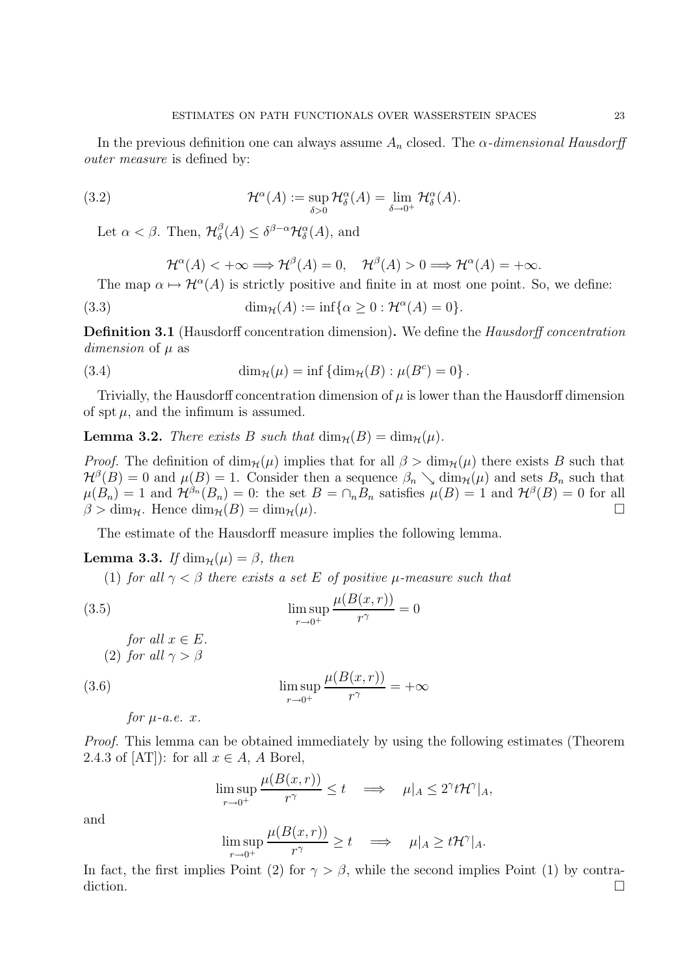In the previous definition one can always assume  $A_n$  closed. The  $\alpha$ -dimensional Hausdorff outer measure is defined by:

(3.2) 
$$
\mathcal{H}^{\alpha}(A) := \sup_{\delta > 0} \mathcal{H}^{\alpha}_{\delta}(A) = \lim_{\delta \to 0^+} \mathcal{H}^{\alpha}_{\delta}(A).
$$

Let  $\alpha < \beta$ . Then,  $\mathcal{H}^{\beta}_{\delta}$  $\delta^{\beta}(A) \leq \delta^{\beta-\alpha} \mathcal{H}_{\delta}^{\alpha}(A),$  and

$$
\mathcal{H}^{\alpha}(A) < +\infty \Longrightarrow \mathcal{H}^{\beta}(A) = 0, \quad \mathcal{H}^{\beta}(A) > 0 \Longrightarrow \mathcal{H}^{\alpha}(A) = +\infty.
$$

The map  $\alpha \mapsto \mathcal{H}^{\alpha}(A)$  is strictly positive and finite in at most one point. So, we define:

(3.3) 
$$
\dim_{\mathcal{H}}(A) := \inf \{ \alpha \geq 0 : \mathcal{H}^{\alpha}(A) = 0 \}.
$$

Definition 3.1 (Hausdorff concentration dimension). We define the Hausdorff concentration dimension of  $\mu$  as

(3.4) 
$$
\dim_{\mathcal{H}}(\mu) = \inf \{ \dim_{\mathcal{H}}(B) : \mu(B^{c}) = 0 \}.
$$

Trivially, the Hausdorff concentration dimension of  $\mu$  is lower than the Hausdorff dimension of spt  $\mu$ , and the infimum is assumed.

**Lemma 3.2.** There exists B such that  $\dim_{\mathcal{H}}(B) = \dim_{\mathcal{H}}(\mu)$ .

*Proof.* The definition of  $\dim_{\mathcal{H}}(\mu)$  implies that for all  $\beta > \dim_{\mathcal{H}}(\mu)$  there exists B such that  $\mathcal{H}^{\beta}(B) = 0$  and  $\mu(B) = 1$ . Consider then a sequence  $\beta_n \searrow \dim_{\mathcal{H}}(\mu)$  and sets  $B_n$  such that  $\mu(B_n) = 1$  and  $\mathcal{H}^{\beta_n}(B_n) = 0$ : the set  $B = \cap_n B_n$  satisfies  $\mu(B) = 1$  and  $\mathcal{H}^{\beta}(B) = 0$  for all  $\beta > \dim_{\mathcal{H}}$ . Hence  $\dim_{\mathcal{H}}(B) = \dim_{\mathcal{H}}(\mu)$ .

The estimate of the Hausdorff measure implies the following lemma.

**Lemma 3.3.** If  $\dim_{\mathcal{H}}(\mu) = \beta$ , then

(1) for all  $\gamma < \beta$  there exists a set E of positive  $\mu$ -measure such that

(3.5) 
$$
\limsup_{r \to 0^+} \frac{\mu(B(x, r))}{r^{\gamma}} = 0
$$

for all  $x \in E$ . (2) for all  $\gamma > \beta$ 

(3.6) 
$$
\limsup_{r \to 0^+} \frac{\mu(B(x,r))}{r^{\gamma}} = +\infty
$$

for 
$$
\mu
$$
-a.e. x.

Proof. This lemma can be obtained immediately by using the following estimates (Theorem 2.4.3 of  $[AT]$ : for all  $x \in A$ , A Borel,

$$
\limsup_{r \to 0^+} \frac{\mu(B(x, r))}{r^{\gamma}} \le t \quad \Longrightarrow \quad \mu|_A \le 2^{\gamma} t \mathcal{H}^{\gamma}|_A,
$$

and

$$
\limsup_{r \to 0^+} \frac{\mu(B(x, r))}{r^{\gamma}} \ge t \quad \Longrightarrow \quad \mu|_A \ge t \mathcal{H}^{\gamma}|_A.
$$

In fact, the first implies Point (2) for  $\gamma > \beta$ , while the second implies Point (1) by contradiction.  $\Box$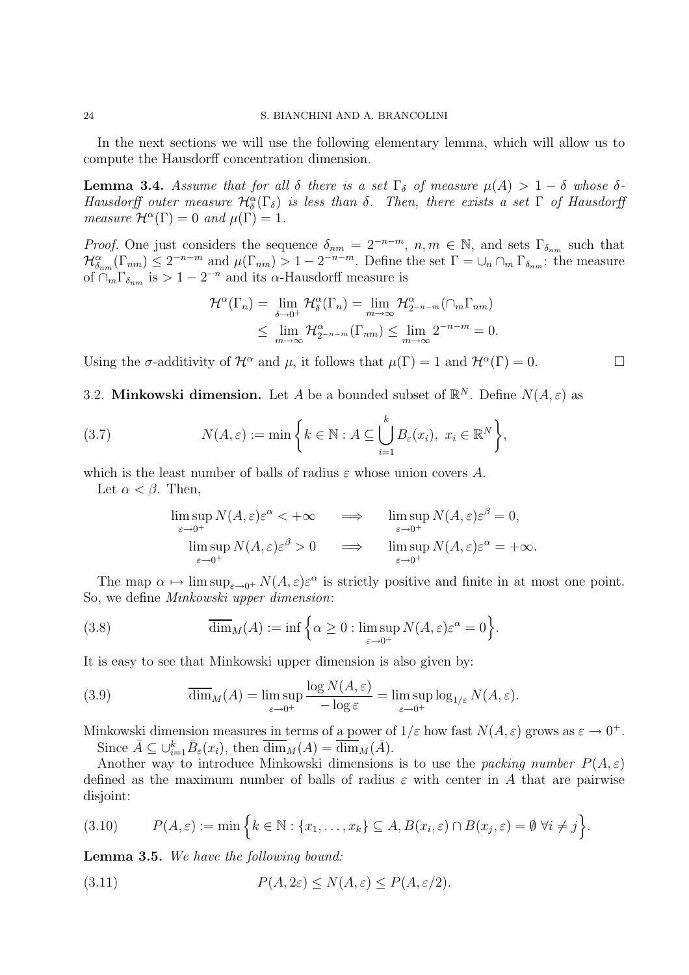In the next sections we will use the following elementary lemma, which will allow us to compute the Hausdorff concentration dimension.

**Lemma 3.4.** Assume that for all  $\delta$  there is a set  $\Gamma_{\delta}$  of measure  $\mu(A) > 1 - \delta$  whose  $\delta$ -Hausdorff outer measure  $\mathcal{H}_{\delta}^{\alpha}(\Gamma_{\delta})$  is less than  $\delta$ . Then, there exists a set  $\Gamma$  of Hausdorff measure  $\mathcal{H}^{\alpha}(\Gamma) = 0$  and  $\mu(\Gamma) = 1$ .

*Proof.* One just considers the sequence  $\delta_{nm} = 2^{-n-m}$ ,  $n, m \in \mathbb{N}$ , and sets  $\Gamma_{\delta_{nm}}$  such that  $\mathcal{H}_{\delta_{nm}}^{\alpha}(\Gamma_{nm}) \leq 2^{-n-m}$  and  $\mu(\Gamma_{nm}) > 1 - 2^{-n-m}$ . Define the set  $\Gamma = \bigcup_n \cap_m \Gamma_{\delta_{nm}}$ : the measure of  $\bigcap_{m} \Gamma_{\delta_{nm}}$  is  $> 1 - 2^{-n}$  and its  $\alpha$ -Hausdorff measure is

$$
\mathcal{H}^{\alpha}(\Gamma_n) = \lim_{\delta \to 0^+} \mathcal{H}^{\alpha}_{\delta}(\Gamma_n) = \lim_{m \to \infty} \mathcal{H}^{\alpha}_{2^{-n-m}}(\cap_m \Gamma_{nm})
$$
  

$$
\leq \lim_{m \to \infty} \mathcal{H}^{\alpha}_{2^{-n-m}}(\Gamma_{nm}) \leq \lim_{m \to \infty} 2^{-n-m} = 0.
$$

Using the  $\sigma$ -additivity of  $\mathcal{H}^{\alpha}$  and  $\mu$ , it follows that  $\mu(\Gamma) = 1$  and  $\mathcal{H}^{\alpha}(\Gamma) = 0$ .

3.2. Minkowski dimension. Let A be a bounded subset of  $\mathbb{R}^N$ . Define  $N(A,\varepsilon)$  as

(3.7) 
$$
N(A,\varepsilon) := \min \left\{ k \in \mathbb{N} : A \subseteq \bigcup_{i=1}^{k} B_{\varepsilon}(x_i), \ x_i \in \mathbb{R}^N \right\},
$$

which is the least number of balls of radius  $\varepsilon$  whose union covers A.

Let  $\alpha < \beta$ . Then,

$$
\limsup_{\varepsilon \to 0^+} N(A, \varepsilon) \varepsilon^{\alpha} < +\infty \qquad \Longrightarrow \qquad \limsup_{\varepsilon \to 0^+} N(A, \varepsilon) \varepsilon^{\beta} = 0,
$$
  
\n
$$
\limsup_{\varepsilon \to 0^+} N(A, \varepsilon) \varepsilon^{\beta} > 0 \qquad \Longrightarrow \qquad \limsup_{\varepsilon \to 0^+} N(A, \varepsilon) \varepsilon^{\alpha} = +\infty.
$$

The map  $\alpha \mapsto \limsup_{\varepsilon \to 0^+} N(A, \varepsilon) \varepsilon^{\alpha}$  is strictly positive and finite in at most one point. So, we define Minkowski upper dimension:

(3.8) 
$$
\overline{\dim}_M(A) := \inf \left\{ \alpha \ge 0 : \limsup_{\varepsilon \to 0^+} N(A, \varepsilon) \varepsilon^{\alpha} = 0 \right\}.
$$

It is easy to see that Minkowski upper dimension is also given by:

(3.9) 
$$
\overline{\dim}_M(A) = \limsup_{\varepsilon \to 0^+} \frac{\log N(A, \varepsilon)}{-\log \varepsilon} = \limsup_{\varepsilon \to 0^+} \log_{1/\varepsilon} N(A, \varepsilon).
$$

Minkowski dimension measures in terms of a power of  $1/\varepsilon$  how fast  $N(A, \varepsilon)$  grows as  $\varepsilon \to 0^+$ . Since  $\bar{A} \subseteq \bigcup_{i=1}^k \bar{B}_{\varepsilon}(x_i)$ , then  $\overline{\dim}_M(A) = \overline{\dim}_M(\bar{A})$ .

Another way to introduce Minkowski dimensions is to use the packing number  $P(A, \varepsilon)$ defined as the maximum number of balls of radius  $\varepsilon$  with center in A that are pairwise disjoint:

$$
(3.10) \qquad P(A,\varepsilon) := \min\Big\{k\in\mathbb{N}: \{x_1,\ldots,x_k\}\subseteq A, B(x_i,\varepsilon)\cap B(x_j,\varepsilon) = \emptyset \,\,\forall i\neq j\Big\}.
$$

Lemma 3.5. We have the following bound:

(3.11) 
$$
P(A, 2\varepsilon) \le N(A, \varepsilon) \le P(A, \varepsilon/2).
$$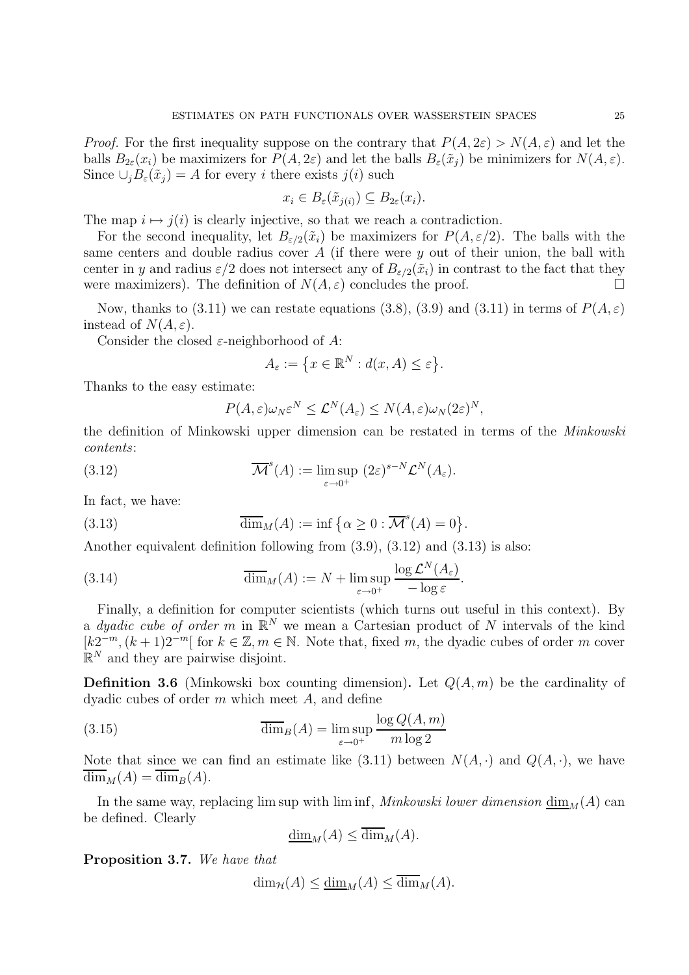*Proof.* For the first inequality suppose on the contrary that  $P(A, 2\varepsilon) > N(A, \varepsilon)$  and let the balls  $B_{2\varepsilon}(x_i)$  be maximizers for  $P(A, 2\varepsilon)$  and let the balls  $B_{\varepsilon}(\tilde{x}_i)$  be minimizers for  $N(A, \varepsilon)$ . Since  $\cup_i B_{\varepsilon}(\tilde{x}_i) = A$  for every i there exists  $j(i)$  such

$$
x_i \in B_{\varepsilon}(\tilde{x}_{j(i)}) \subseteq B_{2\varepsilon}(x_i).
$$

The map  $i \mapsto j(i)$  is clearly injective, so that we reach a contradiction.

For the second inequality, let  $B_{\varepsilon/2}(\tilde{x}_i)$  be maximizers for  $P(A, \varepsilon/2)$ . The balls with the same centers and double radius cover  $A$  (if there were  $y$  out of their union, the ball with center in y and radius  $\varepsilon/2$  does not intersect any of  $B_{\varepsilon/2}(\tilde{x}_i)$  in contrast to the fact that they were maximizers). The definition of  $N(A, \varepsilon)$  concludes the proof.

Now, thanks to (3.11) we can restate equations (3.8), (3.9) and (3.11) in terms of  $P(A, \varepsilon)$ instead of  $N(A, \varepsilon)$ .

Consider the closed  $\varepsilon$ -neighborhood of A:

$$
A_{\varepsilon} := \left\{ x \in \mathbb{R}^N : d(x, A) \le \varepsilon \right\}.
$$

Thanks to the easy estimate:

$$
P(A,\varepsilon)\omega_N\varepsilon^N \leq \mathcal{L}^N(A_\varepsilon) \leq N(A,\varepsilon)\omega_N(2\varepsilon)^N,
$$

the definition of Minkowski upper dimension can be restated in terms of the Minkowski contents:

(3.12) 
$$
\overline{\mathcal{M}}^{s}(A) := \limsup_{\varepsilon \to 0^{+}} (2\varepsilon)^{s-N} \mathcal{L}^{N}(A_{\varepsilon}).
$$

In fact, we have:

(3.13) 
$$
\overline{\dim}_M(A) := \inf \left\{ \alpha \geq 0 : \overline{\mathcal{M}}^s(A) = 0 \right\}.
$$

Another equivalent definition following from (3.9), (3.12) and (3.13) is also:

(3.14) 
$$
\overline{\dim}_M(A) := N + \limsup_{\varepsilon \to 0^+} \frac{\log \mathcal{L}^N(A_{\varepsilon})}{-\log \varepsilon}.
$$

Finally, a definition for computer scientists (which turns out useful in this context). By a *dyadic cube of order* m in  $\mathbb{R}^N$  we mean a Cartesian product of N intervals of the kind  $[k2^{-m}, (k+1)2^{-m}]$  for  $k \in \mathbb{Z}, m \in \mathbb{N}$ . Note that, fixed m, the dyadic cubes of order m cover  $\mathbb{R}^N$  and they are pairwise disjoint.

**Definition 3.6** (Minkowski box counting dimension). Let  $Q(A, m)$  be the cardinality of dyadic cubes of order  $m$  which meet  $A$ , and define

(3.15) 
$$
\overline{\dim}_B(A) = \limsup_{\varepsilon \to 0^+} \frac{\log Q(A, m)}{m \log 2}
$$

Note that since we can find an estimate like (3.11) between  $N(A, \cdot)$  and  $Q(A, \cdot)$ , we have  $\overline{\dim}_M(A) = \overline{\dim}_B(A).$ 

In the same way, replacing lim sup with lim inf, Minkowski lower dimension  $\underline{\dim}_M(A)$  can be defined. Clearly

$$
\underline{\dim}_M(A) \le \overline{\dim}_M(A).
$$

Proposition 3.7. We have that

 $\dim_{\mathcal{H}}(A) \leq \dim_{M}(A) \leq \overline{\dim}_{M}(A).$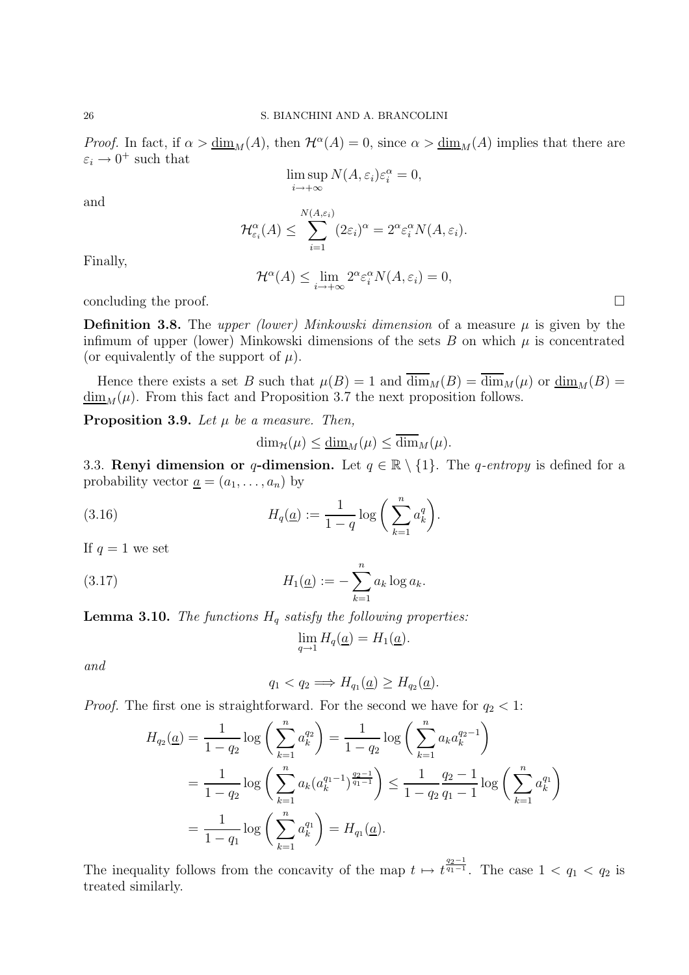*Proof.* In fact, if  $\alpha > \underline{\dim}_M(A)$ , then  $\mathcal{H}^{\alpha}(A) = 0$ , since  $\alpha > \underline{\dim}_M(A)$  implies that there are  $\varepsilon_i \to 0^+$  such that

$$
\limsup_{i \to +\infty} N(A, \varepsilon_i) \varepsilon_i^{\alpha} = 0,
$$

and

$$
\mathcal{H}_{\varepsilon_i}^{\alpha}(A) \leq \sum_{i=1}^{N(A,\varepsilon_i)} (2\varepsilon_i)^{\alpha} = 2^{\alpha} \varepsilon_i^{\alpha} N(A,\varepsilon_i).
$$

Finally,

$$
\mathcal{H}^{\alpha}(A) \leq \lim_{i \to +\infty} 2^{\alpha} \varepsilon_i^{\alpha} N(A, \varepsilon_i) = 0,
$$

concluding the proof.

**Definition 3.8.** The upper (lower) Minkowski dimension of a measure  $\mu$  is given by the infimum of upper (lower) Minkowski dimensions of the sets  $B$  on which  $\mu$  is concentrated (or equivalently of the support of  $\mu$ ).

Hence there exists a set B such that  $\mu(B) = 1$  and  $\overline{\dim}_M(B) = \overline{\dim}_M(\mu)$  or  $\underline{\dim}_M(B) =$  $\underline{\dim}_M(\mu)$ . From this fact and Proposition 3.7 the next proposition follows.

**Proposition 3.9.** Let  $\mu$  be a measure. Then,

$$
\dim_{\mathcal{H}}(\mu) \leq \underline{\dim}_M(\mu) \leq \overline{\dim}_M(\mu).
$$

3.3. Renyi dimension or q-dimension. Let  $q \in \mathbb{R} \setminus \{1\}$ . The q-entropy is defined for a probability vector  $\underline{a} = (a_1, \ldots, a_n)$  by

(3.16) 
$$
H_q(\underline{a}) := \frac{1}{1-q} \log \left( \sum_{k=1}^n a_k^q \right).
$$

If  $q = 1$  we set

(3.17) 
$$
H_1(\underline{a}) := -\sum_{k=1}^n a_k \log a_k.
$$

**Lemma 3.10.** The functions  $H_q$  satisfy the following properties:

$$
\lim_{q \to 1} H_q(\underline{a}) = H_1(\underline{a}).
$$

and

$$
q_1 < q_2 \Longrightarrow H_{q_1}(\underline{a}) \ge H_{q_2}(\underline{a}).
$$

*Proof.* The first one is straightforward. For the second we have for  $q_2 < 1$ :

$$
H_{q_2}(\underline{a}) = \frac{1}{1 - q_2} \log \left( \sum_{k=1}^n a_k^{q_2} \right) = \frac{1}{1 - q_2} \log \left( \sum_{k=1}^n a_k a_k^{q_2 - 1} \right)
$$
  
= 
$$
\frac{1}{1 - q_2} \log \left( \sum_{k=1}^n a_k (a_k^{q_1 - 1})^{\frac{q_2 - 1}{q_1 - 1}} \right) \le \frac{1}{1 - q_2} \frac{q_2 - 1}{q_1 - 1} \log \left( \sum_{k=1}^n a_k^{q_1} \right)
$$
  
= 
$$
\frac{1}{1 - q_1} \log \left( \sum_{k=1}^n a_k^{q_1} \right) = H_{q_1}(\underline{a}).
$$

The inequality follows from the concavity of the map  $t \mapsto t^{\frac{q_2-1}{q_1-1}}$ . The case  $1 < q_1 < q_2$  is treated similarly.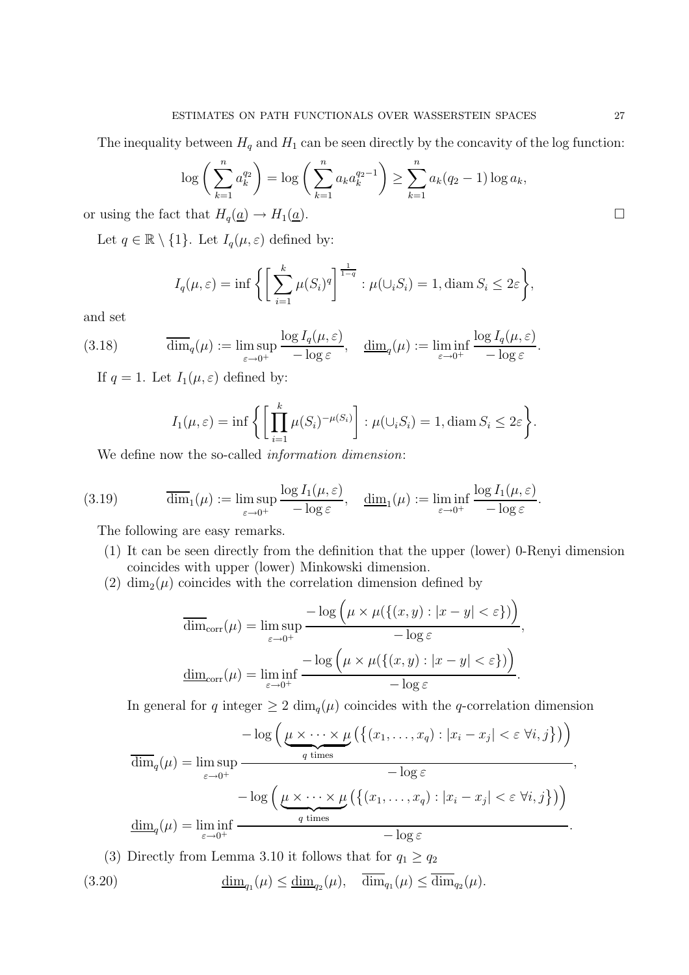The inequality between  $H_q$  and  $H_1$  can be seen directly by the concavity of the log function:

$$
\log\left(\sum_{k=1}^{n} a_k^{q_2}\right) = \log\left(\sum_{k=1}^{n} a_k a_k^{q_2 - 1}\right) \ge \sum_{k=1}^{n} a_k (q_2 - 1) \log a_k,
$$

or using the fact that  $H_q(\underline{a}) \to H_1(\underline{a})$ .

Let  $q \in \mathbb{R} \setminus \{1\}$ . Let  $I_q(\mu, \varepsilon)$  defined by:

$$
I_q(\mu, \varepsilon) = \inf \bigg\{ \bigg[ \sum_{i=1}^k \mu(S_i)^q \bigg]^\frac{1}{1-q} : \mu(\cup_i S_i) = 1, \text{diam } S_i \leq 2\varepsilon \bigg\},
$$

and set

(3.18) 
$$
\overline{\dim}_q(\mu) := \limsup_{\varepsilon \to 0^+} \frac{\log I_q(\mu, \varepsilon)}{-\log \varepsilon}, \quad \underline{\dim}_q(\mu) := \liminf_{\varepsilon \to 0^+} \frac{\log I_q(\mu, \varepsilon)}{-\log \varepsilon}.
$$

If  $q = 1$ . Let  $I_1(\mu, \varepsilon)$  defined by:

$$
I_1(\mu, \varepsilon) = \inf \left\{ \left[ \prod_{i=1}^k \mu(S_i)^{-\mu(S_i)} \right] : \mu(\cup_i S_i) = 1, \text{diam } S_i \le 2\varepsilon \right\}.
$$

We define now the so-called *information dimension*:

(3.19) 
$$
\overline{\dim}_1(\mu) := \limsup_{\varepsilon \to 0^+} \frac{\log I_1(\mu, \varepsilon)}{-\log \varepsilon}, \quad \underline{\dim}_1(\mu) := \liminf_{\varepsilon \to 0^+} \frac{\log I_1(\mu, \varepsilon)}{-\log \varepsilon}.
$$

The following are easy remarks.

- (1) It can be seen directly from the definition that the upper (lower) 0-Renyi dimension coincides with upper (lower) Minkowski dimension.
- (2) dim<sub>2</sub>( $\mu$ ) coincides with the correlation dimension defined by

$$
\overline{\dim}_{\text{corr}}(\mu) = \limsup_{\varepsilon \to 0^+} \frac{-\log\left(\mu \times \mu(\{(x, y) : |x - y| < \varepsilon\})\right)}{-\log \varepsilon},
$$
\n
$$
\underline{\dim}_{\text{corr}}(\mu) = \liminf_{\varepsilon \to 0^+} \frac{-\log\left(\mu \times \mu(\{(x, y) : |x - y| < \varepsilon\})\right)}{-\log \varepsilon}.
$$

In general for q integer  $\geq 2 \dim_q(\mu)$  coincides with the q-correlation dimension

$$
\overline{\dim}_q(\mu) = \limsup_{\varepsilon \to 0^+} \frac{-\log\left(\mu \times \cdots \times \mu\left(\left\{(x_1, \ldots, x_q) : |x_i - x_j| < \varepsilon \; \forall i, j\right\}\right)\right)}{-\log \varepsilon},
$$

$$
-\log\left(\mu \times \cdots \times \mu\left(\left\{(x_1, \ldots, x_q) : |x_i - x_j| < \varepsilon \; \forall i, j\right\}\right)\right)}.
$$

$$
\underline{\dim}_q(\mu) = \liminf_{\varepsilon \to 0^+} \frac{q \times \cdots \times \mu\left(\left\{(x_1, \ldots, x_q) : |x_i - x_j| < \varepsilon \; \forall i, j\right\}\right)\right)}{-\log \varepsilon}.
$$

(3) Directly from Lemma 3.10 it follows that for  $q_1 \ge q_2$ (3.20)  $\underline{\dim}_{q_1}(\mu) \le \underline{\dim}_{q_2}(\mu)$ ,  $\dim_{q_1}(\mu) \le \dim_{q_2}(\mu)$ .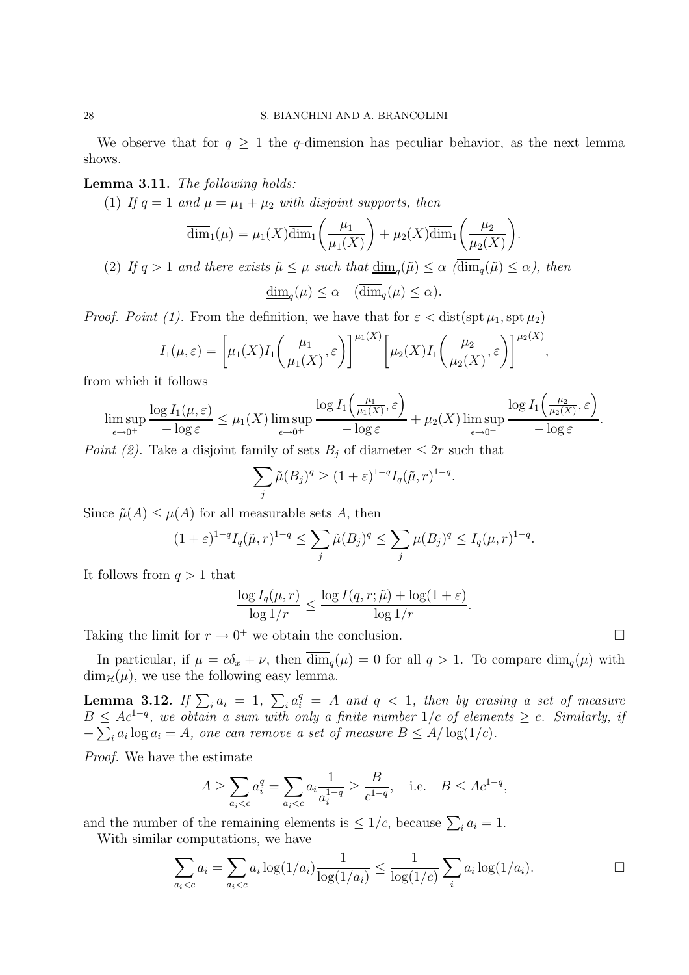We observe that for  $q \geq 1$  the q-dimension has peculiar behavior, as the next lemma shows.

Lemma 3.11. The following holds:

(1) If  $q = 1$  and  $\mu = \mu_1 + \mu_2$  with disjoint supports, then

$$
\overline{\dim}_1(\mu) = \mu_1(X)\overline{\dim}_1\left(\frac{\mu_1}{\mu_1(X)}\right) + \mu_2(X)\overline{\dim}_1\left(\frac{\mu_2}{\mu_2(X)}\right).
$$

(2) If  $q > 1$  and there exists  $\tilde{\mu} \leq \mu$  such that  $\underline{\dim}_q(\tilde{\mu}) \leq \alpha$  ( $\dim_q(\tilde{\mu}) \leq \alpha$ ), then

$$
\underline{\dim}_q(\mu) \le \alpha \quad (\overline{\dim}_q(\mu) \le \alpha).
$$

*Proof. Point (1).* From the definition, we have that for  $\varepsilon <$  dist(spt  $\mu_1$ , spt  $\mu_2$ )

$$
I_1(\mu,\varepsilon) = \left[\mu_1(X)I_1\left(\frac{\mu_1}{\mu_1(X)},\varepsilon\right)\right]^{\mu_1(X)} \left[\mu_2(X)I_1\left(\frac{\mu_2}{\mu_2(X)},\varepsilon\right)\right]^{\mu_2(X)}
$$

from which it follows

$$
\limsup_{\epsilon \to 0^+} \frac{\log I_1(\mu, \epsilon)}{-\log \epsilon} \le \mu_1(X) \limsup_{\epsilon \to 0^+} \frac{\log I_1\left(\frac{\mu_1}{\mu_1(X)}, \epsilon\right)}{-\log \epsilon} + \mu_2(X) \limsup_{\epsilon \to 0^+} \frac{\log I_1\left(\frac{\mu_2}{\mu_2(X)}, \epsilon\right)}{-\log \epsilon}
$$

Point (2). Take a disjoint family of sets  $B_j$  of diameter  $\leq 2r$  such that

$$
\sum_{j} \tilde{\mu}(B_j)^q \ge (1+\varepsilon)^{1-q} I_q(\tilde{\mu}, r)^{1-q}.
$$

Since  $\tilde{\mu}(A) \leq \mu(A)$  for all measurable sets A, then

$$
(1+\varepsilon)^{1-q} I_q(\tilde{\mu}, r)^{1-q} \le \sum_j \tilde{\mu}(B_j)^q \le \sum_j \mu(B_j)^q \le I_q(\mu, r)^{1-q}.
$$

It follows from  $q > 1$  that

$$
\frac{\log I_q(\mu, r)}{\log 1/r} \le \frac{\log I(q, r; \tilde{\mu}) + \log(1 + \varepsilon)}{\log 1/r}.
$$

Taking the limit for  $r \to 0^+$  we obtain the conclusion.

In particular, if  $\mu = c\delta_x + \nu$ , then  $\overline{\dim}_q(\mu) = 0$  for all  $q > 1$ . To compare  $\dim_q(\mu)$  with  $\dim_{\mathcal{H}}(\mu)$ , we use the following easy lemma.

**Lemma 3.12.** If  $\sum_i a_i = 1$ ,  $\sum_i a_i^q = A$  and  $q < 1$ , then by erasing a set of measure  $B \le Ac^{1-q}$ , we obtain a sum with only a finite number 1/c of elements  $\ge c$ . Similarly, if  $-\sum_i a_i \log a_i = A$ , one can remove a set of measure  $B \le A/\log(1/c)$ .

Proof. We have the estimate

$$
A \ge \sum_{a_i < c} a_i^q = \sum_{a_i < c} a_i \frac{1}{a_i^{1-q}} \ge \frac{B}{c^{1-q}}, \quad \text{i.e.} \quad B \le Ac^{1-q},
$$

and the number of the remaining elements is  $\leq 1/c$ , because  $\sum_i a_i = 1$ .

With similar computations, we have

$$
\sum_{a_i < c} a_i = \sum_{a_i < c} a_i \log(1/a_i) \frac{1}{\log(1/a_i)} \le \frac{1}{\log(1/c)} \sum_i a_i \log(1/a_i). \qquad \qquad \Box
$$

.

,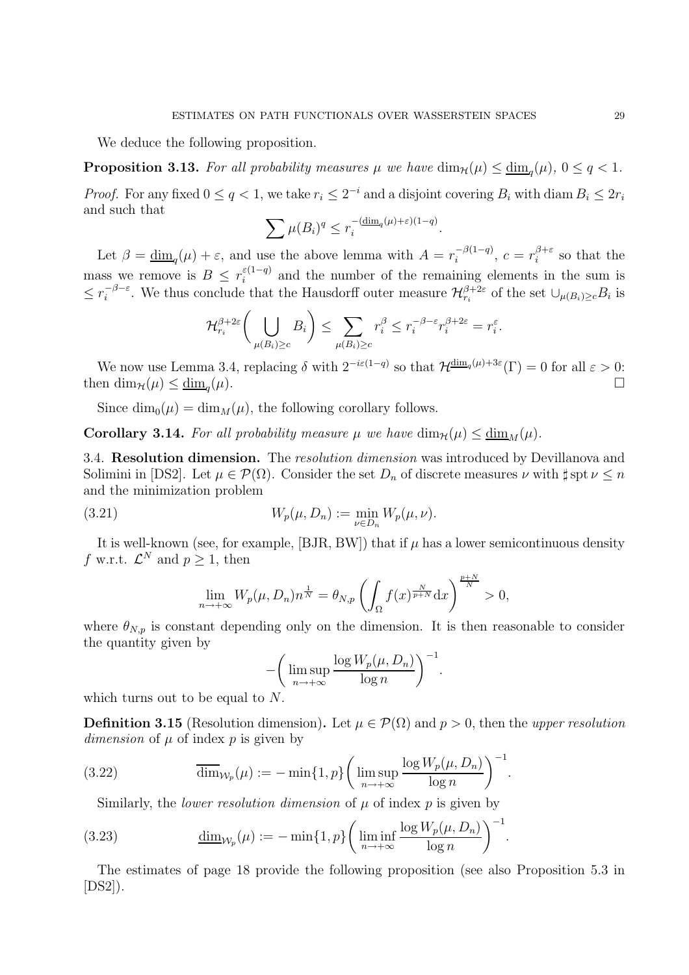We deduce the following proposition.

**Proposition 3.13.** For all probability measures  $\mu$  we have  $\dim_{\mathcal{H}}(\mu) \leq \underline{\dim}_q(\mu)$ ,  $0 \leq q < 1$ .

*Proof.* For any fixed  $0 \le q < 1$ , we take  $r_i \le 2^{-i}$  and a disjoint covering  $B_i$  with diam  $B_i \le 2r_i$ and such that

$$
\sum \mu(B_i)^q \le r_i^{-\left(\underline{\dim}_q(\mu) + \varepsilon\right)\left(1-q\right)}.
$$

Let  $\beta = \underline{\dim}_q(\mu) + \varepsilon$ , and use the above lemma with  $A = r_i^{-\beta(1-q)}$  $e^{-\beta(1-q)},\ c=r_i^{\beta+\varepsilon}$  $i^{\rho+\varepsilon}$  so that the mass we remove is  $B \n\t\leq r_i^{\varepsilon(1-q)}$  $\sum_{i=1}^{\epsilon(1-q)}$  and the number of the remaining elements in the sum is  $\leq r_i^{-\beta-\varepsilon}$  $i^{-\beta-\varepsilon}$ . We thus conclude that the Hausdorff outer measure  $\mathcal{H}_{r_i}^{\beta+2\varepsilon}$  of the set  $\cup_{\mu(B_i)\geq c}B_i$  is

$$
\mathcal{H}_{r_i}^{\beta+2\varepsilon} \bigg( \bigcup_{\mu(B_i)\geq c} B_i \bigg) \leq \sum_{\mu(B_i)\geq c} r_i^{\beta} \leq r_i^{-\beta-\varepsilon} r_i^{\beta+2\varepsilon} = r_i^{\varepsilon}.
$$

We now use Lemma 3.4, replacing  $\delta$  with  $2^{-i\varepsilon(1-q)}$  so that  $\mathcal{H}^{\dim_q(\mu)+3\varepsilon}(\Gamma) = 0$  for all  $\varepsilon > 0$ : then  $\dim_{\mathcal{H}}(\mu) \leq \underline{\dim}_{a}(\mu)$ .  $(\mu).$ 

Since  $\dim_0(\mu) = \dim_M(\mu)$ , the following corollary follows.

**Corollary 3.14.** For all probability measure  $\mu$  we have  $\dim_{\mathcal{H}}(\mu) \leq \underline{\dim}_{M}(\mu)$ .

3.4. Resolution dimension. The resolution dimension was introduced by Devillanova and Solimini in [DS2]. Let  $\mu \in \mathcal{P}(\Omega)$ . Consider the set  $D_n$  of discrete measures  $\nu$  with  $\sharp$  spt  $\nu \leq n$ and the minimization problem

(3.21) 
$$
W_p(\mu, D_n) := \min_{\nu \in D_n} W_p(\mu, \nu).
$$

It is well-known (see, for example, [BJR, BW]) that if  $\mu$  has a lower semicontinuous density f w.r.t.  $\mathcal{L}^N$  and  $p \geq 1$ , then

$$
\lim_{n \to +\infty} W_p(\mu, D_n) n^{\frac{1}{N}} = \theta_{N,p} \left( \int_{\Omega} f(x)^{\frac{N}{p+N}} dx \right)^{\frac{p+N}{N}} > 0,
$$

where  $\theta_{N,p}$  is constant depending only on the dimension. It is then reasonable to consider the quantity given by

$$
-\bigg(\limsup_{n\to+\infty}\frac{\log W_p(\mu,D_n)}{\log n}\bigg)^{-1}.
$$

which turns out to be equal to N.

**Definition 3.15** (Resolution dimension). Let  $\mu \in \mathcal{P}(\Omega)$  and  $p > 0$ , then the upper resolution dimension of  $\mu$  of index  $p$  is given by

.

.

(3.22) 
$$
\overline{\dim}_{\mathcal{W}_p}(\mu) := -\min\{1, p\} \left( \limsup_{n \to +\infty} \frac{\log W_p(\mu, D_n)}{\log n} \right)^{-1}
$$

Similarly, the *lower resolution dimension* of  $\mu$  of index  $p$  is given by

(3.23) 
$$
\underline{\dim}_{\mathcal{W}_p}(\mu) := -\min\{1, p\} \bigg( \liminf_{n \to +\infty} \frac{\log W_p(\mu, D_n)}{\log n} \bigg)^{-1}
$$

The estimates of page 18 provide the following proposition (see also Proposition 5.3 in [DS2]).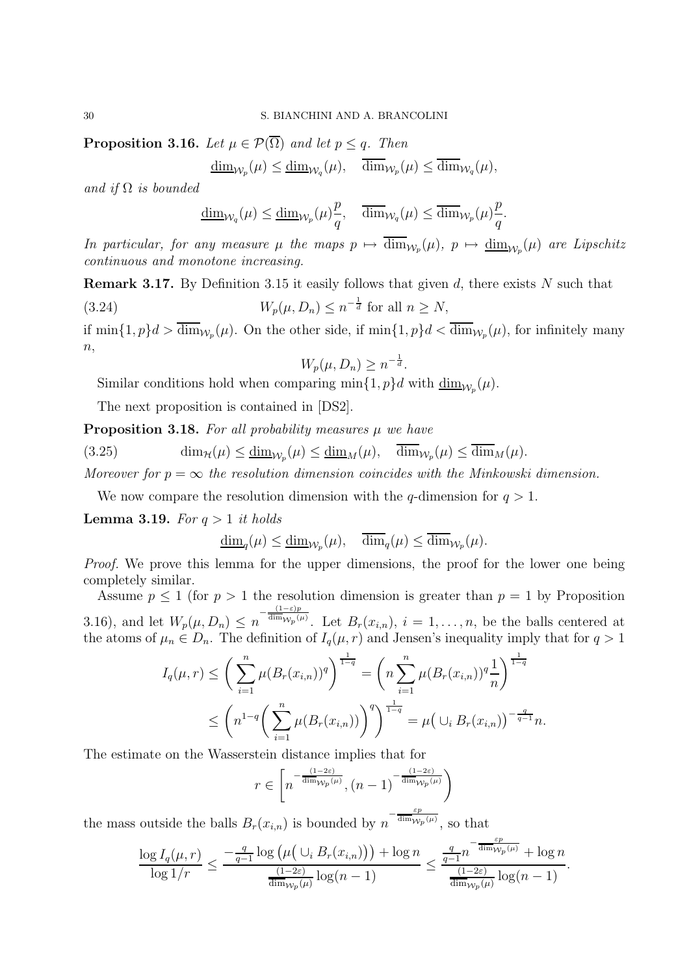**Proposition 3.16.** Let  $\mu \in \mathcal{P}(\overline{\Omega})$  and let  $p \leq q$ . Then

$$
\underline{\dim}_{\mathcal{W}_p}(\mu) \le \underline{\dim}_{\mathcal{W}_q}(\mu), \quad \overline{\dim}_{\mathcal{W}_p}(\mu) \le \overline{\dim}_{\mathcal{W}_q}(\mu),
$$

and if  $\Omega$  is bounded

$$
\underline{\dim}_{\mathcal{W}_q}(\mu) \le \underline{\dim}_{\mathcal{W}_p}(\mu)\frac{p}{q}, \quad \overline{\dim}_{\mathcal{W}_q}(\mu) \le \overline{\dim}_{\mathcal{W}_p}(\mu)\frac{p}{q}.
$$

In particular, for any measure  $\mu$  the maps  $p \mapsto \dim_{\mathcal{W}_p}(\mu)$ ,  $p \mapsto \underline{\dim}_{\mathcal{W}_p}(\mu)$  are Lipschitz continuous and monotone increasing.

**Remark 3.17.** By Definition 3.15 it easily follows that given  $d$ , there exists  $N$  such that

(3.24)  $W_p(\mu, D_n) \le n^{-\frac{1}{d}}$  for all  $n \ge N$ ,

if  $\min\{1, p\}d > \dim_{\mathcal{W}_p}(\mu)$ . On the other side, if  $\min\{1, p\}d < \dim_{\mathcal{W}_p}(\mu)$ , for infinitely many  $n,$ 

$$
W_p(\mu, D_n) \ge n^{-\frac{1}{d}}.
$$

Similar conditions hold when comparing  $\min\{1, p\}d$  with  $\underline{\dim}_{\mathcal{W}_p}(\mu)$ .

The next proposition is contained in [DS2].

**Proposition 3.18.** For all probability measures  $\mu$  we have

(3.25)  $\dim_{\mathcal{H}}(\mu) \leq \underline{\dim}_{\mathcal{W}_p}(\mu) \leq \underline{\dim}_M(\mu), \quad \dim_{\mathcal{W}_p}(\mu) \leq \dim_M(\mu).$ 

Moreover for  $p = \infty$  the resolution dimension coincides with the Minkowski dimension.

We now compare the resolution dimension with the q-dimension for  $q > 1$ .

**Lemma 3.19.** For  $q > 1$  it holds

 $\underline{\dim}_q(\mu) \le \underline{\dim}_{\mathcal{W}_p}(\mu), \quad \dim_q(\mu) \le \dim_{\mathcal{W}_p}(\mu).$ 

Proof. We prove this lemma for the upper dimensions, the proof for the lower one being completely similar.

Assume  $p \le 1$  (for  $p > 1$  the resolution dimension is greater than  $p = 1$  by Proposition 3.16), and let  $W_p(\mu, D_n) \leq n^{-\frac{(1-\varepsilon)p}{\dim_{\mathcal{W}_p}(p)}}$  $\lim_{\omega \to \infty} \int_{\mu}^{\mu} f(x_i, y) dx_i, i = 1, \ldots, n$ , be the balls centered at the atoms of  $\mu_n \in D_n$ . The definition of  $I_q(\mu, r)$  and Jensen's inequality imply that for  $q > 1$ 

$$
I_q(\mu, r) \leq \left(\sum_{i=1}^n \mu(B_r(x_{i,n}))^q\right)^{\frac{1}{1-q}} = \left(n \sum_{i=1}^n \mu(B_r(x_{i,n}))^q \frac{1}{n}\right)^{\frac{1}{1-q}}
$$
  

$$
\leq \left(n^{1-q} \left(\sum_{i=1}^n \mu(B_r(x_{i,n}))\right)^q\right)^{\frac{1}{1-q}} = \mu\left(\cup_i B_r(x_{i,n})\right)^{-\frac{q}{q-1}} n.
$$

The estimate on the Wasserstein distance implies that for

$$
r \in \left[ n^{-\frac{(1-2\varepsilon)}{\dim_{\mathcal{W}_p}(\mu)}}, (n-1)^{-\frac{(1-2\varepsilon)}{\dim_{\mathcal{W}_p}(\mu)}} \right)
$$

the mass outside the balls  $B_r(x_{i,n})$  is bounded by  $n^{-\frac{\varepsilon_p}{\dim_{\mathcal{W}_p}(\mu)}}$ , so that

$$
\frac{\log I_q(\mu,r)}{\log 1/r} \leq \frac{-\frac{q}{q-1}\log \left(\mu\left(\cup_i B_r(x_{i,n})\right)\right) + \log n}{\frac{(1-2\varepsilon)}{\dim_{\mathcal{W}_p}(\mu)}\log(n-1)} \leq \frac{\frac{q}{q-1}n^{-\frac{\varepsilon p}{\dim_{\mathcal{W}_p}(\mu)}} + \log n}{\frac{(1-2\varepsilon)}{\dim_{\mathcal{W}_p}(\mu)}\log(n-1)}.
$$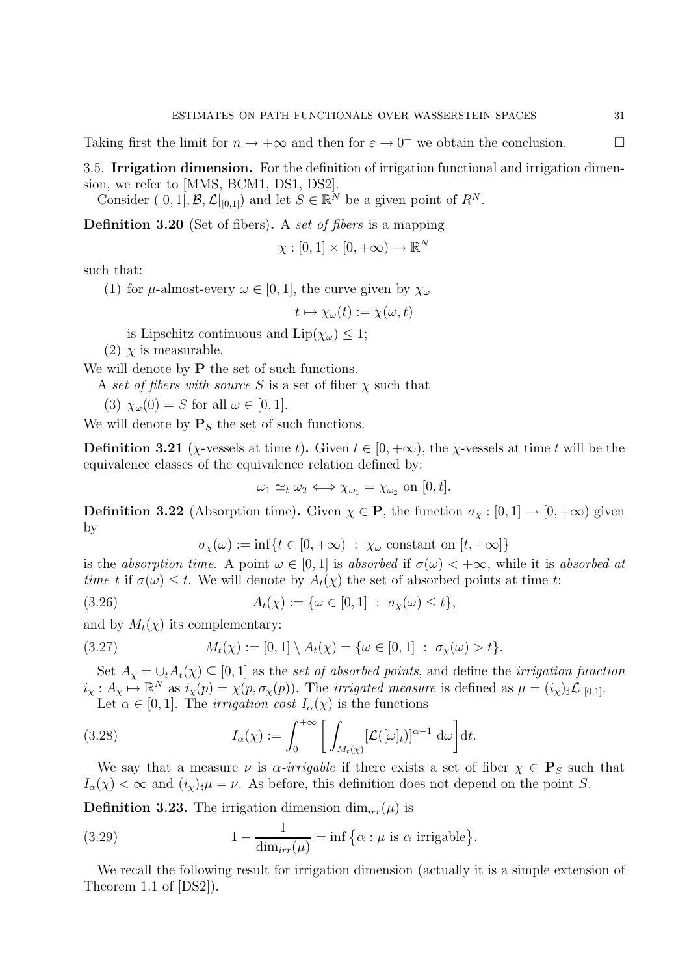Taking first the limit for  $n \to +\infty$  and then for  $\varepsilon \to 0^+$  we obtain the conclusion.

3.5. Irrigation dimension. For the definition of irrigation functional and irrigation dimension, we refer to [MMS, BCM1, DS1, DS2].

Consider  $([0,1], \mathcal{B}, \mathcal{L}|_{[0,1]})$  and let  $S \in \mathbb{R}^N$  be a given point of  $R^N$ .

Definition 3.20 (Set of fibers). A set of fibers is a mapping

$$
\chi : [0,1] \times [0,+\infty) \to \mathbb{R}^N
$$

such that:

(1) for  $\mu$ -almost-every  $\omega \in [0, 1]$ , the curve given by  $\chi_{\omega}$ 

$$
t \mapsto \chi_{\omega}(t) := \chi(\omega, t)
$$

is Lipschitz continuous and  $\text{Lip}(\chi_\omega) \leq 1$ ;

(2)  $\chi$  is measurable.

We will denote by  $P$  the set of such functions.

A set of fibers with source S is a set of fiber  $\chi$  such that

(3) 
$$
\chi_{\omega}(0) = S
$$
 for all  $\omega \in [0,1]$ .

We will denote by  $P<sub>S</sub>$  the set of such functions.

**Definition 3.21** ( $\chi$ -vessels at time t). Given  $t \in [0, +\infty)$ , the  $\chi$ -vessels at time t will be the equivalence classes of the equivalence relation defined by:

$$
\omega_1 \simeq_t \omega_2 \Longleftrightarrow \chi_{\omega_1} = \chi_{\omega_2} \text{ on } [0, t].
$$

**Definition 3.22** (Absorption time). Given  $\chi \in \mathbf{P}$ , the function  $\sigma_{\chi} : [0, 1] \to [0, +\infty)$  given by

$$
\sigma_{\chi}(\omega) := \inf \{ t \in [0, +\infty) \; : \; \chi_{\omega} \text{ constant on } [t, +\infty] \}
$$

is the absorption time. A point  $\omega \in [0, 1]$  is absorbed if  $\sigma(\omega) < +\infty$ , while it is absorbed at time t if  $\sigma(\omega) \leq t$ . We will denote by  $A_t(\chi)$  the set of absorbed points at time t:

(3.26) 
$$
A_t(\chi) := \{ \omega \in [0,1] : \sigma_{\chi}(\omega) \le t \},
$$

and by  $M_t(\chi)$  its complementary:

(3.27) 
$$
M_t(\chi) := [0,1] \setminus A_t(\chi) = \{ \omega \in [0,1] : \sigma_{\chi}(\omega) > t \}.
$$

Set  $A_{\chi} = \bigcup_t A_t(\chi) \subseteq [0,1]$  as the set of absorbed points, and define the irrigation function  $i_{\chi}: A_{\chi} \mapsto \mathbb{R}^N$  as  $i_{\chi}(p) = \chi(p, \sigma_{\chi}(p))$ . The *irrigated measure* is defined as  $\mu = (i_{\chi})_{\sharp} \mathcal{L}|_{[0,1]}$ .

Let  $\alpha \in [0, 1]$ . The *irrigation cost*  $I_{\alpha}(\chi)$  is the functions

(3.28) 
$$
I_{\alpha}(\chi) := \int_0^{+\infty} \left[ \int_{M_t(\chi)} [\mathcal{L}([\omega]_t)]^{\alpha - 1} d\omega \right] dt.
$$

We say that a measure  $\nu$  is  $\alpha$ -irrigable if there exists a set of fiber  $\chi \in \mathbf{P}_S$  such that  $I_{\alpha}(\chi) < \infty$  and  $(i_{\chi})_{\sharp}\mu = \nu$ . As before, this definition does not depend on the point S.

**Definition 3.23.** The irrigation dimension  $\dim_{irr}(\mu)$  is

(3.29) 
$$
1 - \frac{1}{\dim_{irr}(\mu)} = \inf \{ \alpha : \mu \text{ is } \alpha \text{ irrigable} \}.
$$

We recall the following result for irrigation dimension (actually it is a simple extension of Theorem 1.1 of [DS2]).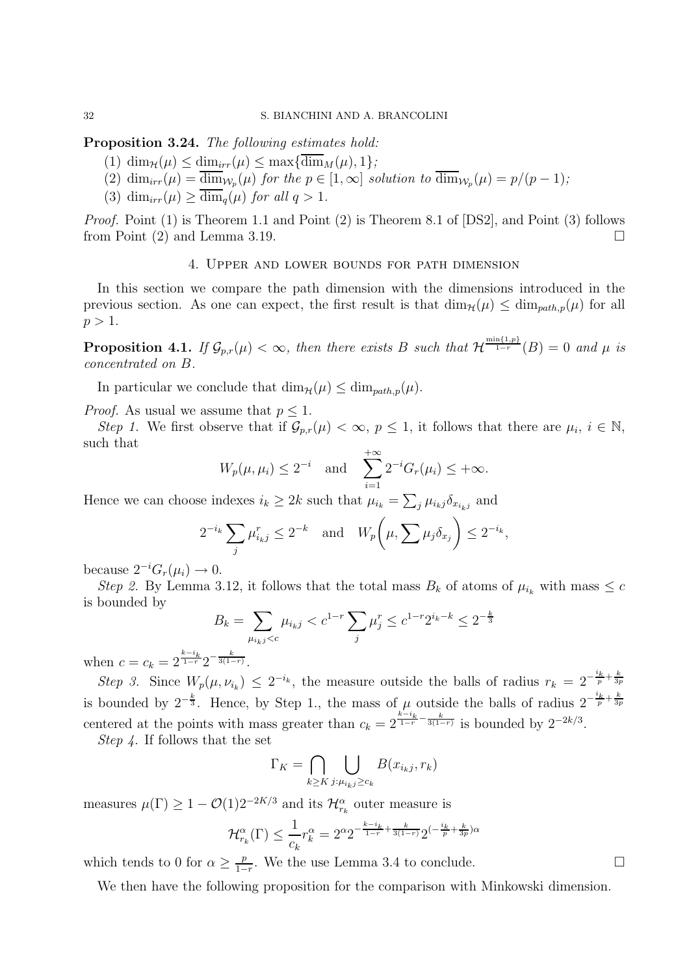Proposition 3.24. The following estimates hold:

- (1)  $\dim_{\mathcal{H}}(\mu) \leq \dim_{irr}(\mu) \leq \max{\{\overline{\dim}_M(\mu), 1\}};$
- (2)  $\dim_{irr}(\mu) = \dim_{\mathcal{W}_p}(\mu)$  for the  $p \in [1,\infty]$  solution to  $\dim_{\mathcal{W}_p}(\mu) = p/(p-1)$ ;
- (3)  $\dim_{irr}(\mu) > \dim_a(\mu)$  for all  $q > 1$ .

Proof. Point (1) is Theorem 1.1 and Point (2) is Theorem 8.1 of [DS2], and Point (3) follows from Point (2) and Lemma 3.19.

#### 4. Upper and lower bounds for path dimension

In this section we compare the path dimension with the dimensions introduced in the previous section. As one can expect, the first result is that  $\dim_{\mathcal{H}}(\mu) \leq \dim_{path,p}(\mu)$  for all  $p > 1$ .

**Proposition 4.1.** If  $\mathcal{G}_{p,r}(\mu) < \infty$ , then there exists B such that  $\mathcal{H}^{\frac{\min\{1,p\}}{1-r}}(B) = 0$  and  $\mu$  is concentrated on B.

In particular we conclude that  $\dim_{\mathcal{H}}(\mu) \leq \dim_{path,p}(\mu)$ .

*Proof.* As usual we assume that  $p < 1$ .

Step 1. We first observe that if  $\mathcal{G}_{p,r}(\mu) < \infty$ ,  $p \leq 1$ , it follows that there are  $\mu_i$ ,  $i \in \mathbb{N}$ , such that

$$
W_p(\mu, \mu_i) \leq 2^{-i}
$$
 and  $\sum_{i=1}^{+\infty} 2^{-i} G_r(\mu_i) \leq +\infty$ .

Hence we can choose indexes  $i_k \geq 2k$  such that  $\mu_{i_k} = \sum_j \mu_{i_k j} \delta_{x_{i_k j}}$  and

$$
2^{-i_k} \sum_j \mu_{i_k j}^r \le 2^{-k} \quad \text{and} \quad W_p\bigg(\mu, \sum_j \mu_j \delta_{x_j}\bigg) \le 2^{-i_k},
$$

because  $2^{-i}G_r(\mu_i) \to 0$ .

Step 2. By Lemma 3.12, it follows that the total mass  $B_k$  of atoms of  $\mu_{i_k}$  with mass  $\leq c$ is bounded by

$$
B_k = \sum_{\mu_{i_k j} < c} \mu_{i_k j} < c^{1-r} \sum_j \mu_j^r \le c^{1-r} 2^{i_k - k} \le 2^{-\frac{k}{3}}
$$

when  $c = c_k = 2^{\frac{k-i_k}{1-r}} 2^{-\frac{k}{3(1-r)}}$ .

Step 3. Since  $W_p(\mu, \nu_{i_k}) \leq 2^{-i_k}$ , the measure outside the balls of radius  $r_k = 2^{-\frac{i_k}{p} + \frac{k}{3p}}$ is bounded by  $2^{-\frac{k}{3}}$ . Hence, by Step 1., the mass of  $\mu$  outside the balls of radius  $2^{-\frac{i_k}{p}+\frac{k}{3p}}$ centered at the points with mass greater than  $c_k = 2^{\frac{k-i_k}{1-r} - \frac{k}{3(1-r)}}$  is bounded by  $2^{-2k/3}$ .

Step 4. If follows that the set

$$
\Gamma_K = \bigcap_{k \ge K} \bigcup_{j:\mu_{i_k j} \ge c_k} B(x_{i_k j}, r_k)
$$

measures  $\mu(\Gamma) \geq 1 - \mathcal{O}(1) 2^{-2K/3}$  and its  $\mathcal{H}_{r_k}^{\alpha}$  outer measure is

$$
\mathcal{H}_{r_k}^{\alpha}(\Gamma) \le \frac{1}{c_k} r_k^{\alpha} = 2^{\alpha} 2^{-\frac{k-i_k}{1-r} + \frac{k}{3(1-r)}} 2^{\left(-\frac{i_k}{p} + \frac{k}{3p}\right)\alpha}
$$

which tends to 0 for  $\alpha \geq \frac{p}{1-p}$  $\frac{p}{1-r}$ . We the use Lemma 3.4 to conclude.  $□$ 

We then have the following proposition for the comparison with Minkowski dimension.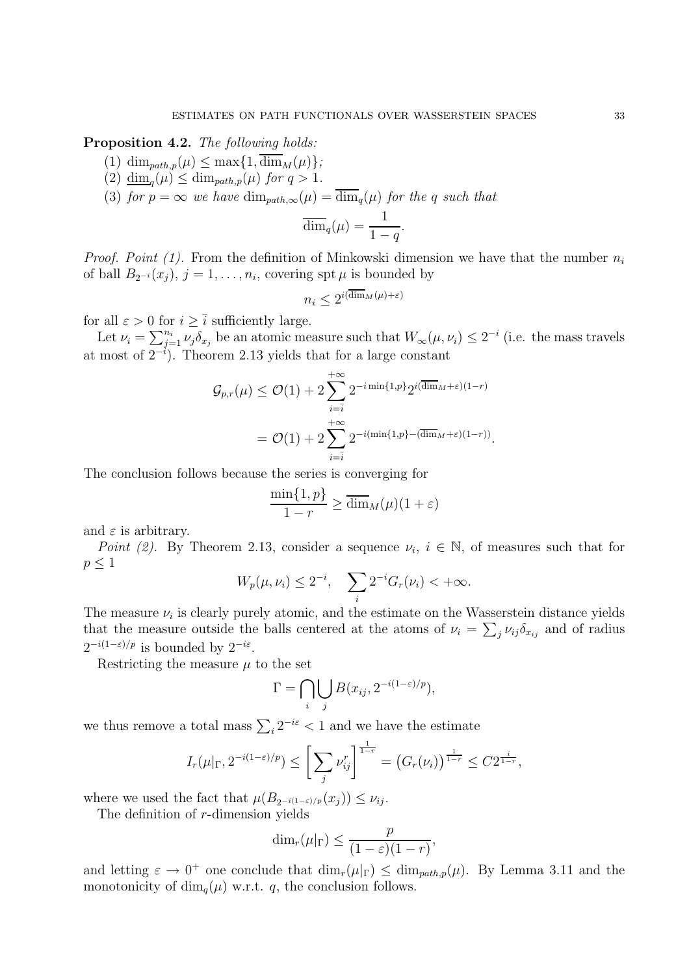Proposition 4.2. The following holds:

- (1) dim<sub>path,p</sub>( $\mu$ )  $\leq$  max $\{1, \overline{\dim}_M(\mu)\};$
- (2)  $\underline{\dim}_q(\mu) \leq \dim_{path,p}(\mu)$  for  $q > 1$ .
- (3) for  $p = \infty$  we have  $\dim_{path,\infty}(\mu) = \overline{\dim}_q(\mu)$  for the q such that

$$
\overline{\dim}_q(\mu) = \frac{1}{1-q}.
$$

*Proof. Point (1).* From the definition of Minkowski dimension we have that the number  $n_i$ of ball  $B_{2^{-i}}(x_j)$ ,  $j = 1, \ldots, n_i$ , covering spt  $\mu$  is bounded by

$$
n_i \le 2^{i(\overline{\dim}_M(\mu) + \varepsilon)}
$$

for all  $\varepsilon > 0$  for  $i \geq \overline{i}$  sufficiently large.

Let  $\nu_i = \sum_{j=1}^{n_i} \nu_j \delta_{x_j}$  be an atomic measure such that  $W_{\infty}(\mu, \nu_i) \leq 2^{-i}$  (i.e. the mass travels at most of  $2^{-i}$ ). Theorem 2.13 yields that for a large constant

$$
\mathcal{G}_{p,r}(\mu) \leq \mathcal{O}(1) + 2 \sum_{i=\overline{i}}^{+\infty} 2^{-i \min\{1,p\}} 2^{i(\overline{\dim}_M + \varepsilon)(1-r)}
$$
  
= 
$$
\mathcal{O}(1) + 2 \sum_{i=\overline{i}}^{+\infty} 2^{-i(\min\{1,p\} - (\overline{\dim}_M + \varepsilon)(1-r))}.
$$

The conclusion follows because the series is converging for

$$
\frac{\min\{1,p\}}{1-r} \ge \overline{\dim}_M(\mu)(1+\varepsilon)
$$

and  $\varepsilon$  is arbitrary.

Point (2). By Theorem 2.13, consider a sequence  $\nu_i$ ,  $i \in \mathbb{N}$ , of measures such that for  $p \leq 1$ 

$$
W_p(\mu, \nu_i) \le 2^{-i}, \quad \sum_i 2^{-i} G_r(\nu_i) < +\infty.
$$

The measure  $\nu_i$  is clearly purely atomic, and the estimate on the Wasserstein distance yields that the measure outside the balls centered at the atoms of  $\nu_i = \sum_j \nu_{ij} \delta_{x_{ij}}$  and of radius  $2^{-i(1-\varepsilon)/p}$  is bounded by  $2^{-i\varepsilon}$ .

Restricting the measure  $\mu$  to the set

$$
\Gamma = \bigcap_i \bigcup_j B(x_{ij}, 2^{-i(1-\varepsilon)/p}),
$$

we thus remove a total mass  $\sum_i 2^{-i\varepsilon} < 1$  and we have the estimate

$$
I_r(\mu|_{\Gamma}, 2^{-i(1-\varepsilon)/p}) \le \left[\sum_j \nu_{ij}^r\right]^{\frac{1}{1-r}} = (G_r(\nu_i))^{\frac{1}{1-r}} \le C2^{\frac{i}{1-r}},
$$

where we used the fact that  $\mu(B_{2^{-i(1-\varepsilon)/p}}(x_j)) \leq \nu_{ij}$ .

The definition of r-dimension yields

$$
\dim_r(\mu|_{\Gamma}) \le \frac{p}{(1-\varepsilon)(1-r)},
$$

and letting  $\varepsilon \to 0^+$  one conclude that  $\dim_r(\mu|_{\Gamma}) \leq \dim_{path,p}(\mu)$ . By Lemma 3.11 and the monotonicity of  $\dim_q(\mu)$  w.r.t. q, the conclusion follows.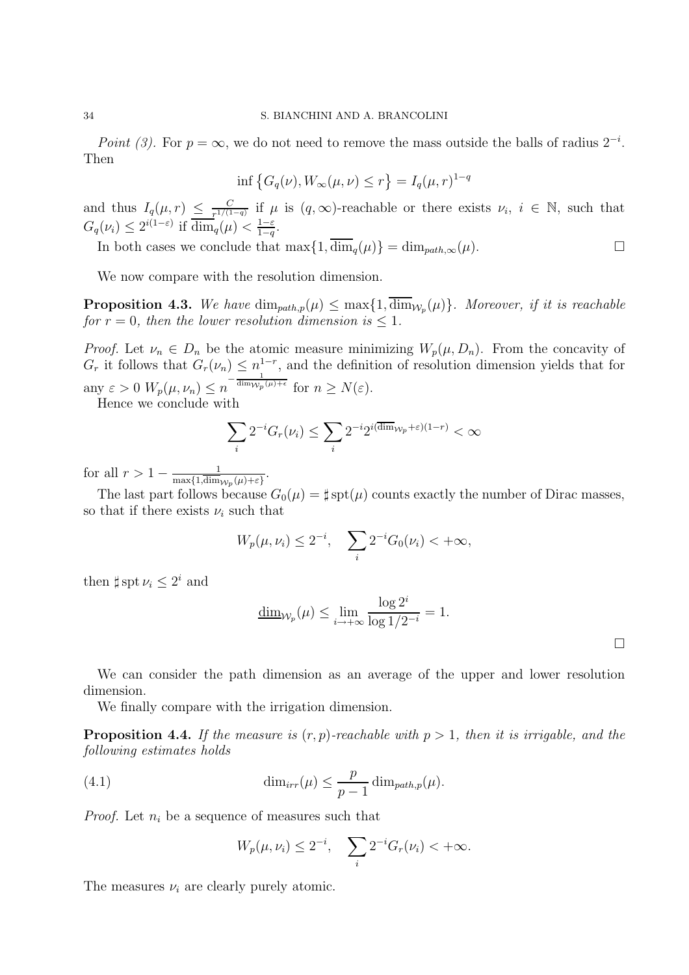Point (3). For  $p = \infty$ , we do not need to remove the mass outside the balls of radius  $2^{-i}$ . Then

$$
\inf \left\{ G_q(\nu), W_\infty(\mu, \nu) \le r \right\} = I_q(\mu, r)^{1-q}
$$

and thus  $I_q(\mu, r) \leq \frac{C}{r^{1/(1-r)}}$  $\frac{C}{T^{1/(1-q)}}$  if  $\mu$  is  $(q,\infty)$ -reachable or there exists  $\nu_i, i \in \mathbb{N}$ , such that  $G_q(\nu_i) \leq 2^{i(1-\varepsilon)}$  if  $\overline{\dim}_q(\mu) < \frac{1-\varepsilon}{1-q}$  $rac{1-\varepsilon}{1-q}.$ 

In both cases we conclude that  $\max\{1, \overline{\dim}_q(\mu)\} = \dim_{path,\infty}(\mu)$ .

We now compare with the resolution dimension.

**Proposition 4.3.** We have  $\dim_{path,p}(\mu) \leq \max\{1, \dim_{\mathcal{W}_p}(\mu)\}\$ . Moreover, if it is reachable for  $r = 0$ , then the lower resolution dimension is  $\leq 1$ .

*Proof.* Let  $\nu_n \in D_n$  be the atomic measure minimizing  $W_p(\mu, D_n)$ . From the concavity of  $G_r$  it follows that  $G_r(\nu_n) \leq n^{1-r}$ , and the definition of resolution dimension yields that for any  $\varepsilon > 0$   $W_p(\mu, \nu_n) \leq n^{-\frac{1}{\dim_{W_p}(\mu)+\epsilon}}$  for  $n \geq N(\varepsilon)$ .

Hence we conclude with

$$
\sum_{i} 2^{-i} G_r(\nu_i) \le \sum_{i} 2^{-i} 2^{i(\overline{\dim}_{\mathcal{W}_p} + \varepsilon)(1-r)} < \infty
$$

for all  $r > 1 - \frac{1}{\max(1 \dim n)}$  $\frac{1}{\max\{1,\dim_{\mathcal{W}_{p}}(\mu)+\varepsilon\}}.$ 

The last part follows because  $G_0(\mu) = \sharp \operatorname{spt}(\mu)$  counts exactly the number of Dirac masses, so that if there exists  $\nu_i$  such that

$$
W_p(\mu, \nu_i) \le 2^{-i}, \quad \sum_i 2^{-i} G_0(\nu_i) < +\infty,
$$

then  $\sharp spt \nu_i \leq 2^i$  and

$$
\underline{\dim}_{\mathcal{W}_p}(\mu) \le \lim_{i \to +\infty} \frac{\log 2^i}{\log 1/2^{-i}} = 1.
$$

 $\Box$ 

We can consider the path dimension as an average of the upper and lower resolution dimension.

We finally compare with the irrigation dimension.

**Proposition 4.4.** If the measure is  $(r, p)$ -reachable with  $p > 1$ , then it is irrigable, and the following estimates holds

(4.1) 
$$
\dim_{irr}(\mu) \leq \frac{p}{p-1} \dim_{path,p}(\mu).
$$

*Proof.* Let  $n_i$  be a sequence of measures such that

$$
W_p(\mu, \nu_i) \le 2^{-i}, \quad \sum_i 2^{-i} G_r(\nu_i) < +\infty.
$$

The measures  $\nu_i$  are clearly purely atomic.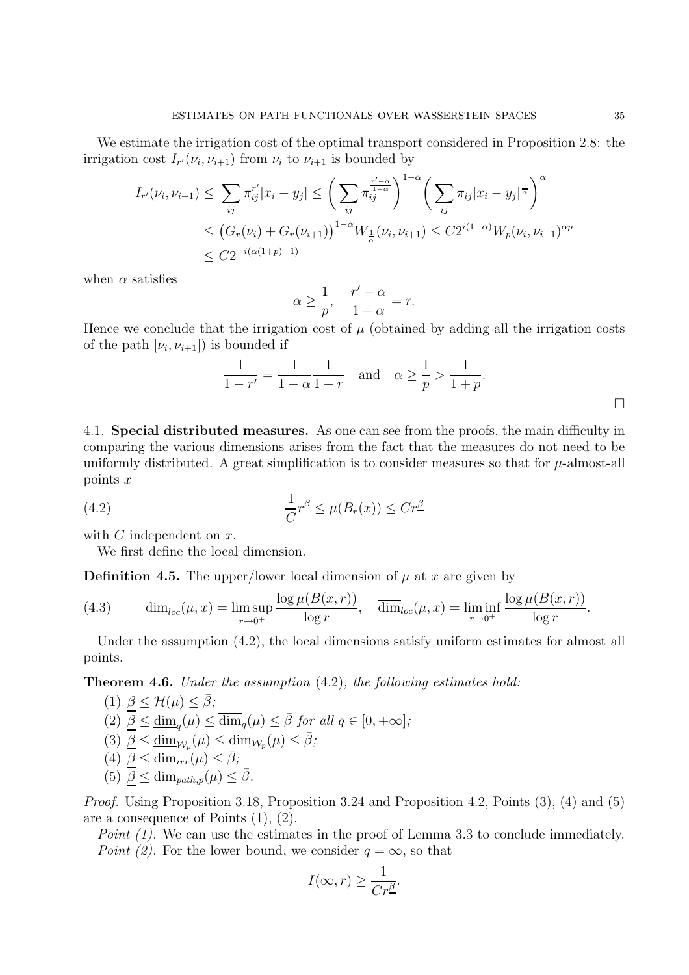We estimate the irrigation cost of the optimal transport considered in Proposition 2.8: the irrigation cost  $I_{r}(\nu_i, \nu_{i+1})$  from  $\nu_i$  to  $\nu_{i+1}$  is bounded by

$$
I_{r'}(\nu_i, \nu_{i+1}) \leq \sum_{ij} \pi_{ij}^{r'} |x_i - y_j| \leq \left(\sum_{ij} \pi_{ij}^{\frac{r'-\alpha}{1-\alpha}}\right)^{1-\alpha} \left(\sum_{ij} \pi_{ij} |x_i - y_j|^{\frac{1}{\alpha}}\right)^{\alpha}
$$
  

$$
\leq \left(G_r(\nu_i) + G_r(\nu_{i+1})\right)^{1-\alpha} W_{\frac{1}{\alpha}}(\nu_i, \nu_{i+1}) \leq C2^{i(1-\alpha)} W_p(\nu_i, \nu_{i+1})^{\alpha p}
$$
  

$$
\leq C2^{-i(\alpha(1+p)-1)}
$$

when  $\alpha$  satisfies

$$
\alpha \ge \frac{1}{p}, \quad \frac{r'-\alpha}{1-\alpha} = r.
$$

Hence we conclude that the irrigation cost of  $\mu$  (obtained by adding all the irrigation costs of the path  $[\nu_i, \nu_{i+1}]$  is bounded if

$$
\frac{1}{1-r'} = \frac{1}{1-\alpha} \frac{1}{1-r} \text{ and } \alpha \ge \frac{1}{p} > \frac{1}{1+p}.
$$

4.1. Special distributed measures. As one can see from the proofs, the main difficulty in comparing the various dimensions arises from the fact that the measures do not need to be uniformly distributed. A great simplification is to consider measures so that for  $\mu$ -almost-all points x

(4.2) 
$$
\frac{1}{C}r^{\bar{\beta}} \leq \mu(B_r(x)) \leq Cr^{\underline{\beta}}
$$

with  $C$  independent on  $x$ .

We first define the local dimension.

**Definition 4.5.** The upper/lower local dimension of  $\mu$  at x are given by

(4.3) 
$$
\underline{\dim}_{loc}(\mu, x) = \limsup_{r \to 0^+} \frac{\log \mu(B(x, r))}{\log r}, \quad \overline{\dim}_{loc}(\mu, x) = \liminf_{r \to 0^+} \frac{\log \mu(B(x, r))}{\log r}.
$$

Under the assumption  $(4.2)$ , the local dimensions satisfy uniform estimates for almost all points.

Theorem 4.6. Under the assumption (4.2), the following estimates hold:

(1) 
$$
\underline{\beta} \leq \mathcal{H}(\mu) \leq \overline{\beta};
$$
  
\n(2)  $\underline{\beta} \leq \underline{\dim}_q(\mu) \leq \overline{\dim}_q(\mu) \leq \overline{\beta} \text{ for all } q \in [0, +\infty];$   
\n(3)  $\underline{\beta} \leq \underline{\dim}_{\mathcal{W}_p}(\mu) \leq \overline{\dim}_{\mathcal{W}_p}(\mu) \leq \overline{\beta};$   
\n(4)  $\underline{\beta} \leq \dim_{irr}(\mu) \leq \overline{\beta};$   
\n(5)  $\underline{\beta} \leq \dim_{path_p}(\mu) \leq \overline{\beta}.$ 

Proof. Using Proposition 3.18, Proposition 3.24 and Proposition 4.2, Points (3), (4) and (5) are a consequence of Points (1), (2).

Point (1). We can use the estimates in the proof of Lemma 3.3 to conclude immediately. Point (2). For the lower bound, we consider  $q = \infty$ , so that

$$
I(\infty, r) \ge \frac{1}{Cr^{\underline{\beta}}}.
$$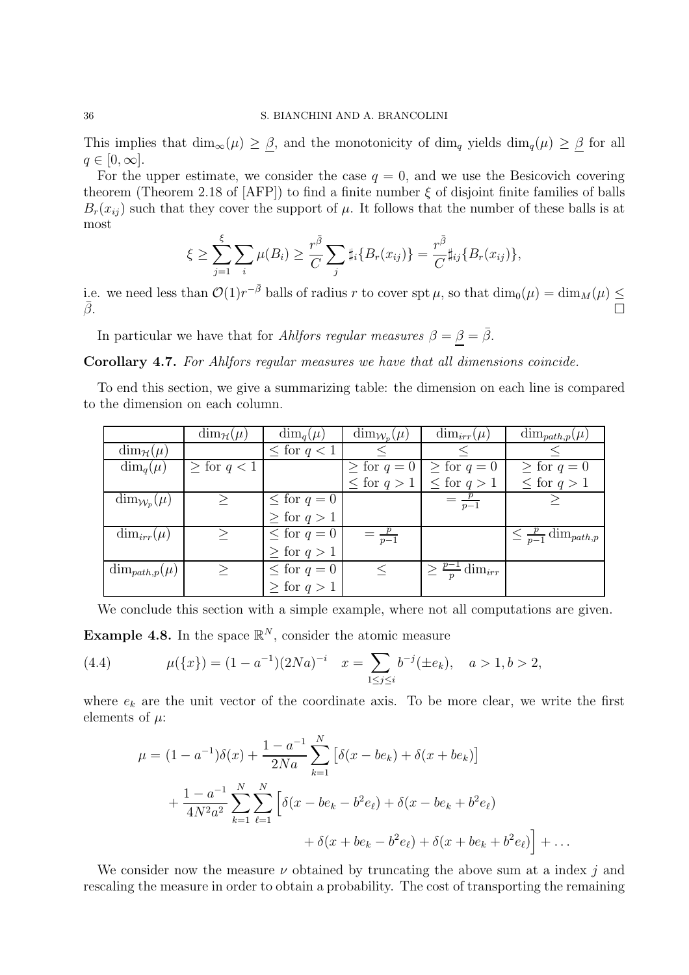This implies that  $\dim_{\infty}(\mu) \geq \beta$ , and the monotonicity of  $\dim_q$  yields  $\dim_q(\mu) \geq \beta$  for all  $q \in [0,\infty].$ 

For the upper estimate, we consider the case  $q = 0$ , and we use the Besicovich covering theorem (Theorem 2.18 of  $[AFP]$ ) to find a finite number  $\xi$  of disjoint finite families of balls  $B_r(x_{ij})$  such that they cover the support of  $\mu$ . It follows that the number of these balls is at most

$$
\xi \geq \sum_{j=1}^{\xi} \sum_{i} \mu(B_i) \geq \frac{r^{\bar{\beta}}}{C} \sum_{j} \sharp_i \{B_r(x_{ij})\} = \frac{r^{\bar{\beta}}}{C} \sharp_{ij} \{B_r(x_{ij})\},
$$

i.e. we need less than  $\mathcal{O}(1)r^{-\bar{\beta}}$  balls of radius r to cover spt  $\mu$ , so that  $\dim_0(\mu) = \dim_M(\mu) \le$  $\bar{\beta}$ .

In particular we have that for Ahlfors regular measures  $\beta = \underline{\beta} = \overline{\beta}$ .

Corollary 4.7. For Ahlfors regular measures we have that all dimensions coincide.

To end this section, we give a summarizing table: the dimension on each line is compared to the dimension on each column.

|                             | $\dim_{\mathcal{H}}(\mu)$ | $\dim_q(\mu)$      | $\dim_{\mathcal{W}_n}(\mu)$ | $\dim_{irr}(\mu)$               | $\dim_{path,p}(\mu)$                |
|-----------------------------|---------------------------|--------------------|-----------------------------|---------------------------------|-------------------------------------|
| $\dim_{\mathcal{H}}(\mu)$   |                           | $\leq$ for $q < 1$ |                             |                                 |                                     |
| $\dim_q(\mu)$               | $\geq$ for $q < 1$        |                    | $\geq$ for $q=0$            | $\geq$ for $q=0$                | $\geq$ for $q=0$                    |
|                             |                           |                    | $\leq$ for $q>1$            | $\leq$ for $q>1$                | $\leq$ for $q>1$                    |
| $\dim_{\mathcal{W}_p}(\mu)$ | >                         | $\leq$ for $q=0$   |                             | $=\frac{p}{p-1}$                |                                     |
|                             |                           | $\geq$ for $q>1$   |                             |                                 |                                     |
| $\dim_{irr}(\mu)$           | >                         | $\leq$ for $q=0$   | $=\frac{p}{p-1}$            |                                 | $\leq \frac{p}{p-1} \dim_{path, p}$ |
|                             |                           | $\geq$ for $q>1$   |                             |                                 |                                     |
| $\dim_{path,p}(\mu)$        |                           | $\leq$ for $q=0$   |                             | $\geq \frac{p-1}{p} \dim_{irr}$ |                                     |
|                             |                           | $\geq$ for $q>1$   |                             |                                 |                                     |

We conclude this section with a simple example, where not all computations are given.

**Example 4.8.** In the space  $\mathbb{R}^N$ , consider the atomic measure

(4.4) 
$$
\mu({x}) = (1 - a^{-1})(2Na)^{-i} \quad x = \sum_{1 \le j \le i} b^{-j} (\pm e_k), \quad a > 1, b > 2,
$$

where  $e_k$  are the unit vector of the coordinate axis. To be more clear, we write the first elements of  $\mu$ :

$$
\mu = (1 - a^{-1})\delta(x) + \frac{1 - a^{-1}}{2Na} \sum_{k=1}^{N} \left[ \delta(x - be_k) + \delta(x + be_k) \right]
$$
  
+ 
$$
\frac{1 - a^{-1}}{4N^2a^2} \sum_{k=1}^{N} \sum_{\ell=1}^{N} \left[ \delta(x - be_k - b^2 e_\ell) + \delta(x - be_k + b^2 e_\ell) + \delta(x + be_k + b^2 e_\ell) \right] + \dots
$$

We consider now the measure  $\nu$  obtained by truncating the above sum at a index j and rescaling the measure in order to obtain a probability. The cost of transporting the remaining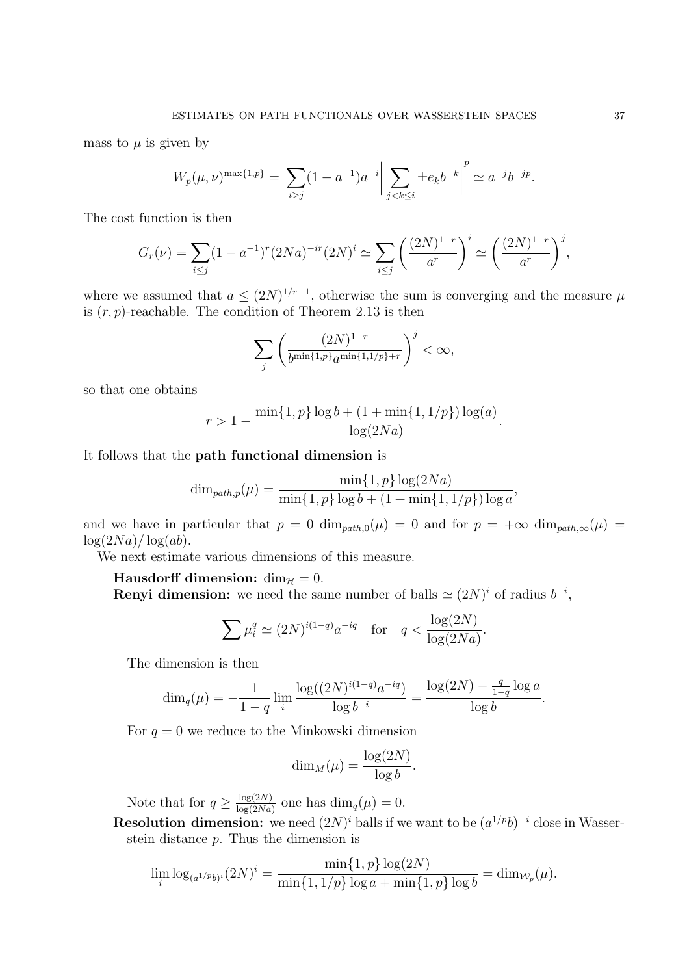mass to  $\mu$  is given by

$$
W_p(\mu, \nu)^{\max\{1, p\}} = \sum_{i > j} (1 - a^{-1}) a^{-i} \left| \sum_{j < k \le i} \pm e_k b^{-k} \right|^p \simeq a^{-j} b^{-jp}.
$$

The cost function is then

$$
G_r(\nu) = \sum_{i \le j} (1 - a^{-1})^r (2Na)^{-ir} (2N)^i \simeq \sum_{i \le j} \left( \frac{(2N)^{1-r}}{a^r} \right)^i \simeq \left( \frac{(2N)^{1-r}}{a^r} \right)^j,
$$

where we assumed that  $a \leq (2N)^{1/r-1}$ , otherwise the sum is converging and the measure  $\mu$ is  $(r, p)$ -reachable. The condition of Theorem 2.13 is then

$$
\sum_{j} \left( \frac{(2N)^{1-r}}{b^{\min\{1,p\}} a^{\min\{1,1/p\}+r}} \right)^j < \infty,
$$

so that one obtains

$$
r > 1 - \frac{\min\{1, p\} \log b + (1 + \min\{1, 1/p\}) \log(a)}{\log(2Na)}.
$$

It follows that the path functional dimension is

$$
\dim_{path,p}(\mu) = \frac{\min\{1, p\} \log(2Na)}{\min\{1, p\} \log b + (1 + \min\{1, 1/p\}) \log a},
$$

and we have in particular that  $p = 0$  dim<sub>path,0</sub>( $\mu$ ) = 0 and for  $p = +\infty$  dim<sub>path, $\infty(\mu)$ </sub> =  $\log(2Na)/\log(ab)$ .

We next estimate various dimensions of this measure.

Hausdorff dimension:  $\dim_{\mathcal{H}} = 0$ .

**Renyi dimension:** we need the same number of balls  $\simeq (2N)^i$  of radius  $b^{-i}$ ,

$$
\sum \mu_i^q \simeq (2N)^{i(1-q)} a^{-iq} \quad \text{for} \quad q < \frac{\log(2N)}{\log(2Na)}.
$$

The dimension is then

$$
\dim_q(\mu) = -\frac{1}{1-q} \lim_{i} \frac{\log((2N)^{i(1-q)} a^{-iq})}{\log b^{-i}} = \frac{\log(2N) - \frac{q}{1-q} \log a}{\log b}.
$$

For  $q = 0$  we reduce to the Minkowski dimension

$$
\dim_M(\mu) = \frac{\log(2N)}{\log b}.
$$

Note that for  $q \geq \frac{\log(2N)}{\log(2Nq)}$  $\frac{\log(2N)}{\log(2Na)}$  one has  $\dim_q(\mu) = 0$ .

**Resolution dimension:** we need  $(2N)^i$  balls if we want to be  $(a^{1/p}b)^{-i}$  close in Wasserstein distance  $p$ . Thus the dimension is

$$
\lim_{i} \log_{(a^{1/p}b)^{i}}(2N)^{i} = \frac{\min\{1,p\}\log(2N)}{\min\{1,1/p\}\log a + \min\{1,p\}\log b} = \dim_{\mathcal{W}_{p}}(\mu).
$$